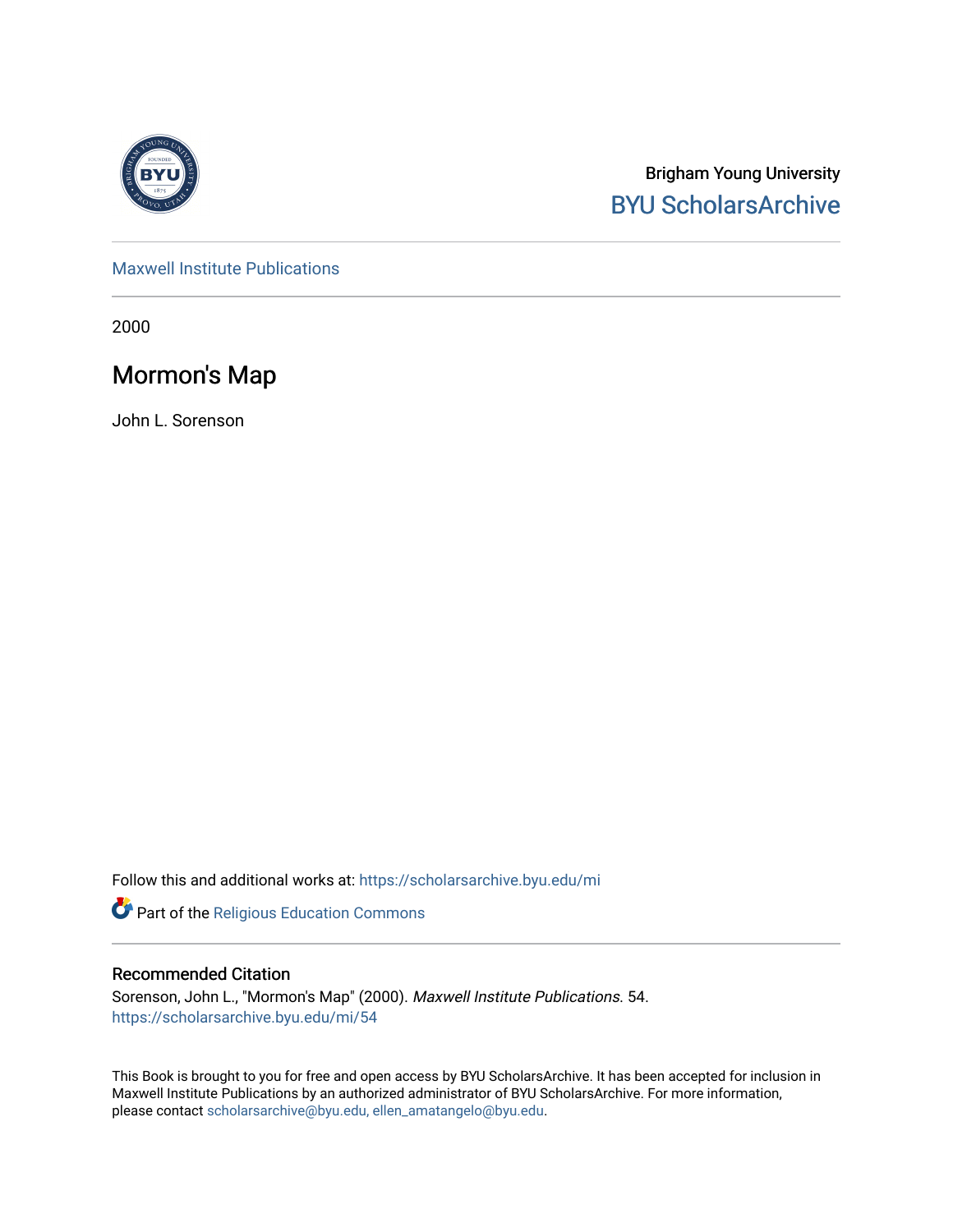

Brigham Young University [BYU ScholarsArchive](https://scholarsarchive.byu.edu/) 

[Maxwell Institute Publications](https://scholarsarchive.byu.edu/mi) 

2000

# Mormon's Map

John L. Sorenson

Follow this and additional works at: [https://scholarsarchive.byu.edu/mi](https://scholarsarchive.byu.edu/mi?utm_source=scholarsarchive.byu.edu%2Fmi%2F54&utm_medium=PDF&utm_campaign=PDFCoverPages)

Part of the [Religious Education Commons](http://network.bepress.com/hgg/discipline/1414?utm_source=scholarsarchive.byu.edu%2Fmi%2F54&utm_medium=PDF&utm_campaign=PDFCoverPages)

#### Recommended Citation

Sorenson, John L., "Mormon's Map" (2000). Maxwell Institute Publications. 54. [https://scholarsarchive.byu.edu/mi/54](https://scholarsarchive.byu.edu/mi/54?utm_source=scholarsarchive.byu.edu%2Fmi%2F54&utm_medium=PDF&utm_campaign=PDFCoverPages) 

This Book is brought to you for free and open access by BYU ScholarsArchive. It has been accepted for inclusion in Maxwell Institute Publications by an authorized administrator of BYU ScholarsArchive. For more information, please contact [scholarsarchive@byu.edu, ellen\\_amatangelo@byu.edu.](mailto:scholarsarchive@byu.edu,%20ellen_amatangelo@byu.edu)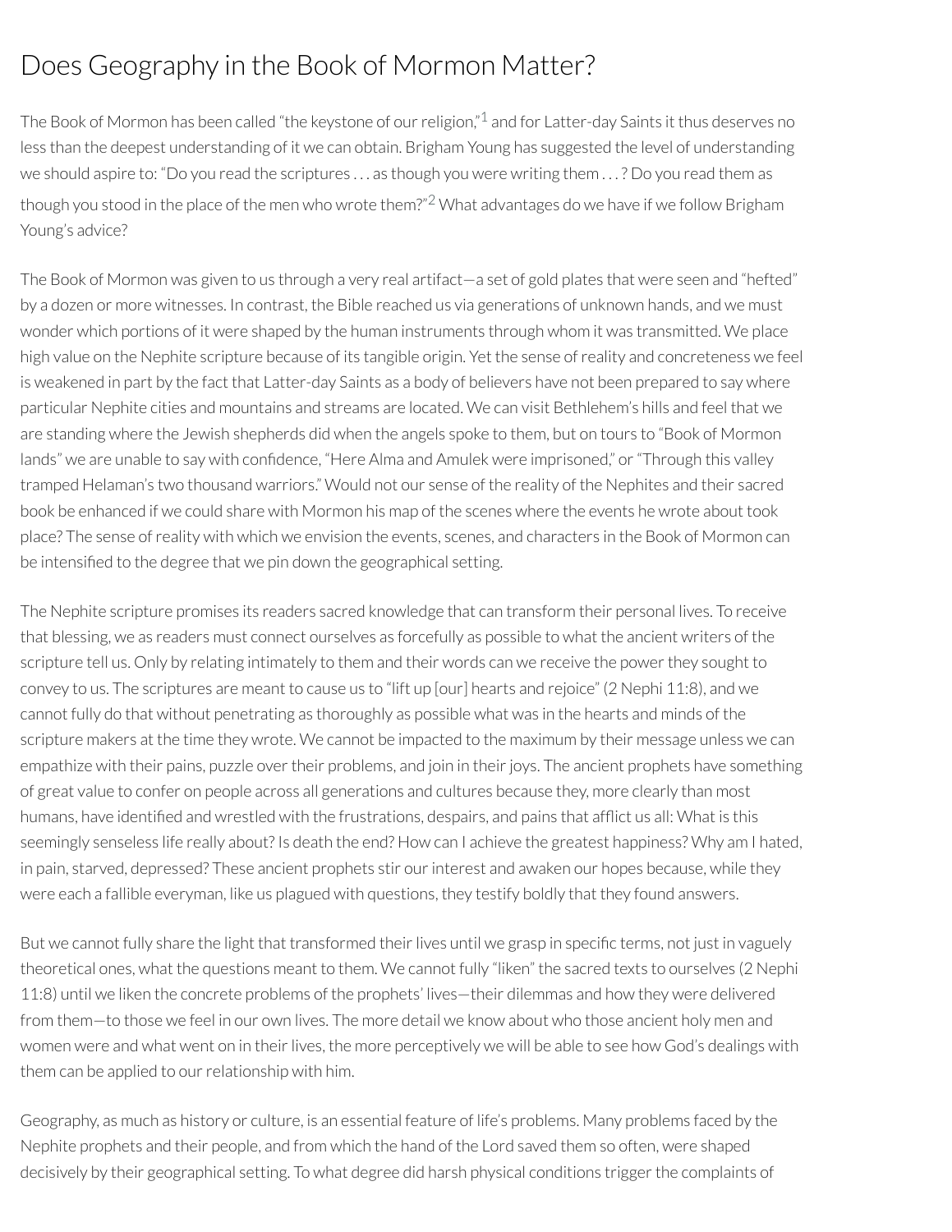# Does Geography in the Book of Mormon Matter?

<span id="page-1-0"></span>The Book of Mormon has been called "the keystone of our religion," $^1$  $^1$  and for Latter-day Saints it thus deserves no less than the deepest understanding of it we can obtain. Brigham Young has suggested the level of understanding we should aspire to: "Do you read the scriptures . . . as though you were writing them . . . ? Do you read them as though you stood in the place of the men who wrote them?" [2](#page-4-1) What advantages do we have if we follow Brigham Young's advice?

<span id="page-1-1"></span>The Book of Mormon was given to us through a very real artifact—a set of gold plates that were seen and "hefted" by a dozen or more witnesses. In contrast, the Bible reached us via generations of unknown hands, and we must wonder which portions of it were shaped by the human instruments through whom it was transmitted. We place high value on the Nephite scripture because of its tangible origin. Yet the sense ofreality and concreteness we feel is weakened in part by the fact that Latter-day Saints as a body of believers have not been prepared to say where particular Nephite cities and mountains and streams are located. We can visit Bethlehem's hills and feel that we are standing where the Jewish shepherds did when the angels spoke to them, but on tours to "Book of Mormon lands" we are unable to say with confidence, "Here Alma and Amulek were imprisoned," or "Through this valley tramped Helaman's two thousand warriors." Would not our sense of the reality of the Nephites and their sacred book be enhanced if we could share with Mormon his map of the scenes where the events he wrote about took place? The sense ofreality with which we envision the events, scenes, and characters in the Book of Mormon can be intensified to the degree that we pin down the geographical setting.

The Nephite scripture promises its readers sacred knowledge that can transform their personal lives. To receive that blessing, we as readers must connect ourselves as forcefully as possible to what the ancient writers of the scripture tell us. Only by relating intimately to them and their words can we receive the power they sought to convey to us. The scriptures are meant to cause us to "lift up [our] hearts and rejoice" (2 Nephi 11:8), and we cannot fully do that without penetrating as thoroughly as possible what was in the hearts and minds of the scripture makers at the time they wrote. We cannot be impacted to the maximum by their message unless we can empathize with their pains, puzzle over their problems, and join in their joys. The ancient prophets have something of great value to confer on people across all generations and cultures because they, more clearly than most humans, have identified and wrestled with the frustrations, despairs, and pains that afflict us all: What is this seemingly senseless life really about? Is death the end? How can I achieve the greatest happiness? Why am I hated, in pain, starved, depressed? These ancient prophets stir our interest and awaken our hopes because, while they were each a fallible everyman, like us plagued with questions, they testify boldly that they found answers.

But we cannot fully share the light that transformed their lives until we grasp in specific terms, not just in vaguely theoretical ones, what the questions meant to them. We cannot fully "liken" the sacred texts to ourselves (2 Nephi 11:8) until we liken the concrete problems of the prophets' lives—their dilemmas and how they were delivered from them—to those we feel in our own lives. The more detail we know about who those ancient holy men and women were and what went on in their lives, the more perceptively we will be able to see how God's dealings with them can be applied to our relationship with him.

Geography, as much as history or culture, is an essential feature of life's problems. Many problems faced by the Nephite prophets and their people, and from which the hand of the Lord saved them so often, were shaped decisively by their geographical setting. To what degree did harsh physical conditions trigger the complaints of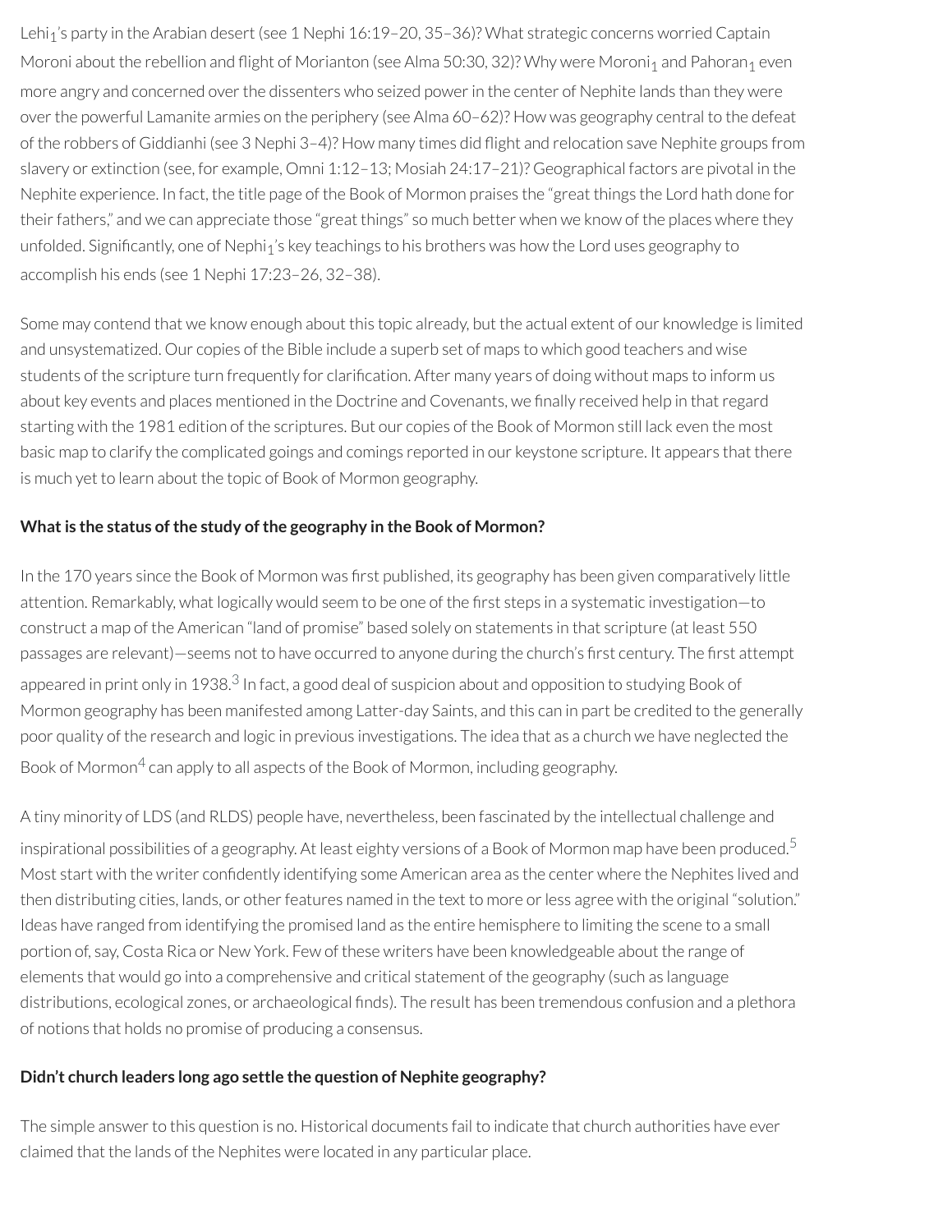Lehi<sub>1</sub>'s party in the Arabian desert (see 1 Nephi 16:19-20, 35-36)? What strategic concerns worried Captain Moroni about the rebellion and flight of Morianton (see Alma 50:30, 32)? Why were Moroni<sub>1</sub> and Pahoran<sub>1</sub> even more angry and concerned over the dissenters who seized power in the center of Nephite lands than they were overthe powerful Lamanite armies on the periphery (see Alma 60–62)? How was geography central to the defeat of the robbers of Giddianhi (see 3 Nephi 3–4)? How many times did ight and relocation save Nephite groups from slavery or extinction (see, for example, Omni 1:12–13; Mosiah 24:17–21)? Geographical factors are pivotal in the Nephite experience. In fact, the title page of the Book of Mormon praises the "great things the Lord hath done for their fathers," and we can appreciate those "great things" so much better when we know of the places where they unfolded. Significantly, one of Nephi<sub>1</sub>'s key teachings to his brothers was how the Lord uses geography to accomplish his ends (see 1 Nephi 17:23–26, 32–38).

Some may contend that we know enough about this topic already, but the actual extent of our knowledge is limited and unsystematized. Our copies of the Bible include a superb set of maps to which good teachers and wise students of the scripture turn frequently for clarification. After many years of doing without maps to inform us about key events and places mentioned in the Doctrine and Covenants, we finally received help in that regard starting with the 1981 edition of the scriptures. But our copies of the Book of Mormon still lack even the most basic map to clarify the complicated goings and comings reported in our keystone scripture. It appears that there is much yet to learn about the topic of Book of Mormon geography.

#### **Whatis the status ofthe study ofthe geography in the Book of Mormon?**

<span id="page-2-0"></span>In the 170 years since the Book of Mormon was first published, its geography has been given comparatively little attention. Remarkably, what logically would seem to be one of the first steps in a systematic investigation—to construct a map of the American "land of promise" based solely on statements in that scripture (at least 550 passages are relevant)—seems not to have occurred to anyone during the church's first century. The first attempt appeared in print only in 19[3](#page-4-2)8.<sup>3</sup> In fact, a good deal of suspicion about and opposition to studying Book of Mormon geography has been manifested among Latter-day Saints, and this can in part be credited to the generally poor quality of the research and logic in previous investigations. The idea that as a church we have neglected the Book of Mormon<sup>[4](#page-4-3)</sup> can apply to all aspects of the Book of Mormon, including geography.

<span id="page-2-2"></span><span id="page-2-1"></span>A tiny minority of LDS (and RLDS) people have, nevertheless, been fascinated by the intellectual challenge and inspirational possibilities of a geography. At least eighty versions of a Book of Mormon map have been produced. $^{\rm 5}$  $^{\rm 5}$  $^{\rm 5}$ Most start with the writer confidently identifying some American area as the center where the Nephites lived and then distributing cities, lands, or other features named in the text to more or less agree with the original "solution." Ideas have ranged from identifying the promised land as the entire hemisphere to limiting the scene to a small portion of, say, Costa Rica or New York. Few of these writers have been knowledgeable about the range of elements that would go into a comprehensive and critical statement of the geography (such as language distributions, ecological zones, or archaeological finds). The result has been tremendous confusion and a plethora of notions that holds no promise of producing a consensus.

### **Didn't church leaders long ago settle the question of Nephite geography?**

The simple answer to this question is no. Historical documents fail to indicate that church authorities have ever claimed that the lands of the Nephites were located in any particular place.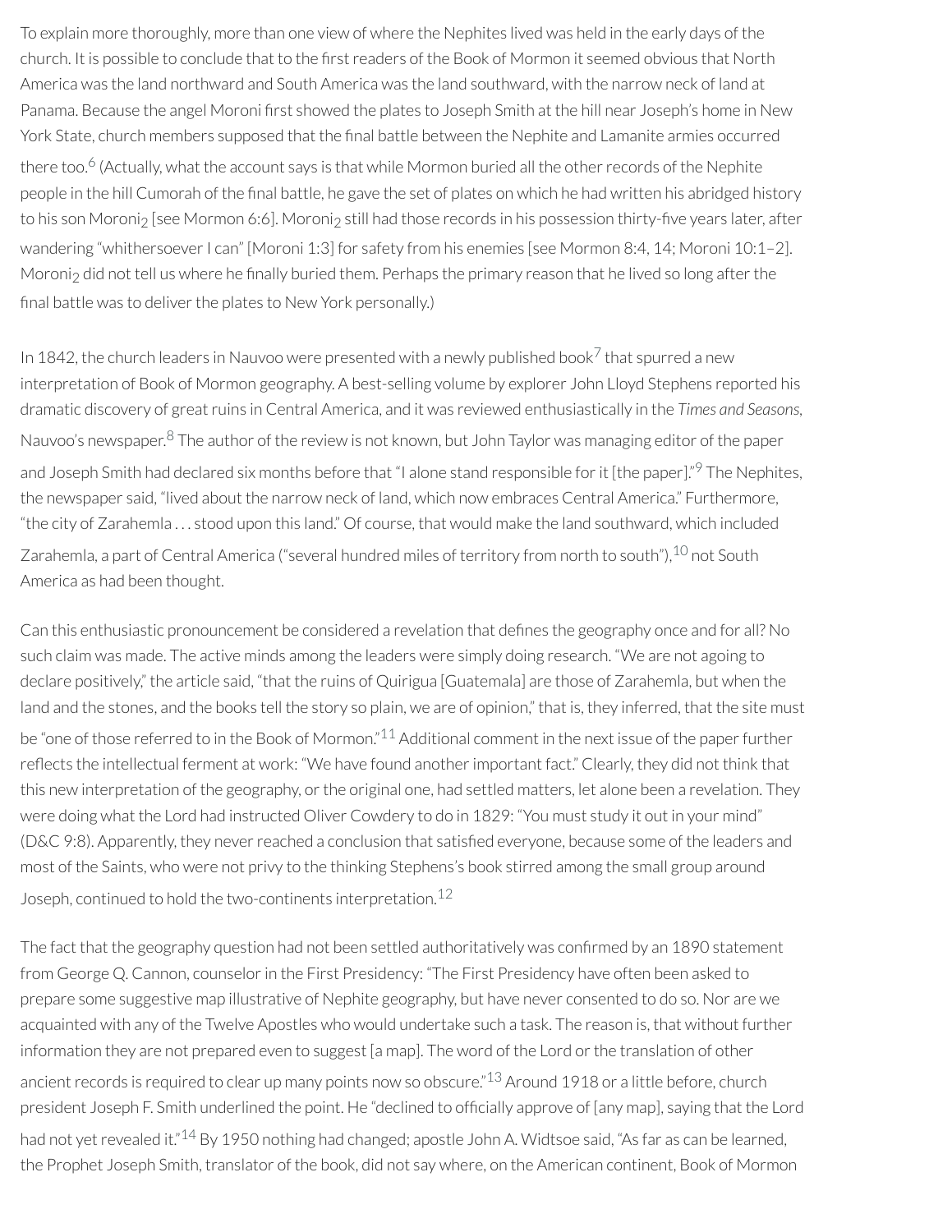To explain more thoroughly, more than one view of where the Nephites lived was held in the early days of the church. It is possible to conclude that to the first readers of the Book of Mormon it seemed obvious that North America was the land northward and South America was the land southward, with the narrow neck of land at Panama. Because the angel Moroni first showed the plates to Joseph Smith at the hill near Joseph's home in New York State, church members supposed that the final battle between the Nephite and Lamanite armies occurred

<span id="page-3-0"></span>there too.<sup>[6](#page-4-5)</sup> (Actually, what the account says is that while Mormon buried all the other records of the Nephite people in the hill Cumorah of the final battle, he gave the set of plates on which he had written his abridged history to his son Moroni<sub>2</sub> [see Mormon 6:6]. Moroni<sub>2</sub> still had those records in his possession thirty-five years later, after wandering "whithersoever I can" [Moroni 1:3] for safety from his enemies [see Mormon 8:4, 14; Moroni 10:1–2]. Moroni<sub>2</sub> did not tell us where he finally buried them. Perhaps the primary reason that he lived so long after the final battle was to deliver the plates to New York personally.)

<span id="page-3-3"></span><span id="page-3-2"></span><span id="page-3-1"></span>In 1842, the church leaders in Nauvoo were presented with a newly published book<sup>[7](#page-4-6)</sup> that spurred a new interpretation of Book of Mormon geography. A best-selling volume by explorer John Lloyd Stephens reported his dramatic discovery of greatruins in Central America, and it was reviewed enthusiastically in the *Times and Seasons,* Nauvoo's newspaper.<sup>[8](#page-4-7)</sup> The author of the review is not known, but John Taylor was managing editor of the paper and Joseph Smith had declared six months before that "I alone stand responsible for it [the paper]."<sup>[9](#page-4-8)</sup> The Nephites, the newspaper said, "lived about the narrow neck of land, which now embraces Central America." Furthermore, "the city of Zarahemla . . . stood upon this land." Of course, that would make the land southward, which included Zarahemla, a part of Central America ("several hundred miles of territory from north to south"), <sup>[10](#page-4-9)</sup> not South America as had been thought.

<span id="page-3-4"></span>Can this enthusiastic pronouncement be considered a revelation that defines the geography once and for all? No such claim was made. The active minds among the leaders were simply doing research. "We are not agoing to declare positively," the article said, "that the ruins of Quirigua [Guatemala] are those of Zarahemla, but when the land and the stones, and the books tell the story so plain, we are of opinion," that is, they inferred, that the site must

<span id="page-3-5"></span>be "one of those referred to in the Book of Mormon."<sup>[11](#page-4-10)</sup> Additional comment in the next issue of the paper further reflects the intellectual ferment at work: "We have found another important fact." Clearly, they did not think that this new interpretation of the geography, orthe original one, had settled matters, let alone been a revelation. They were doing what the Lord had instructed Oliver Cowdery to do in 1829: "You must study it out in your mind" (D&C 9:8). Apparently, they never reached a conclusion that satisfied everyone, because some of the leaders and most of the Saints, who were not privy to the thinking Stephens's book stirred among the small group around Joseph, continued to hold the two-continents interpretation.<sup>[12](#page-4-11)</sup>

<span id="page-3-8"></span><span id="page-3-7"></span><span id="page-3-6"></span>The fact that the geography question had not been settled authoritatively was confirmed by an 1890 statement from George Q. Cannon, counselor in the First Presidency: "The First Presidency have often been asked to prepare some suggestive map illustrative of Nephite geography, but have never consented to do so. Nor are we acquainted with any of the Twelve Apostles who would undertake such a task. The reason is, that without further information they are not prepared even to suggest [a map]. The word of the Lord or the translation of other ancient records is required to clear up many points now so obscure." $^{13}$  $^{13}$  $^{13}$  Around 1918 or a little before, church president Joseph F. Smith underlined the point. He "declined to officially approve of [any map], saying that the Lord had not yet revealed it."<sup>[14](#page-5-1)</sup> By 1950 nothing had changed; apostle John A. Widtsoe said, "As far as can be learned, the Prophet Joseph Smith, translator of the book, did not say where, on the American continent, Book of Mormon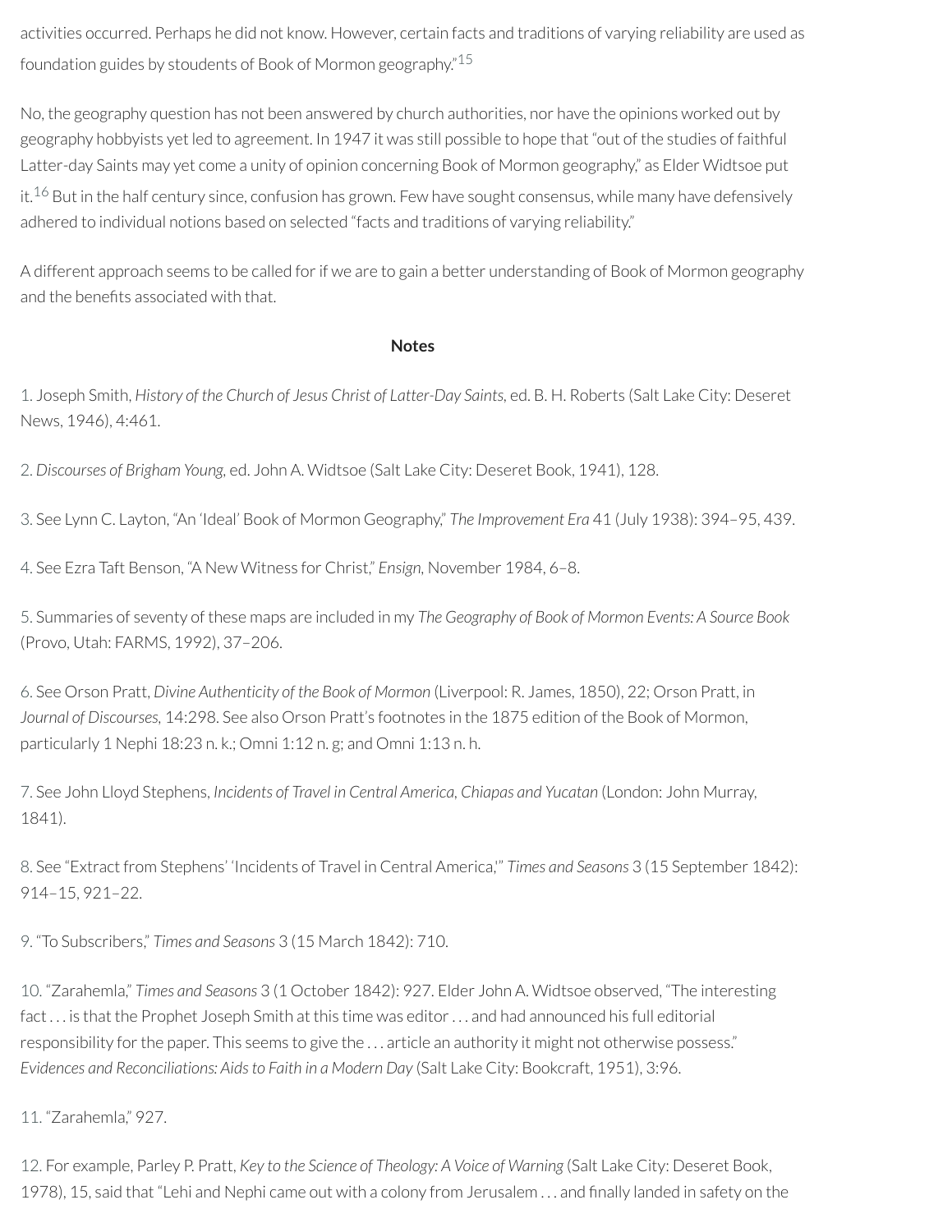activities occurred. Perhaps he did not know. However, certain facts and traditions of varying reliability are used as foundation guides by stoudents of Book of Mormon geography." [15](#page-5-2)

No, the geography question has not been answered by church authorities, nor have the opinions worked out by geography hobbyists yet led to agreement. In 1947 it was still possible to hope that "out of the studies of faithful Latter-day Saints may yet come a unity of opinion concerning Book of Mormon geography," as Elder Widtsoe put it.<sup>[16](#page-5-3)</sup> But in the half century since, confusion has grown. Few have sought consensus, while many have defensively adhered to individual notions based on selected "facts and traditions of varying reliability."

<span id="page-4-13"></span>A different approach seems to be called forif we are to gain a better understanding of Book of Mormon geography and the benefits associated with that.

#### <span id="page-4-12"></span>**Notes**

<span id="page-4-0"></span>[1.](#page-1-0) Joseph Smith, *History of the Church of Jesus Christ of Latter-Day Saints,* ed. B. H. Roberts (Salt Lake City: Deseret News, 1946), 4:461.

<span id="page-4-1"></span>[2.](#page-1-1) *Discourses of Brigham Young,* ed. John A. Widtsoe (Salt Lake City: Deseret Book, 1941), 128.

<span id="page-4-2"></span>[3.](#page-2-0) See Lynn C. Layton, "An 'Ideal' Book of Mormon Geography," *The Improvement Era* 41 (July 1938): 394–95, 439.

<span id="page-4-3"></span>[4.](#page-2-1) See Ezra Taft Benson, "A New Witness for Christ," *Ensign,* November 1984, 6–8.

<span id="page-4-4"></span>[5.](#page-2-2) Summaries of seventy of these maps are included in my *The Geography of Book of Mormon Events: A Source Book* (Provo, Utah: FARMS, 1992), 37–206.

<span id="page-4-5"></span>[6.](#page-3-0) See Orson Pratt, *Divine Authenticity of the Book of Mormon* (Liverpool: R. James, 1850), 22; Orson Pratt, in *Journal of Discourses,* 14:298. See also Orson Pratt's footnotes in the 1875 edition of the Book of Mormon, particularly 1 Nephi 18:23 n. k.; Omni 1:12 n. g; and Omni 1:13 n. h.

<span id="page-4-6"></span>[7.](#page-3-1) See John Lloyd Stephens, *Incidents of Travel in Central America, Chiapas and Yucatan* (London: John Murray, 1841).

<span id="page-4-7"></span>[8.](#page-3-2) See "Extract from Stephens' 'Incidents of Travel in Central America,'" *Times and Seasons* 3 (15 September 1842): 914–15, 921–22.

<span id="page-4-8"></span>[9.](#page-3-3) "To Subscribers," *Times and Seasons* 3 (15 March 1842): 710.

<span id="page-4-9"></span>[10.](#page-3-4) "Zarahemla," *Times and Seasons* 3 (1 October 1842): 927. Elder John A. Widtsoe observed, "The interesting fact . . . is that the Prophet Joseph Smith at this time was editor. . . and had announced his full editorial responsibility for the paper. This seems to give the ... article an authority it might not otherwise possess." *Evidences and Reconciliations: Aids to Faith in a Modern Day* (Salt Lake City: Bookcraft, 1951), 3:96.

<span id="page-4-10"></span>[11.](#page-3-5) "Zarahemla," 927.

<span id="page-4-11"></span>[12.](#page-3-6) For example, Parley P. Pratt, *Key to the Science of Theology: A Voice of Warning* (Salt Lake City: Deseret Book, 1978), 15, said that "Lehi and Nephi came out with a colony from Jerusalem ... and finally landed in safety on the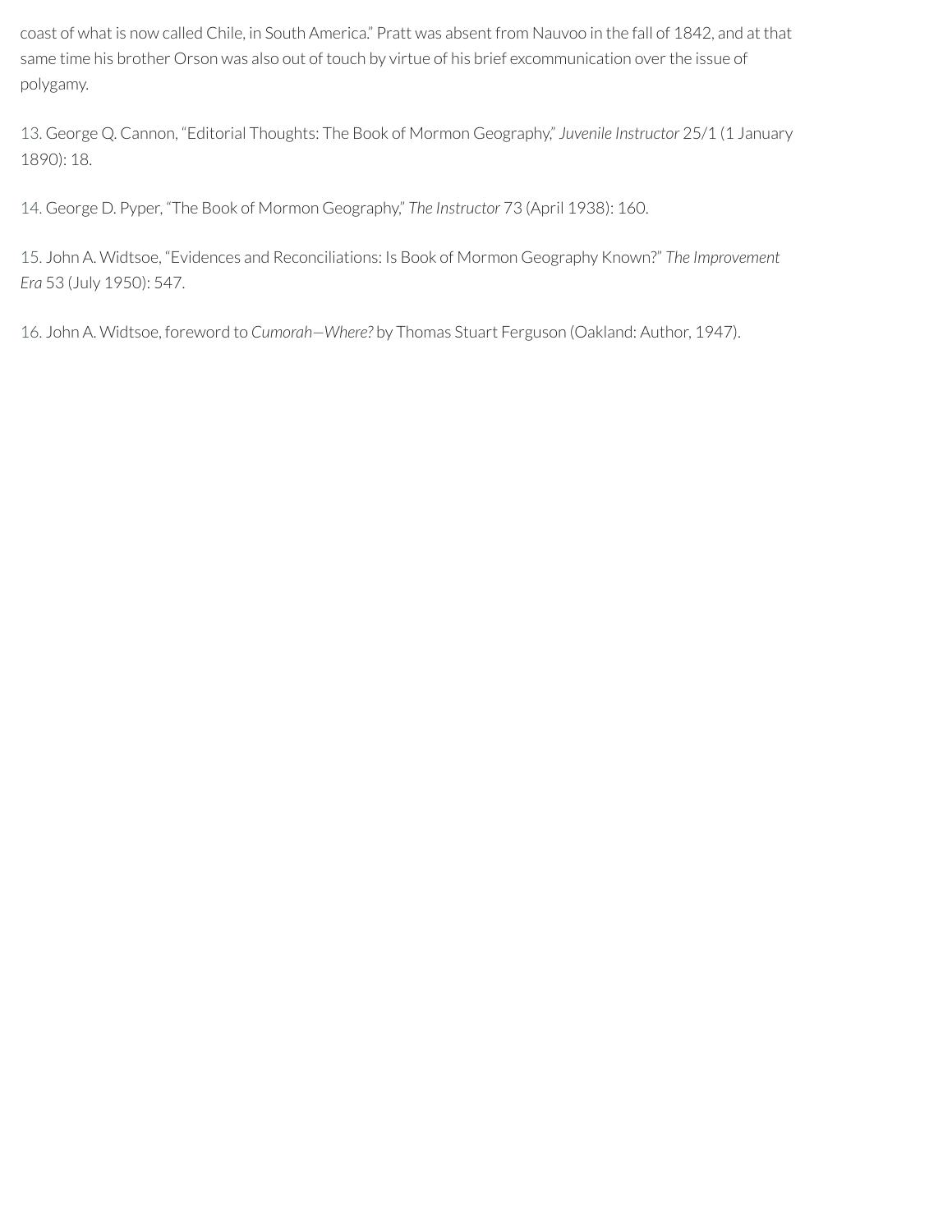coast of what is now called Chile, in South America." Pratt was absent from Nauvoo in the fall of 1842, and at that same time his brother Orson was also out of touch by virtue of his brief excommunication over the issue of polygamy.

<span id="page-5-0"></span>[13.](#page-3-7) George Q. Cannon, "Editorial Thoughts: The Book of Mormon Geography," *Juvenile Instructor* 25/1 (1 January 1890): 18.

<span id="page-5-1"></span>[14.](#page-3-8) George D. Pyper, "The Book of Mormon Geography," *The Instructor* 73 (April 1938): 160.

<span id="page-5-2"></span>[15.](#page-4-12) John A. Widtsoe, "Evidences and Reconciliations: Is Book of Mormon Geography Known?" *The Improvement Era* 53 (July 1950): 547.

<span id="page-5-3"></span>[16.](#page-4-13) John A. Widtsoe, foreword to *Cumorah—Where?* by Thomas Stuart Ferguson (Oakland: Author, 1947).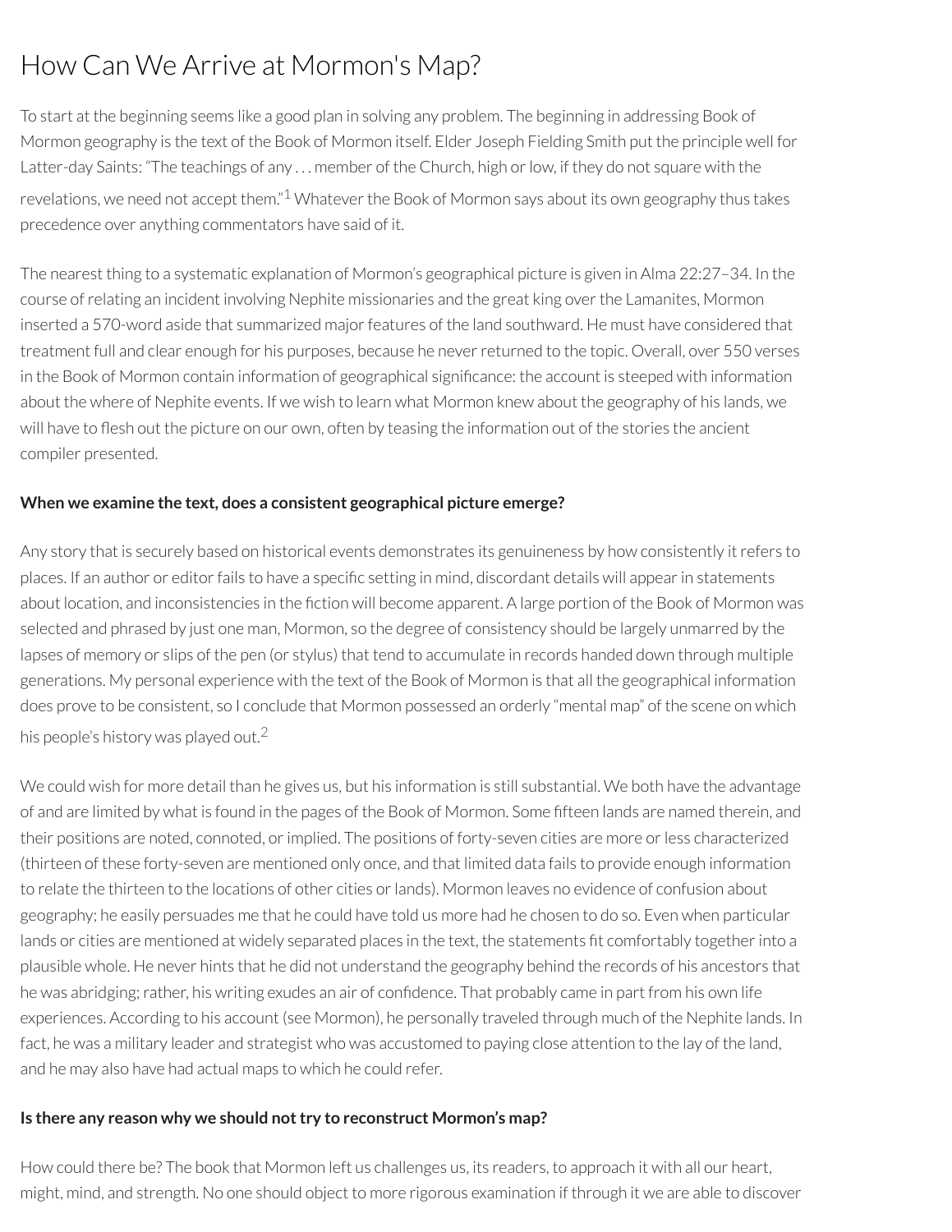# How Can We Arrive at Mormon's Map?

To start at the beginning seems like a good plan in solving any problem. The beginning in addressing Book of Mormon geography is the text of the Book of Mormon itself. Elder Joseph Fielding Smith put the principle well for Latter-day Saints: "The teachings of any ... member of the Church, high or low, if they do not square with the revelations, we need not accept them."<sup>[1](#page-8-0)</sup> Whatever the Book of Mormon says about its own geography thus takes precedence over anything commentators have said of it.

<span id="page-6-0"></span>The nearest thing to a systematic explanation of Mormon's geographical picture is given in Alma 22:27–34. In the course ofrelating an incident involving Nephite missionaries and the great king overthe Lamanites, Mormon inserted a 570-word aside that summarized major features of the land southward. He must have considered that treatment full and clear enough for his purposes, because he neverreturned to the topic. Overall, over 550 verses in the Book of Mormon contain information of geographical significance: the account is steeped with information about the where of Nephite events. If we wish to learn what Mormon knew about the geography of his lands, we will have to flesh out the picture on our own, often by teasing the information out of the stories the ancient compiler presented.

#### **When we examine the text, does a consistent geographical picture emerge?**

Any story that is securely based on historical events demonstrates its genuineness by how consistently it refers to places. If an author or editor fails to have a specific setting in mind, discordant details will appear in statements about location, and inconsistencies in the fiction will become apparent. A large portion of the Book of Mormon was selected and phrased by just one man, Mormon, so the degree of consistency should be largely unmarred by the lapses of memory or slips of the pen (or stylus) that tend to accumulate in records handed down through multiple generations. My personal experience with the text of the Book of Mormon is that all the geographical information does prove to be consistent, so I conclude that Mormon possessed an orderly "mental map" of the scene on which his people's history was played out. $^2$  $^2$ 

<span id="page-6-1"></span>We could wish for more detail than he gives us, but his information is still substantial. We both have the advantage of and are limited by what is found in the pages of the Book of Mormon. Some fteen lands are named therein, and their positions are noted, connoted, or implied. The positions of forty-seven cities are more or less characterized (thirteen of these forty-seven are mentioned only once, and that limited data fails to provide enough information to relate the thirteen to the locations of other cities or lands). Mormon leaves no evidence of confusion about geography; he easily persuades me that he could have told us more had he chosen to do so. Even when particular lands or cities are mentioned at widely separated places in the text, the statements fit comfortably together into a plausible whole. He never hints that he did not understand the geography behind the records of his ancestors that he was abridging; rather, his writing exudes an air of confidence. That probably came in part from his own life experiences. According to his account (see Mormon), he personally traveled through much of the Nephite lands. In fact, he was a military leader and strategist who was accustomed to paying close attention to the lay of the land, and he may also have had actual maps to which he could refer.

#### **Is there any reason why we should nottry to reconstruct Mormon's map?**

How could there be? The book that Mormon left us challenges us, its readers, to approach it with all our heart, might, mind, and strength. No one should object to more rigorous examination if through it we are able to discover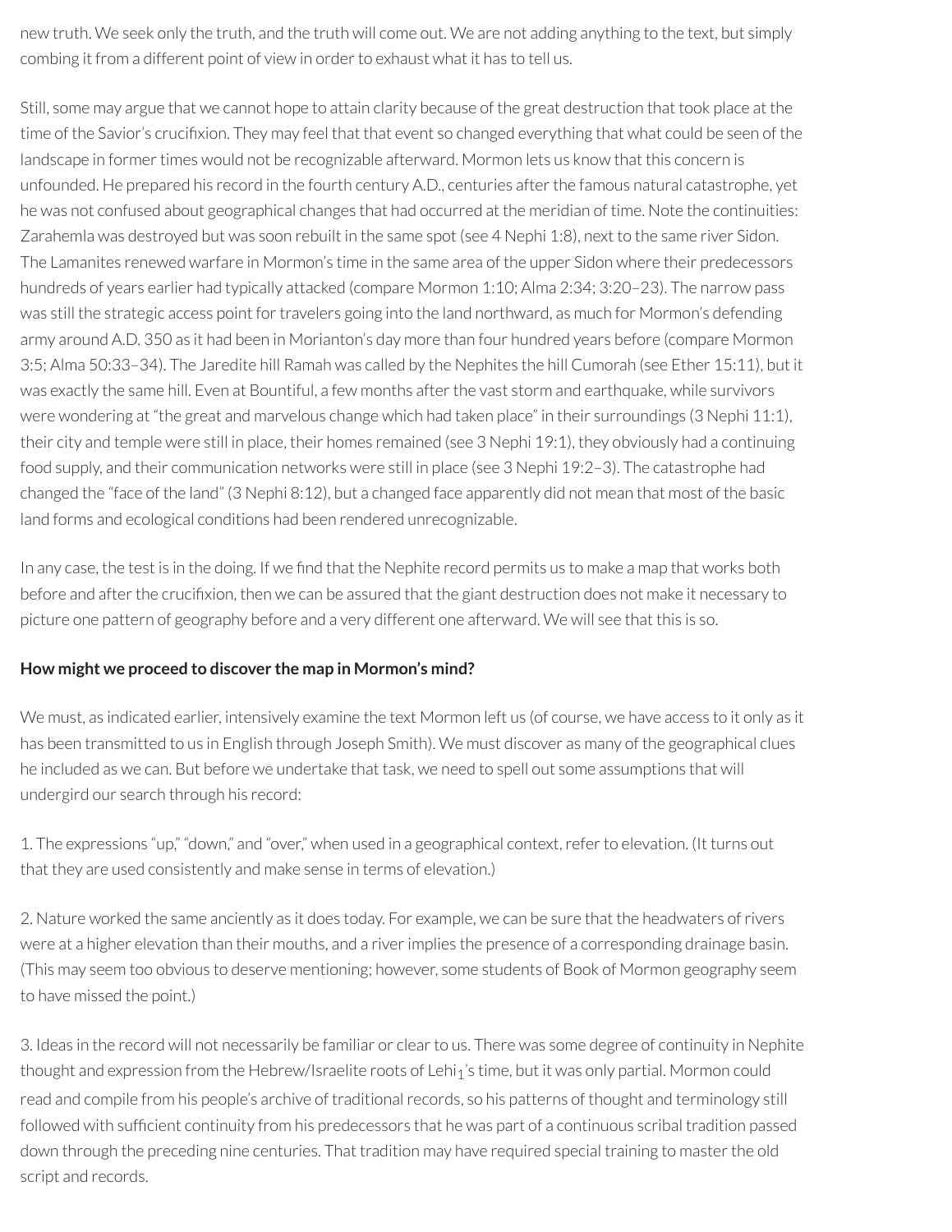new truth. We seek only the truth, and the truth will come out. We are not adding anything to the text, but simply combing it from a different point of view in order to exhaust what it has to tell us.

Still, some may argue that we cannot hope to attain clarity because of the great destruction that took place at the time of the Savior's crucifixion. They may feel that that event so changed everything that what could be seen of the landscape in former times would not be recognizable afterward. Mormon lets us know that this concern is unfounded. He prepared his record in the fourth century A.D., centuries after the famous natural catastrophe, yet he was not confused about geographical changes that had occurred at the meridian of time. Note the continuities: Zarahemla was destroyed but was soon rebuilt in the same spot (see 4 Nephi 1:8), next to the same river Sidon. The Lamanites renewed warfare in Mormon's time in the same area of the upper Sidon where their predecessors hundreds of years earlier had typically attacked (compare Mormon 1:10; Alma 2:34; 3:20–23). The narrow pass was still the strategic access point for travelers going into the land northward, as much for Mormon's defending army around A.D. 350 as it had been in Morianton's day more than four hundred years before (compare Mormon 3:5; Alma 50:33–34). The Jaredite hill Ramah was called by the Nephites the hill Cumorah (see Ether 15:11), but it was exactly the same hill. Even at Bountiful, a few months after the vast storm and earthquake, while survivors were wondering at "the great and marvelous change which had taken place" in their surroundings (3 Nephi 11:1), their city and temple were still in place, their homes remained (see 3 Nephi 19:1), they obviously had a continuing food supply, and their communication networks were still in place (see 3 Nephi 19:2–3). The catastrophe had changed the "face of the land" (3 Nephi 8:12), but a changed face apparently did not mean that most of the basic land forms and ecological conditions had been rendered unrecognizable.

In any case, the test is in the doing. If we find that the Nephite record permits us to make a map that works both before and after the crucifixion, then we can be assured that the giant destruction does not make it necessary to picture one pattern of geography before and a very different one afterward. We will see that this is so.

#### **How might we proceed to discover the map in Mormon's mind?**

We must, as indicated earlier, intensively examine the text Mormon left us (of course, we have access to it only as it has been transmitted to us in English through Joseph Smith). We must discover as many of the geographical clues he included as we can. But before we undertake that task, we need to spell out some assumptions that will undergird our search through his record:

1. The expressions "up," "down," and "over," when used in a geographical context, refer to elevation. (It turns out that they are used consistently and make sense in terms of elevation.)

2. Nature worked the same anciently as it does today. For example, we can be sure that the headwaters ofrivers were at a higher elevation than their mouths, and a river implies the presence of a corresponding drainage basin. (This may seem too obvious to deserve mentioning; however, some students of Book of Mormon geography seem to have missed the point.)

3. Ideas in the record will not necessarily be familiar or clear to us. There was some degree of continuity in Nephite thought and expression from the Hebrew/Israelite roots of Lehi<sub>1</sub>'s time, but it was only partial. Mormon could read and compile from his people's archive of traditional records, so his patterns of thought and terminology still followed with sufficient continuity from his predecessors that he was part of a continuous scribal tradition passed down through the preceding nine centuries. That tradition may have required special training to masterthe old script and records.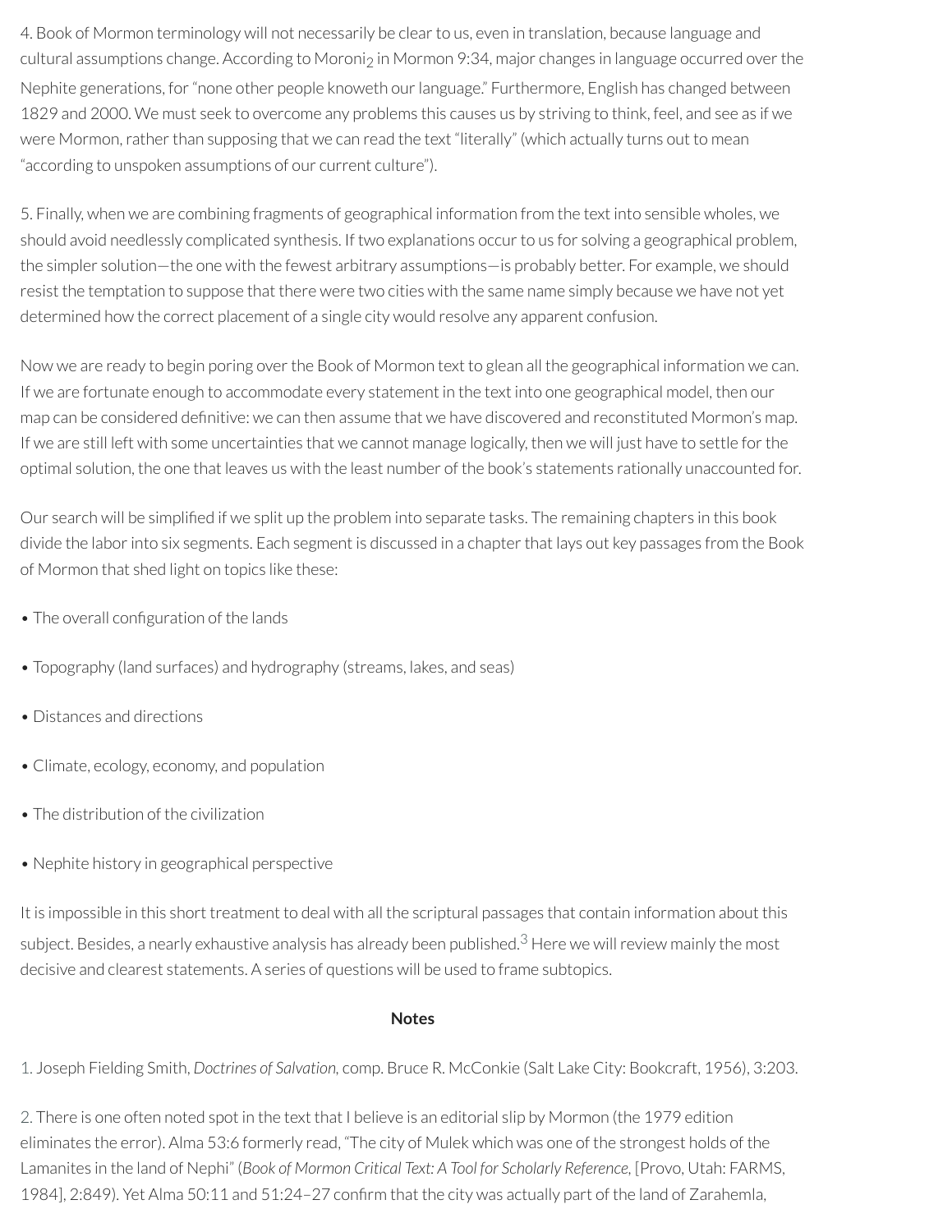4. Book of Mormon terminology will not necessarily be clear to us, even in translation, because language and cultural assumptions change. According to Moroni<sub>2</sub> in Mormon 9:34, major changes in language occurred over the Nephite generations, for"none other people knoweth ourlanguage." Furthermore, English has changed between 1829 and 2000. We must seek to overcome any problems this causes us by striving to think, feel, and see as if we were Mormon, rather than supposing that we can read the text "literally" (which actually turns out to mean "according to unspoken assumptions of our current culture").

5. Finally, when we are combining fragments of geographical information from the text into sensible wholes, we should avoid needlessly complicated synthesis. If two explanations occur to us for solving a geographical problem, the simpler solution—the one with the fewest arbitrary assumptions—is probably better. For example, we should resist the temptation to suppose that there were two cities with the same name simply because we have not yet determined how the correct placement of a single city would resolve any apparent confusion.

Now we are ready to begin poring over the Book of Mormon text to glean all the geographical information we can. If we are fortunate enough to accommodate every statement in the text into one geographical model, then our map can be considered definitive: we can then assume that we have discovered and reconstituted Mormon's map. If we are still left with some uncertainties that we cannot manage logically, then we will just have to settle forthe optimal solution, the one that leaves us with the least number of the book's statements rationally unaccounted for.

Our search will be simplified if we split up the problem into separate tasks. The remaining chapters in this book divide the labor into six segments. Each segment is discussed in a chapter that lays out key passages from the Book of Mormon that shed light on topics like these:

- The overall configuration of the lands
- Topography (land surfaces) and hydrography (streams, lakes, and seas)
- Distances and directions
- Climate, ecology, economy, and population
- The distribution of the civilization
- Nephite history in geographical perspective

It is impossible in this short treatment to deal with all the scriptural passages that contain information about this subject. Besides, a nearly exhaustive analysis has already been published. $^3$  $^3$  Here we will review mainly the most decisive and clearest statements. A series of questions will be used to frame subtopics.

#### <span id="page-8-2"></span>**Notes**

<span id="page-8-0"></span>[1.](#page-6-0) Joseph Fielding Smith, *Doctrines of Salvation,* comp. Bruce R. McConkie (Salt Lake City: Bookcraft, 1956), 3:203.

<span id="page-8-1"></span>[2.](#page-6-1) There is one often noted spot in the text that I believe is an editorial slip by Mormon (the 1979 edition eliminates the error). Alma 53:6 formerly read, "The city of Mulek which was one of the strongest holds of the Lamanites in the land of Nephi" (*Book of Mormon Critical Text: A Tool for Scholarly Reference,* [Provo, Utah: FARMS, 1984], 2:849). Yet Alma 50:11 and 51:24-27 confirm that the city was actually part of the land of Zarahemla,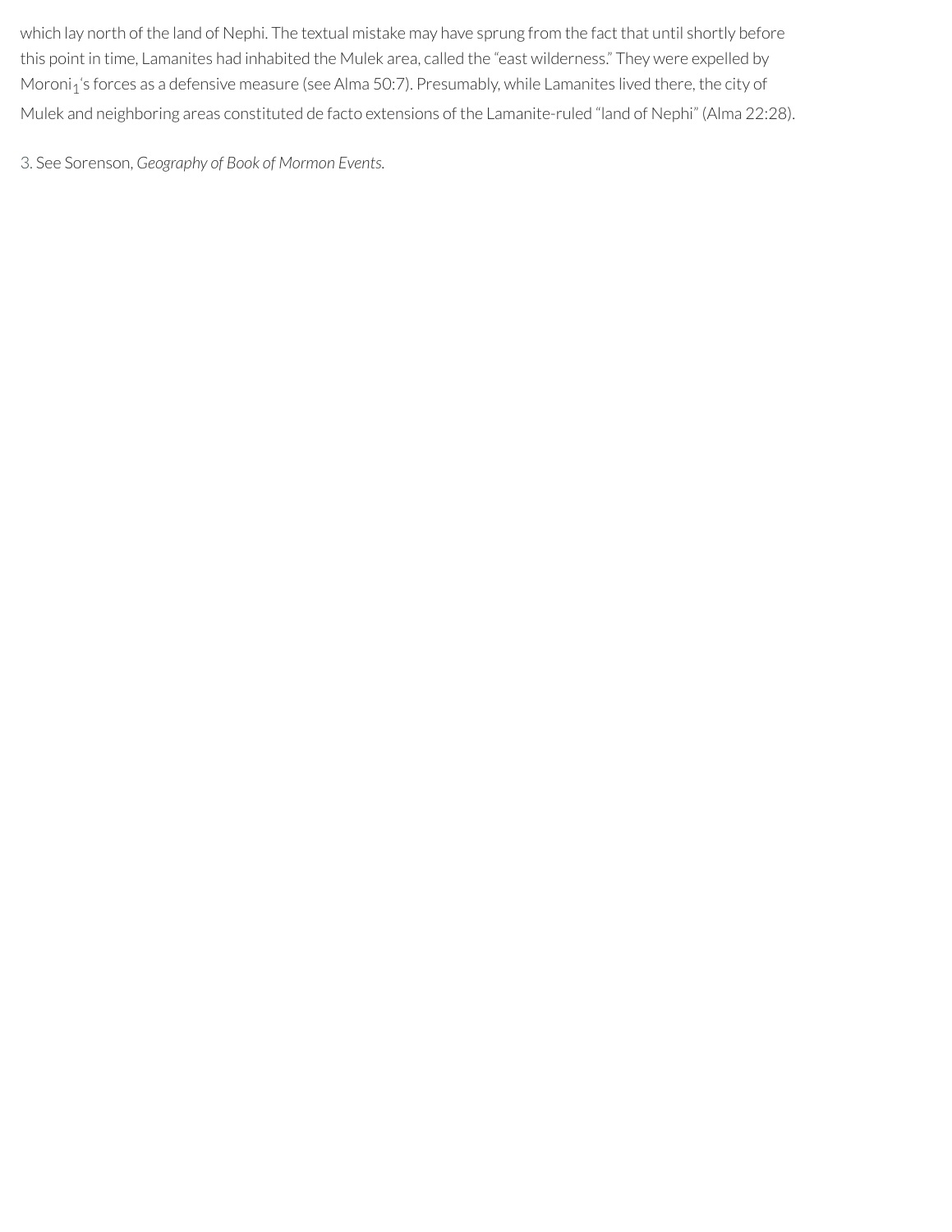which lay north of the land of Nephi. The textual mistake may have sprung from the fact that until shortly before this point in time, Lamanites had inhabited the Mulek area, called the "east wilderness." They were expelled by Moroni<sub>1</sub>'s forces as a defensive measure (see Alma 50:7). Presumably, while Lamanites lived there, the city of Mulek and neighboring areas constituted de facto extensions of the Lamanite-ruled "land of Nephi" (Alma 22:28).

<span id="page-9-0"></span>[3.](#page-8-2) See Sorenson, *Geography of Book of Mormon Events.*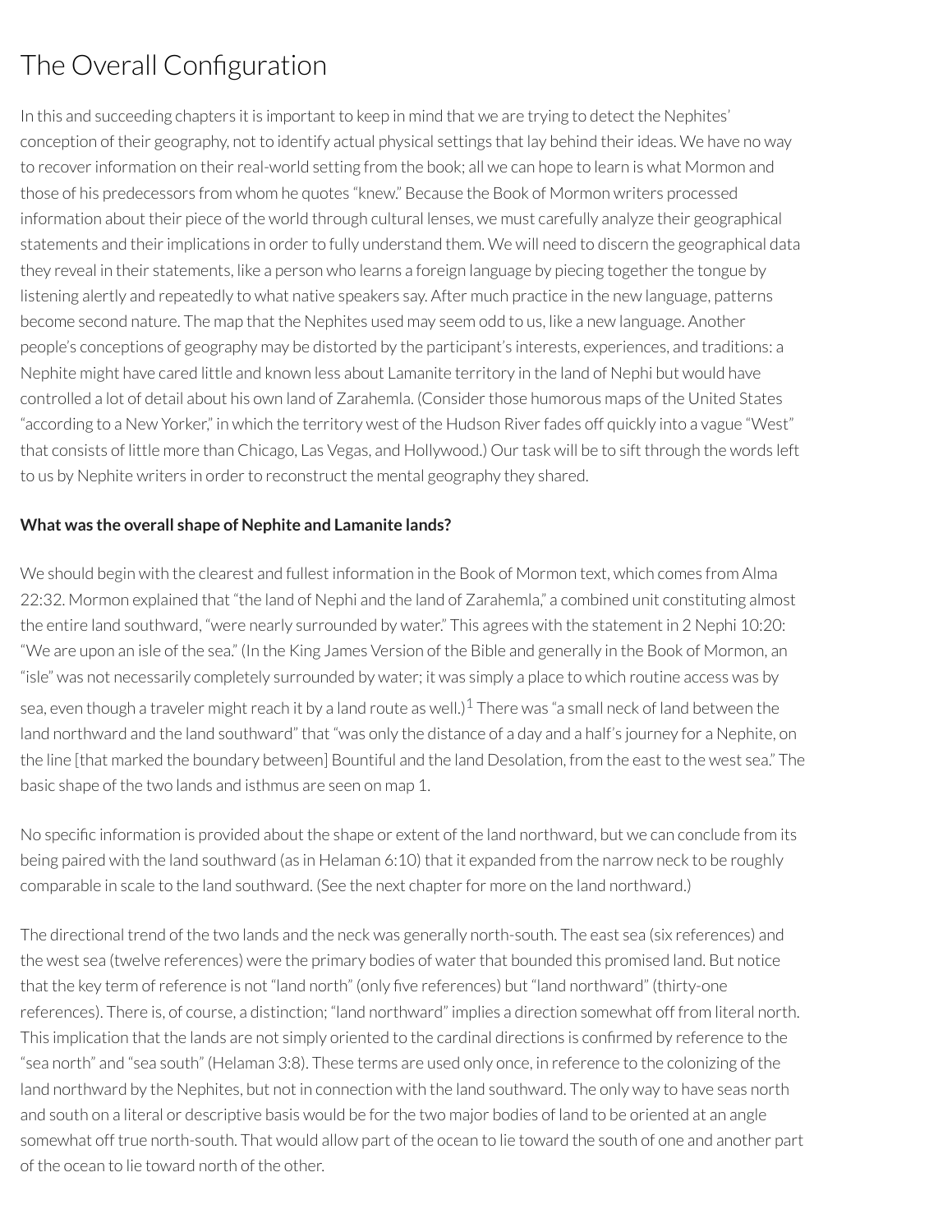# The Overall Configuration

In this and succeeding chapters it is important to keep in mind that we are trying to detect the Nephites' conception of their geography, not to identify actual physical settings that lay behind their ideas. We have no way to recover information on their real-world setting from the book; all we can hope to learn is what Mormon and those of his predecessors from whom he quotes "knew." Because the Book of Mormon writers processed information about their piece of the world through cultural lenses, we must carefully analyze their geographical statements and their implications in order to fully understand them. We will need to discern the geographical data they reveal in their statements, like a person who learns a foreign language by piecing together the tongue by listening alertly and repeatedly to what native speakers say. After much practice in the new language, patterns become second nature. The map that the Nephites used may seem odd to us, like a new language. Another people's conceptions of geography may be distorted by the participant's interests, experiences, and traditions: a Nephite might have cared little and known less about Lamanite territory in the land of Nephi but would have controlled a lot of detail about his own land of Zarahemla. (Considerthose humorous maps of the United States "according to a New Yorker," in which the territory west of the Hudson Riverfades off quickly into a vague "West" that consists of little more than Chicago, Las Vegas, and Hollywood.) Our task will be to sift through the words left to us by Nephite writers in order to reconstruct the mental geography they shared.

#### **What was the overall shape of Nephite and Lamanite lands?**

We should begin with the clearest and fullest information in the Book of Mormon text, which comes from Alma 22:32. Mormon explained that "the land of Nephi and the land of Zarahemla," a combined unit constituting almost the entire land southward, "were nearly surrounded by water." This agrees with the statement in 2 Nephi 10:20: "We are upon an isle of the sea." (In the King James Version of the Bible and generally in the Book of Mormon, an "isle" was not necessarily completely surrounded by water; it was simply a place to which routine access was by sea, even though a traveler might reach it by a land route as well.) $^1$  $^1$  There was "a small neck of land between the land northward and the land southward" that "was only the distance of a day and a half's journey for a Nephite, on the line [that marked the boundary between] Bountiful and the land Desolation, from the east to the west sea." The basic shape of the two lands and isthmus are seen on map 1.

<span id="page-10-0"></span>No specific information is provided about the shape or extent of the land northward, but we can conclude from its being paired with the land southward (as in Helaman 6:10) that it expanded from the narrow neck to be roughly comparable in scale to the land southward. (See the next chapter for more on the land northward.)

The directional trend of the two lands and the neck was generally north-south. The east sea (six references) and the west sea (twelve references) were the primary bodies of water that bounded this promised land. But notice that the key term of reference is not "land north" (only five references) but "land northward" (thirty-one references). There is, of course, a distinction; "land northward" implies a direction somewhat off from literal north. This implication that the lands are not simply oriented to the cardinal directions is confirmed by reference to the "sea north" and "sea south" (Helaman 3:8). These terms are used only once, in reference to the colonizing of the land northward by the Nephites, but not in connection with the land southward. The only way to have seas north and south on a literal or descriptive basis would be forthe two major bodies of land to be oriented at an angle somewhat off true north-south. That would allow part of the ocean to lie toward the south of one and another part of the ocean to lie toward north of the other.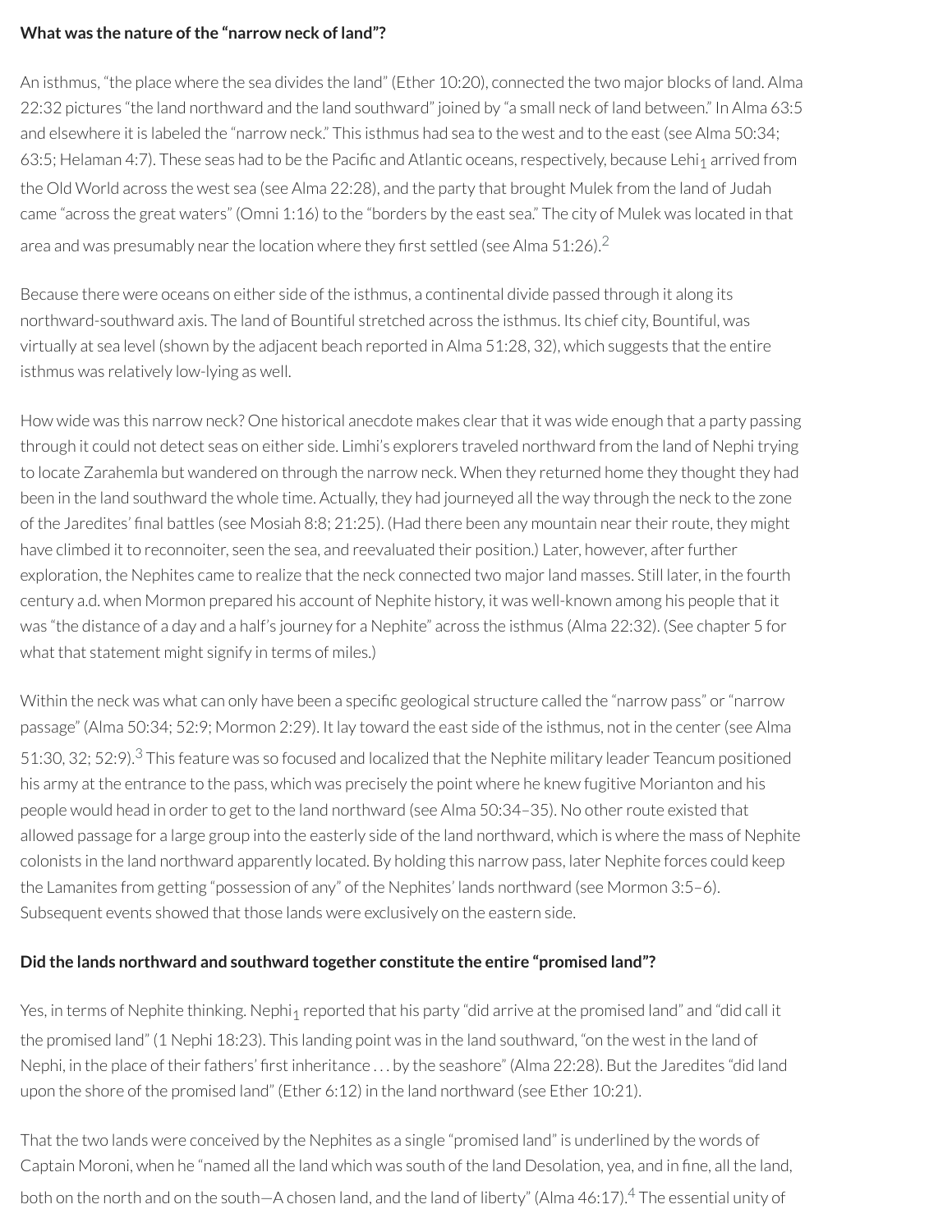#### **What was the nature ofthe "narrow neck of land"?**

An isthmus, "the place where the sea divides the land" (Ether 10:20), connected the two major blocks of land. Alma 22:32 pictures "the land northward and the land southward" joined by "a small neck of land between." In Alma 63:5 and elsewhere it is labeled the "narrow neck." This isthmus had sea to the west and to the east (see Alma 50:34; 63:5; Helaman 4:7). These seas had to be the Pacific and Atlantic oceans, respectively, because Lehi<sub>1</sub> arrived from the Old World across the west sea (see Alma 22:28), and the party that brought Mulek from the land of Judah came "across the great waters" (Omni 1:16) to the "borders by the east sea." The city of Mulek was located in that area and was presumably near the location where they first settled (see Alma 51:[2](#page-15-1)6). $^2$ 

<span id="page-11-0"></span>Because there were oceans on either side of the isthmus, a continental divide passed through it along its northward-southward axis. The land of Bountiful stretched across the isthmus. Its chief city, Bountiful, was virtually at sea level (shown by the adjacent beach reported in Alma 51:28, 32), which suggests that the entire isthmus was relatively low-lying as well.

How wide was this narrow neck? One historical anecdote makes clearthat it was wide enough that a party passing through it could not detect seas on either side. Limhi's explorers traveled northward from the land of Nephi trying to locate Zarahemla but wandered on through the narrow neck. When they returned home they thought they had been in the land southward the whole time. Actually, they had journeyed all the way through the neck to the zone of the Jaredites' final battles (see Mosiah 8:8; 21:25). (Had there been any mountain near their route, they might have climbed it to reconnoiter, seen the sea, and reevaluated their position.) Later, however, afterfurther exploration, the Nephites came to realize that the neck connected two majorland masses. Still later, in the fourth century a.d. when Mormon prepared his account of Nephite history, it was well-known among his people that it was "the distance of a day and a half's journey for a Nephite" across the isthmus (Alma 22:32). (See chapter 5 for what that statement might signify in terms of miles.)

<span id="page-11-1"></span>Within the neck was what can only have been a specific geological structure called the "narrow pass" or "narrow passage" (Alma 50:34; 52:9; Mormon 2:29). It lay toward the east side of the isthmus, not in the center(see Alma 51:[3](#page-15-2)0, 32; 52:9). $3$  This feature was so focused and localized that the Nephite military leader Teancum positioned his army at the entrance to the pass, which was precisely the point where he knew fugitive Morianton and his people would head in order to get to the land northward (see Alma 50:34–35). No other route existed that allowed passage for a large group into the easterly side of the land northward, which is where the mass of Nephite colonists in the land northward apparently located. By holding this narrow pass, later Nephite forces could keep the Lamanites from getting "possession of any" of the Nephites' lands northward (see Mormon 3:5–6). Subsequent events showed that those lands were exclusively on the eastern side.

#### **Did the lands northward and southward together constitute the entire "promised land"?**

Yes, in terms of Nephite thinking. Nephi<sub>1</sub> reported that his party "did arrive at the promised land" and "did call it the promised land" (1 Nephi 18:23). This landing point was in the land southward, "on the west in the land of Nephi, in the place of their fathers' first inheritance ... by the seashore" (Alma 22:28). But the Jaredites "did land upon the shore of the promised land" (Ether 6:12) in the land northward (see Ether 10:21).

<span id="page-11-2"></span>That the two lands were conceived by the Nephites as a single "promised land" is underlined by the words of Captain Moroni, when he "named all the land which was south of the land Desolation, yea, and in fine, all the land, both on the north and on the south—A chosen land, and the land of liberty" (Alma [4](#page-15-3)6:17).<sup>4</sup> The essential unity of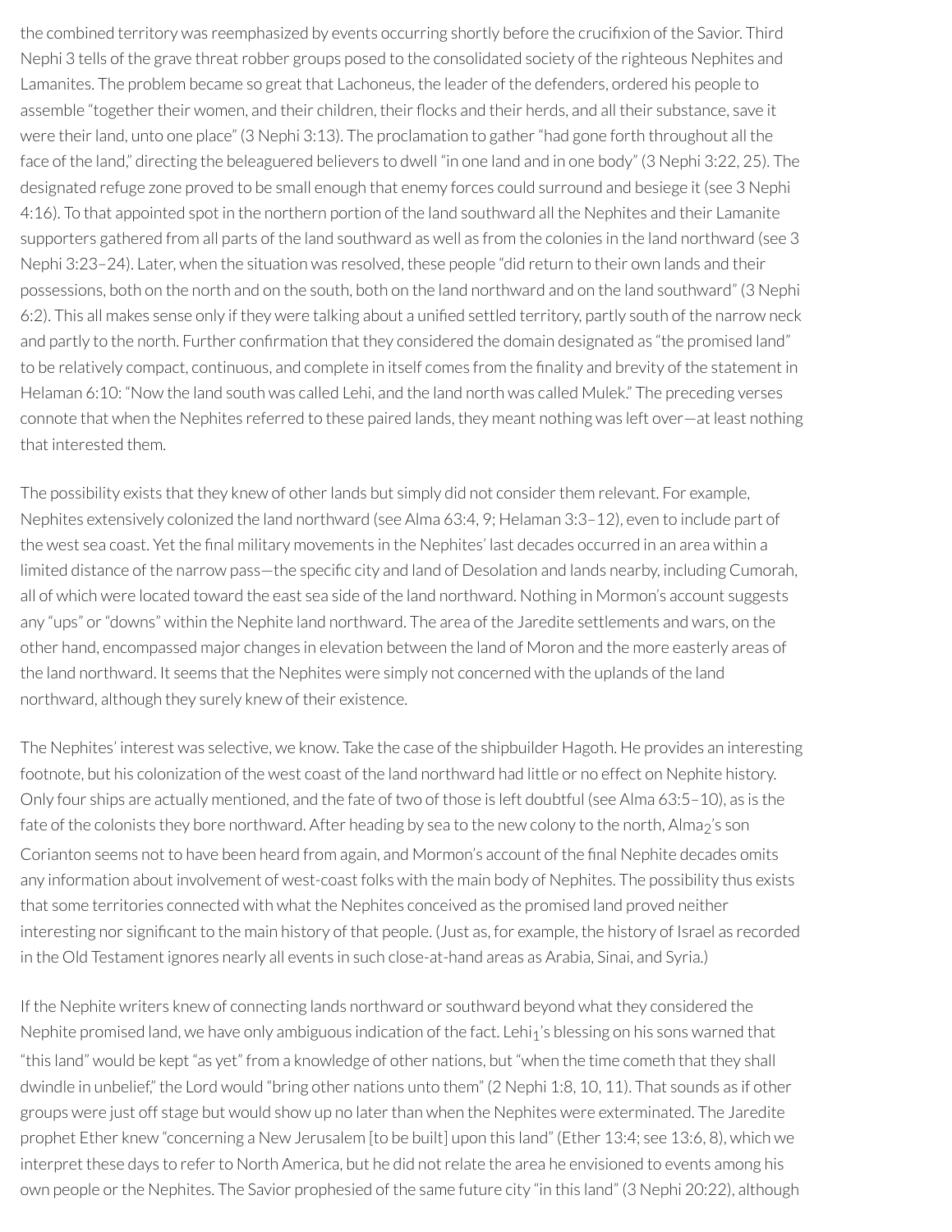the combined territory was reemphasized by events occurring shortly before the crucifixion of the Savior. Third Nephi 3 tells of the grave threat robber groups posed to the consolidated society of the righteous Nephites and Lamanites. The problem became so great that Lachoneus, the leader of the defenders, ordered his people to assemble "together their women, and their children, their flocks and their herds, and all their substance, save it were their land, unto one place" (3 Nephi 3:13). The proclamation to gather "had gone forth throughout all the face of the land," directing the beleaguered believers to dwell "in one land and in one body" (3 Nephi 3:22, 25). The designated refuge zone proved to be small enough that enemy forces could surround and besiege it (see 3 Nephi 4:16). To that appointed spot in the northern portion of the land southward all the Nephites and their Lamanite supporters gathered from all parts of the land southward as well as from the colonies in the land northward (see 3 Nephi 3:23–24). Later, when the situation was resolved, these people "did return to their own lands and their possessions, both on the north and on the south, both on the land northward and on the land southward" (3 Nephi 6:2). This all makes sense only if they were talking about a unified settled territory, partly south of the narrow neck and partly to the north. Further confirmation that they considered the domain designated as "the promised land" to be relatively compact, continuous, and complete in itself comes from the finality and brevity of the statement in Helaman 6:10: "Now the land south was called Lehi, and the land north was called Mulek." The preceding verses connote that when the Nephites referred to these paired lands, they meant nothing was left over—at least nothing that interested them.

The possibility exists that they knew of other lands but simply did not consider them relevant. For example, Nephites extensively colonized the land northward (see Alma 63:4, 9; Helaman 3:3–12), even to include part of the west sea coast. Yet the final military movements in the Nephites' last decades occurred in an area within a limited distance of the narrow pass—the specific city and land of Desolation and lands nearby, including Cumorah, all of which were located toward the east sea side of the land northward. Nothing in Mormon's account suggests any "ups" or"downs" within the Nephite land northward. The area of the Jaredite settlements and wars, on the other hand, encompassed major changes in elevation between the land of Moron and the more easterly areas of the land northward. It seems that the Nephites were simply not concerned with the uplands of the land northward, although they surely knew of their existence.

The Nephites' interest was selective, we know. Take the case of the shipbuilder Hagoth. He provides an interesting footnote, but his colonization of the west coast of the land northward had little or no effect on Nephite history. Only four ships are actually mentioned, and the fate of two of those is left doubtful (see Alma 63:5–10), as is the fate of the colonists they bore northward. After heading by sea to the new colony to the north, Alma<sub>2</sub>'s son Corianton seems not to have been heard from again, and Mormon's account of the final Nephite decades omits any information about involvement of west-coast folks with the main body of Nephites. The possibility thus exists that some territories connected with what the Nephites conceived as the promised land proved neither interesting nor signicant to the main history of that people. (Just as, for example, the history of Israel as recorded in the Old Testament ignores nearly all events in such close-at-hand areas as Arabia, Sinai, and Syria.)

If the Nephite writers knew of connecting lands northward or southward beyond what they considered the Nephite promised land, we have only ambiguous indication of the fact. Lehi<sub>1</sub>'s blessing on his sons warned that "this land" would be kept "as yet" from a knowledge of other nations, but "when the time cometh that they shall dwindle in unbelief," the Lord would "bring other nations unto them" (2 Nephi 1:8, 10, 11). That sounds as if other groups were just off stage but would show up no later than when the Nephites were exterminated. The Jaredite prophet Ether knew "concerning a New Jerusalem [to be built] upon this land" (Ether 13:4; see 13:6, 8), which we interpret these days to refer to North America, but he did not relate the area he envisioned to events among his own people or the Nephites. The Savior prophesied of the same future city "in this land" (3 Nephi 20:22), although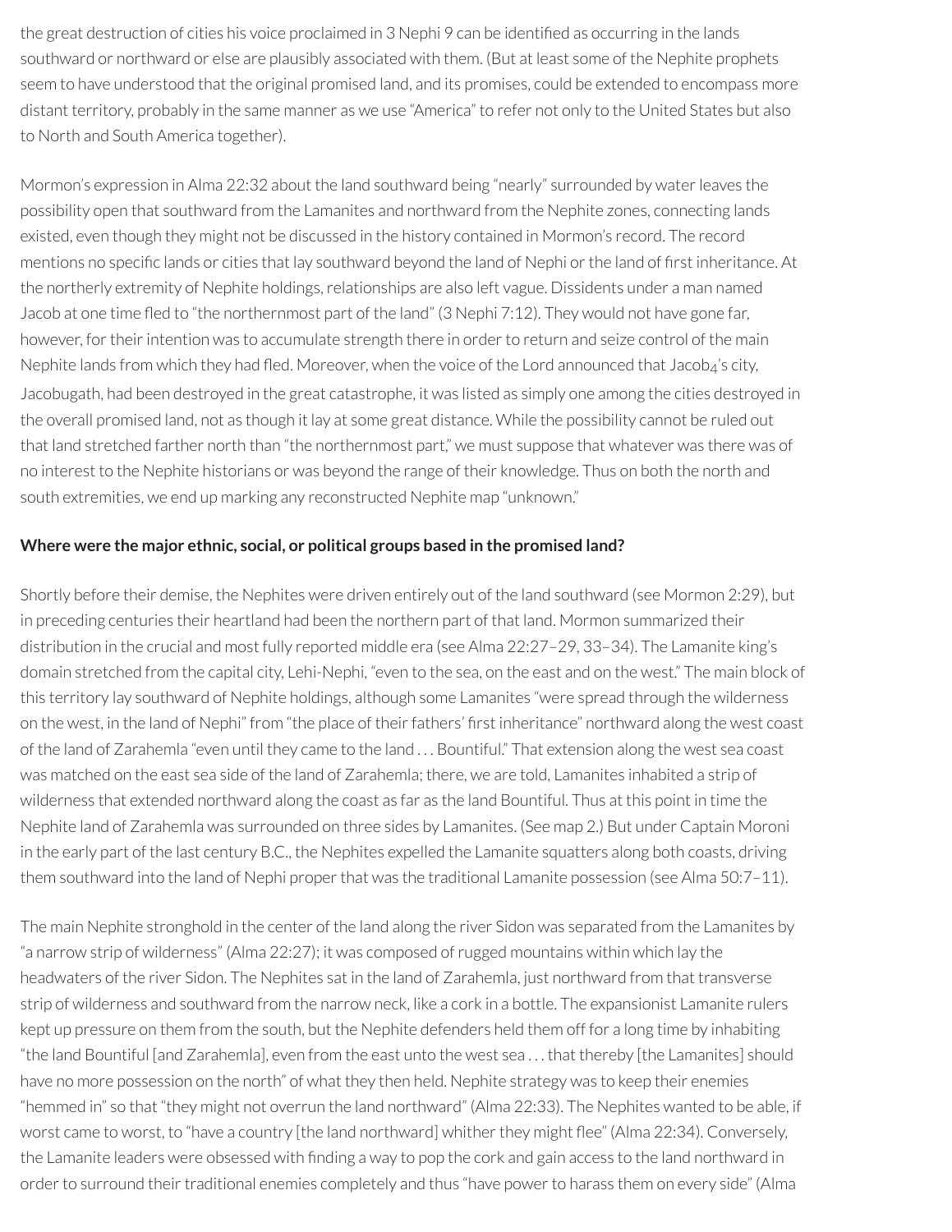the great destruction of cities his voice proclaimed in 3 Nephi 9 can be identified as occurring in the lands southward or northward or else are plausibly associated with them. (But at least some of the Nephite prophets seem to have understood that the original promised land, and its promises, could be extended to encompass more distant territory, probably in the same manner as we use "America" to refer not only to the United States but also to North and South America together).

Mormon's expression in Alma 22:32 about the land southward being "nearly" surrounded by water leaves the possibility open that southward from the Lamanites and northward from the Nephite zones, connecting lands existed, even though they might not be discussed in the history contained in Mormon's record. The record mentions no specific lands or cities that lay southward beyond the land of Nephi or the land of first inheritance. At the northerly extremity of Nephite holdings, relationships are also left vague. Dissidents under a man named Jacob at one time fled to "the northernmost part of the land" (3 Nephi 7:12). They would not have gone far, however, for their intention was to accumulate strength there in order to return and seize control of the main Nephite lands from which they had fled. Moreover, when the voice of the Lord announced that Jacob<sub>4</sub>'s city, Jacobugath, had been destroyed in the great catastrophe, it was listed as simply one among the cities destroyed in the overall promised land, not as though it lay at some great distance. While the possibility cannot be ruled out that land stretched farther north than "the northernmost part," we must suppose that whatever was there was of no interest to the Nephite historians or was beyond the range of their knowledge. Thus on both the north and south extremities, we end up marking any reconstructed Nephite map "unknown."

#### **Where were the major ethnic, social, or political groups based in the promised land?**

Shortly before their demise, the Nephites were driven entirely out of the land southward (see Mormon 2:29), but in preceding centuries their heartland had been the northern part of that land. Mormon summarized their distribution in the crucial and most fully reported middle era (see Alma 22:27–29, 33–34). The Lamanite king's domain stretched from the capital city, Lehi-Nephi, "even to the sea, on the east and on the west." The main block of this territory lay southward of Nephite holdings, although some Lamanites "were spread through the wilderness on the west, in the land of Nephi" from "the place of their fathers' first inheritance" northward along the west coast of the land of Zarahemla "even until they came to the land . . . Bountiful." That extension along the west sea coast was matched on the east sea side of the land of Zarahemla; there, we are told, Lamanites inhabited a strip of wilderness that extended northward along the coast as far as the land Bountiful. Thus at this point in time the Nephite land of Zarahemla was surrounded on three sides by Lamanites. (See map 2.) But under Captain Moroni in the early part of the last century B.C., the Nephites expelled the Lamanite squatters along both coasts, driving them southward into the land of Nephi proper that was the traditional Lamanite possession (see Alma 50:7–11).

The main Nephite stronghold in the center of the land along the river Sidon was separated from the Lamanites by "a narrow strip of wilderness" (Alma 22:27); it was composed ofrugged mountains within which lay the headwaters of the river Sidon. The Nephites sat in the land of Zarahemla, just northward from that transverse strip of wilderness and southward from the narrow neck, like a cork in a bottle. The expansionist Lamanite rulers kept up pressure on them from the south, but the Nephite defenders held them off for a long time by inhabiting "the land Bountiful [and Zarahemla], even from the east unto the west sea . . . that thereby [the Lamanites] should have no more possession on the north" of what they then held. Nephite strategy was to keep their enemies "hemmed in" so that "they might not overrun the land northward" (Alma 22:33). The Nephites wanted to be able, if worst came to worst, to "have a country [the land northward] whither they might flee" (Alma 22:34). Conversely, the Lamanite leaders were obsessed with finding a way to pop the cork and gain access to the land northward in order to surround their traditional enemies completely and thus "have power to harass them on every side" (Alma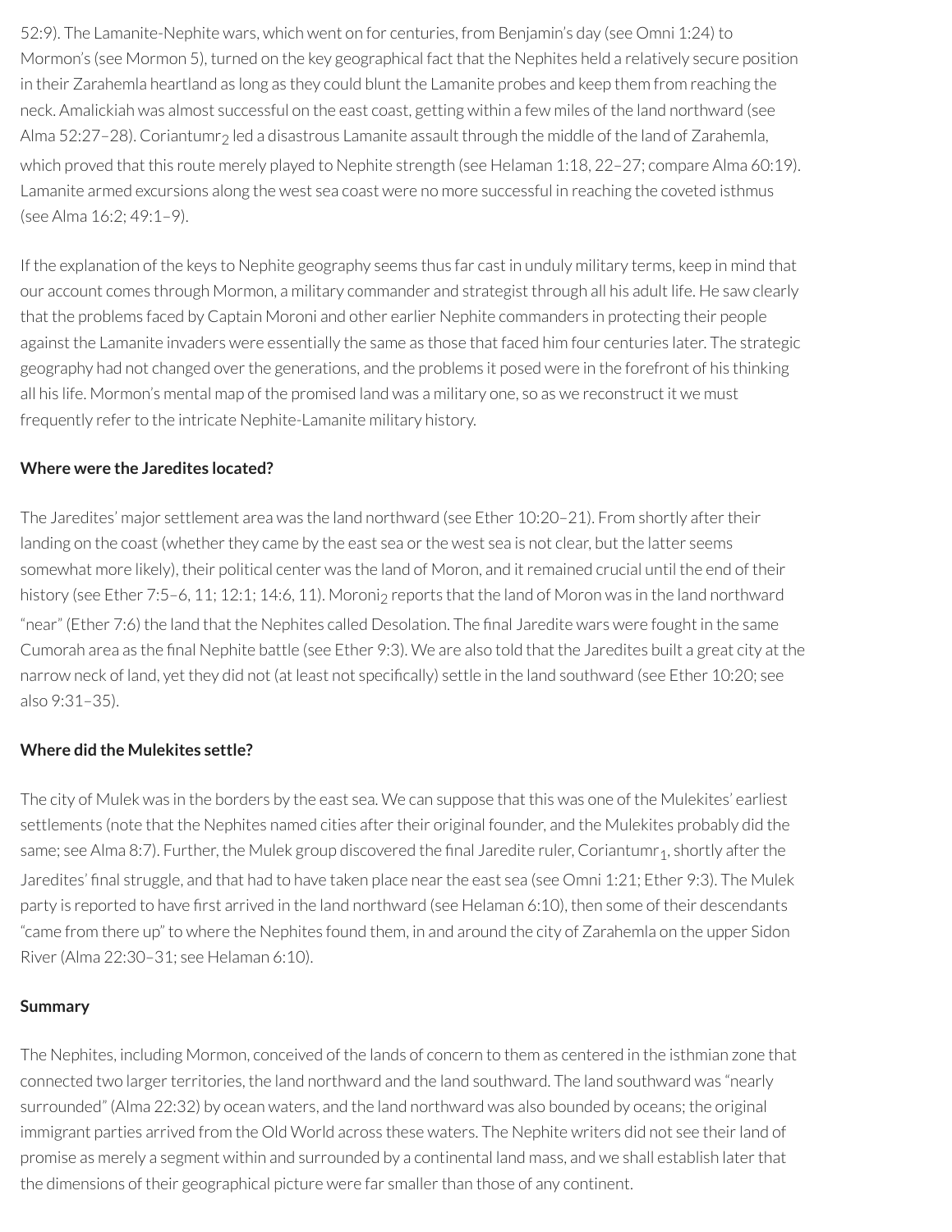52:9). The Lamanite-Nephite wars, which went on for centuries, from Benjamin's day (see Omni 1:24) to Mormon's (see Mormon 5), turned on the key geographical fact that the Nephites held a relatively secure position in their Zarahemla heartland as long as they could blunt the Lamanite probes and keep them from reaching the neck. Amalickiah was almost successful on the east coast, getting within a few miles of the land northward (see Alma 52:27–28). Coriantumr<sub>2</sub> led a disastrous Lamanite assault through the middle of the land of Zarahemla, which proved that this route merely played to Nephite strength (see Helaman 1:18, 22–27; compare Alma 60:19). Lamanite armed excursions along the west sea coast were no more successful in reaching the coveted isthmus (see Alma 16:2; 49:1–9).

If the explanation of the keys to Nephite geography seems thus far cast in unduly military terms, keep in mind that our account comes through Mormon, a military commander and strategist through all his adult life. He saw clearly that the problems faced by Captain Moroni and other earlier Nephite commanders in protecting their people against the Lamanite invaders were essentially the same as those that faced him four centuries later. The strategic geography had not changed over the generations, and the problems it posed were in the forefront of his thinking all his life. Mormon's mental map of the promised land was a military one, so as we reconstruct it we must frequently refer to the intricate Nephite-Lamanite military history.

#### **Where were the Jaredites located?**

The Jaredites' major settlement area was the land northward (see Ether 10:20-21). From shortly after their landing on the coast (whether they came by the east sea or the west sea is not clear, but the latter seems somewhat more likely), their political center was the land of Moron, and it remained crucial until the end of their history (see Ether 7:5–6, 11; 12:1; 14:6, 11). Moroni<sub>2</sub> reports that the land of Moron was in the land northward "near" (Ether 7:6) the land that the Nephites called Desolation. The final Jaredite wars were fought in the same Cumorah area as the final Nephite battle (see Ether 9:3). We are also told that the Jaredites built a great city at the narrow neck of land, yet they did not (at least not specifically) settle in the land southward (see Ether 10:20; see also 9:31–35).

#### **Where did the Mulekites settle?**

The city of Mulek was in the borders by the east sea. We can suppose that this was one of the Mulekites' earliest settlements (note that the Nephites named cities after their original founder, and the Mulekites probably did the same; see Alma 8:7). Further, the Mulek group discovered the final Jaredite ruler, Coriantumr<sub>1</sub>, shortly after the Jaredites' final struggle, and that had to have taken place near the east sea (see Omni 1:21; Ether 9:3). The Mulek party is reported to have first arrived in the land northward (see Helaman 6:10), then some of their descendants "came from there up" to where the Nephites found them, in and around the city of Zarahemla on the upper Sidon River(Alma 22:30–31; see Helaman 6:10).

#### **Summary**

The Nephites, including Mormon, conceived of the lands of concern to them as centered in the isthmian zone that connected two larger territories, the land northward and the land southward. The land southward was "nearly surrounded" (Alma 22:32) by ocean waters, and the land northward was also bounded by oceans; the original immigrant parties arrived from the Old World across these waters. The Nephite writers did not see their land of promise as merely a segment within and surrounded by a continental land mass, and we shall establish laterthat the dimensions of their geographical picture were far smaller than those of any continent.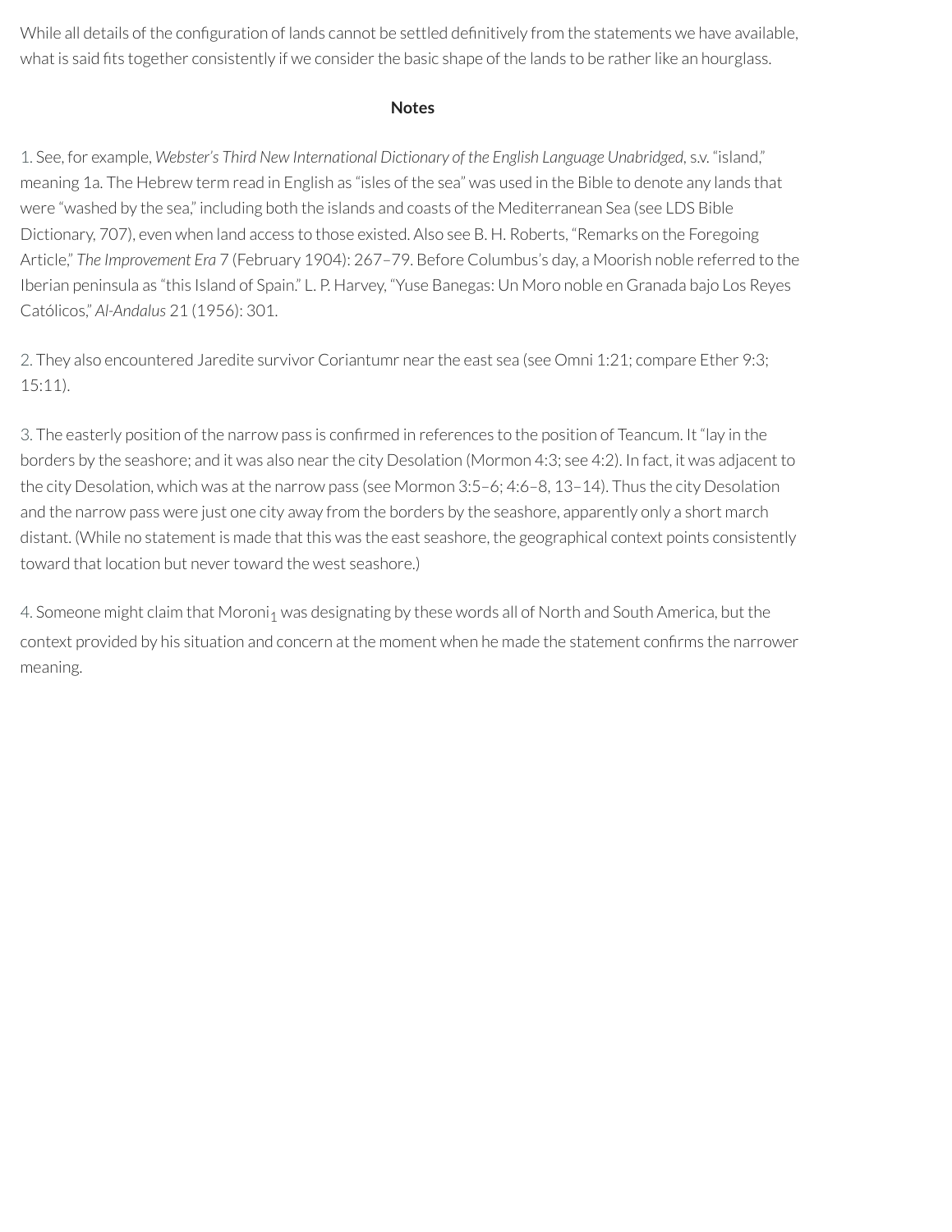While all details of the configuration of lands cannot be settled definitively from the statements we have available, what is said fits together consistently if we consider the basic shape of the lands to be rather like an hourglass.

#### **Notes**

<span id="page-15-0"></span>[1.](#page-10-0) See, for example, *Webster's Third New International Dictionary of the English Language Unabridged,* s.v. "island," meaning 1a. The Hebrew term read in English as "isles of the sea" was used in the Bible to denote any lands that were "washed by the sea," including both the islands and coasts of the Mediterranean Sea (see LDS Bible Dictionary, 707), even when land access to those existed. Also see B. H. Roberts, "Remarks on the Foregoing Article," *The Improvement Era* 7 (February 1904): 267–79. Before Columbus's day, a Moorish noble referred to the Iberian peninsula as "this Island of Spain." L. P. Harvey, "Yuse Banegas: Un Moro noble en Granada bajo Los Reyes Católicos," *Al-Andalus* 21 (1956): 301.

<span id="page-15-1"></span>[2.](#page-11-0) They also encountered Jaredite survivor Coriantumr nearthe east sea (see Omni 1:21; compare Ether 9:3; 15:11).

<span id="page-15-2"></span>[3.](#page-11-1) The easterly position of the narrow pass is confirmed in references to the position of Teancum. It "lay in the borders by the seashore; and it was also nearthe city Desolation (Mormon 4:3; see 4:2). In fact, it was adjacent to the city Desolation, which was at the narrow pass (see Mormon 3:5–6; 4:6–8, 13–14). Thus the city Desolation and the narrow pass were just one city away from the borders by the seashore, apparently only a short march distant. (While no statement is made that this was the east seashore, the geographical context points consistently toward that location but never toward the west seashore.)

<span id="page-15-3"></span>[4.](#page-11-2) Someone might claim that Moroni<sub>1</sub> was designating by these words all of North and South America, but the context provided by his situation and concern at the moment when he made the statement confirms the narrower meaning.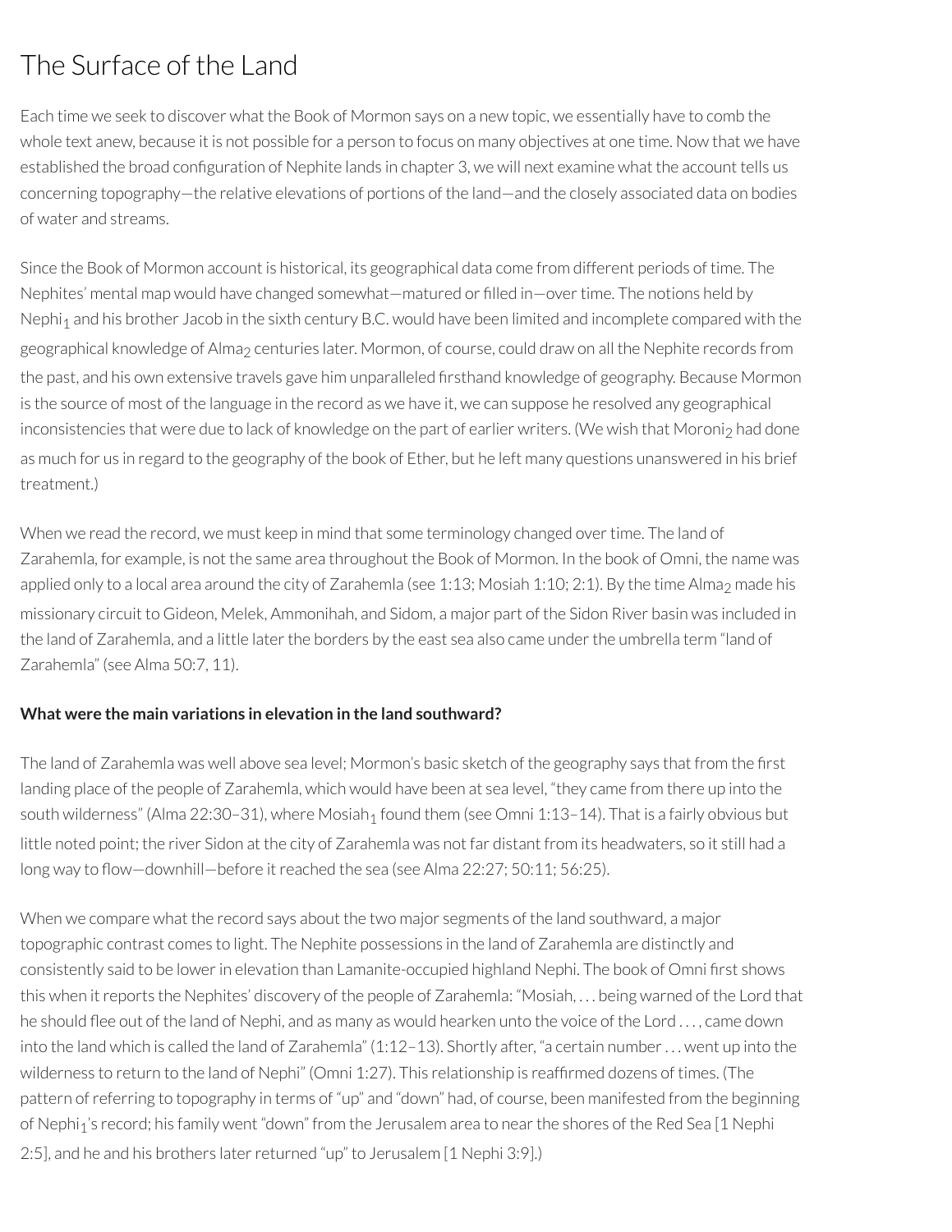# The Surface of the Land

Each time we seek to discover what the Book of Mormon says on a new topic, we essentially have to comb the whole text anew, because it is not possible for a person to focus on many objectives at one time. Now that we have established the broad configuration of Nephite lands in chapter 3, we will next examine what the account tells us concerning topography—the relative elevations of portions of the land—and the closely associated data on bodies of water and streams.

Since the Book of Mormon account is historical, its geographical data come from different periods of time. The Nephites' mental map would have changed somewhat—matured or filled in—over time. The notions held by Nephi<sub>1</sub> and his brother Jacob in the sixth century B.C. would have been limited and incomplete compared with the geographical knowledge of Alma<sub>2</sub> centuries later. Mormon, of course, could draw on all the Nephite records from the past, and his own extensive travels gave him unparalleled firsthand knowledge of geography. Because Mormon is the source of most of the language in the record as we have it, we can suppose he resolved any geographical inconsistencies that were due to lack of knowledge on the part of earlier writers. (We wish that Moroni2 had done as much for us in regard to the geography of the book of Ether, but he left many questions unanswered in his brief treatment.)

When we read the record, we must keep in mind that some terminology changed overtime. The land of Zarahemla, for example, is not the same area throughout the Book of Mormon. In the book of Omni, the name was applied only to a local area around the city of Zarahemla (see 1:13; Mosiah 1:10; 2:1). By the time Alma<sub>2</sub> made his missionary circuit to Gideon, Melek, Ammonihah, and Sidom, a major part of the Sidon River basin was included in the land of Zarahemla, and a little later the borders by the east sea also came under the umbrella term "land of Zarahemla" (see Alma 50:7, 11).

### **What were the main variations in elevation in the land southward?**

The land of Zarahemla was well above sea level; Mormon's basic sketch of the geography says that from the first landing place of the people of Zarahemla, which would have been at sea level, "they came from there up into the south wilderness" (Alma 22:30-31), where Mosiah<sub>1</sub> found them (see Omni 1:13-14). That is a fairly obvious but little noted point; the river Sidon at the city of Zarahemla was not far distant from its headwaters, so it still had a long way to flow—downhill—before it reached the sea (see Alma 22:27; 50:11; 56:25).

When we compare what the record says about the two major segments of the land southward, a major topographic contrast comes to light. The Nephite possessions in the land of Zarahemla are distinctly and consistently said to be lower in elevation than Lamanite-occupied highland Nephi. The book of Omni first shows this when itreports the Nephites' discovery of the people of Zarahemla: "Mosiah, . . . being warned of the Lord that he should flee out of the land of Nephi, and as many as would hearken unto the voice of the Lord ..., came down into the land which is called the land of Zarahemla" (1:12–13). Shortly after, "a certain number. . . went up into the wilderness to return to the land of Nephi" (Omni 1:27). This relationship is reafrmed dozens of times. (The pattern ofreferring to topography in terms of "up" and "down" had, of course, been manifested from the beginning of Nephi<sub>1</sub>'s record; his family went "down" from the Jerusalem area to near the shores of the Red Sea [1 Nephi 2:5], and he and his brothers later returned "up" to Jerusalem [1 Nephi 3:9].)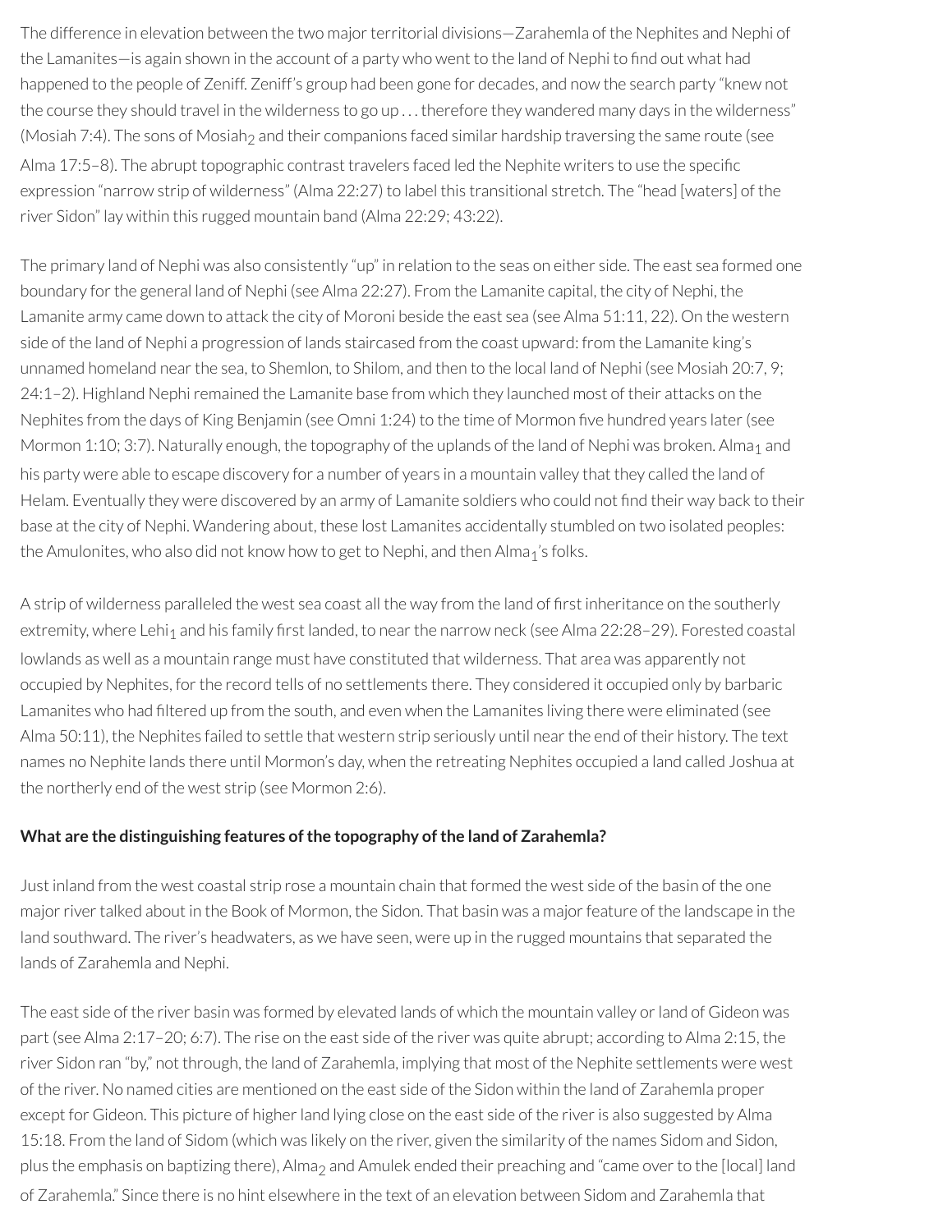The difference in elevation between the two major territorial divisions–Zarahemla of the Nephites and Nephi of the Lamanites—is again shown in the account of a party who went to the land of Nephi to find out what had happened to the people of Zeniff. Zeniff's group had been gone for decades, and now the search party "knew not the course they should travel in the wilderness to go up . . . therefore they wandered many days in the wilderness" (Mosiah 7:4). The sons of Mosiah<sub>2</sub> and their companions faced similar hardship traversing the same route (see Alma 17:5–8). The abrupt topographic contrast travelers faced led the Nephite writers to use the specific expression "narrow strip of wilderness" (Alma 22:27) to label this transitional stretch. The "head [waters] of the river Sidon" lay within this rugged mountain band (Alma 22:29; 43:22).

The primary land of Nephi was also consistently "up" in relation to the seas on either side. The east sea formed one boundary forthe general land of Nephi (see Alma 22:27). From the Lamanite capital, the city of Nephi, the Lamanite army came down to attack the city of Moroni beside the east sea (see Alma 51:11, 22). On the western side of the land of Nephi a progression of lands staircased from the coast upward: from the Lamanite king's unnamed homeland nearthe sea, to Shemlon, to Shilom, and then to the local land of Nephi (see Mosiah 20:7, 9; 24:1–2). Highland Nephiremained the Lamanite base from which they launched most of their attacks on the Nephites from the days of King Benjamin (see Omni 1:24) to the time of Mormon five hundred years later (see Mormon 1:10; 3:7). Naturally enough, the topography of the uplands of the land of Nephi was broken. Alma<sub>1</sub> and his party were able to escape discovery for a number of years in a mountain valley that they called the land of Helam. Eventually they were discovered by an army of Lamanite soldiers who could not find their way back to their base at the city of Nephi. Wandering about, these lost Lamanites accidentally stumbled on two isolated peoples: the Amulonites, who also did not know how to get to Nephi, and then Alma<sub>1</sub>'s folks.

A strip of wilderness paralleled the west sea coast all the way from the land of first inheritance on the southerly extremity, where Lehi<sub>1</sub> and his family first landed, to near the narrow neck (see Alma 22:28–29). Forested coastal lowlands as well as a mountain range must have constituted that wilderness. That area was apparently not occupied by Nephites, forthe record tells of no settlements there. They considered it occupied only by barbaric Lamanites who had filtered up from the south, and even when the Lamanites living there were eliminated (see Alma 50:11), the Nephites failed to settle that western strip seriously until near the end of their history. The text names no Nephite lands there until Mormon's day, when the retreating Nephites occupied a land called Joshua at the northerly end of the west strip (see Mormon 2:6).

#### **What are the distinguishing features ofthe topography ofthe land of Zarahemla?**

Just inland from the west coastal strip rose a mountain chain that formed the west side of the basin of the one major river talked about in the Book of Mormon, the Sidon. That basin was a major feature of the landscape in the land southward. The river's headwaters, as we have seen, were up in the rugged mountains that separated the lands of Zarahemla and Nephi.

The east side of the river basin was formed by elevated lands of which the mountain valley orland of Gideon was part (see Alma 2:17–20; 6:7). The rise on the east side of the river was quite abrupt; according to Alma 2:15, the river Sidon ran "by," not through, the land of Zarahemla, implying that most of the Nephite settlements were west of the river. No named cities are mentioned on the east side of the Sidon within the land of Zarahemla proper except for Gideon. This picture of higher land lying close on the east side of the river is also suggested by Alma 15:18. From the land of Sidom (which was likely on the river, given the similarity of the names Sidom and Sidon, plus the emphasis on baptizing there), Alma<sub>2</sub> and Amulek ended their preaching and "came over to the [local] land of Zarahemla." Since there is no hint elsewhere in the text of an elevation between Sidom and Zarahemla that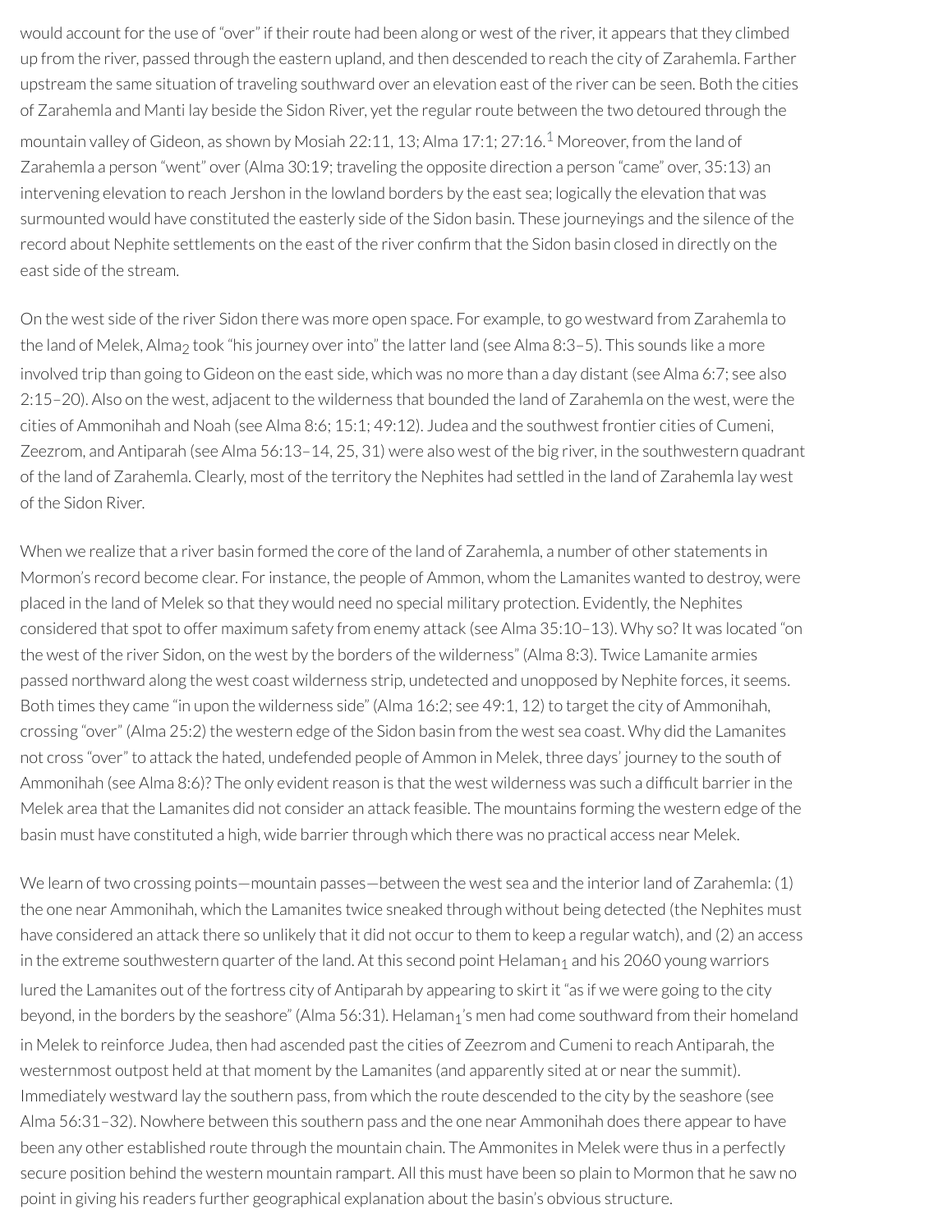<span id="page-18-0"></span>would account for the use of "over" if their route had been along or west of the river, it appears that they climbed up from the river, passed through the eastern upland, and then descended to reach the city of Zarahemla. Farther upstream the same situation of traveling southward over an elevation east of the river can be seen. Both the cities of Zarahemla and Manti lay beside the Sidon River, yet the regular route between the two detoured through the mountain valley of Gideon, as shown by Mosiah 22:11, 13; Alma 17:1; 27:16. [1](#page-24-0) Moreover, from the land of Zarahemla a person "went" over(Alma 30:19; traveling the opposite direction a person "came" over, 35:13) an intervening elevation to reach Jershon in the lowland borders by the east sea; logically the elevation that was surmounted would have constituted the easterly side of the Sidon basin. These journeyings and the silence of the record about Nephite settlements on the east of the river confirm that the Sidon basin closed in directly on the east side of the stream.

On the west side of the river Sidon there was more open space. For example, to go westward from Zarahemla to the land of Melek, Alma<sub>2</sub> took "his journey over into" the latter land (see Alma 8:3–5). This sounds like a more involved trip than going to Gideon on the east side, which was no more than a day distant (see Alma 6:7; see also 2:15–20). Also on the west, adjacent to the wilderness that bounded the land of Zarahemla on the west, were the cities of Ammonihah and Noah (see Alma 8:6; 15:1; 49:12). Judea and the southwest frontier cities of Cumeni, Zeezrom, and Antiparah (see Alma 56:13–14, 25, 31) were also west of the big river, in the southwestern quadrant of the land of Zarahemla. Clearly, most of the territory the Nephites had settled in the land of Zarahemla lay west of the Sidon River.

When we realize that a river basin formed the core of the land of Zarahemla, a number of other statements in Mormon's record become clear. Forinstance, the people of Ammon, whom the Lamanites wanted to destroy, were placed in the land of Melek so that they would need no special military protection. Evidently, the Nephites considered that spot to offer maximum safety from enemy attack (see Alma 35:10–13). Why so? It was located "on the west of the river Sidon, on the west by the borders of the wilderness" (Alma 8:3). Twice Lamanite armies passed northward along the west coast wilderness strip, undetected and unopposed by Nephite forces, it seems. Both times they came "in upon the wilderness side" (Alma 16:2; see 49:1, 12) to target the city of Ammonihah, crossing "over" (Alma 25:2) the western edge of the Sidon basin from the west sea coast. Why did the Lamanites not cross "over" to attack the hated, undefended people of Ammon in Melek, three days' journey to the south of Ammonihah (see Alma 8:6)? The only evident reason is that the west wilderness was such a difficult barrier in the Melek area that the Lamanites did not consider an attack feasible. The mountains forming the western edge of the basin must have constituted a high, wide barrier through which there was no practical access near Melek.

We learn of two crossing points—mountain passes—between the west sea and the interior land of Zarahemla: (1) the one near Ammonihah, which the Lamanites twice sneaked through without being detected (the Nephites must have considered an attack there so unlikely that it did not occur to them to keep a regular watch), and (2) an access in the extreme southwestern quarter of the land. At this second point Helaman<sub>1</sub> and his 2060 young warriors lured the Lamanites out of the fortress city of Antiparah by appearing to skirt it "as if we were going to the city beyond, in the borders by the seashore" (Alma 56:31). Helaman<sub>1</sub>'s men had come southward from their homeland in Melek to reinforce Judea, then had ascended past the cities of Zeezrom and Cumeni to reach Antiparah, the westernmost outpost held at that moment by the Lamanites (and apparently sited at or near the summit). Immediately westward lay the southern pass, from which the route descended to the city by the seashore (see Alma 56:31-32). Nowhere between this southern pass and the one near Ammonihah does there appear to have been any other established route through the mountain chain. The Ammonites in Melek were thus in a perfectly secure position behind the western mountain rampart. All this must have been so plain to Mormon that he saw no point in giving his readers further geographical explanation about the basin's obvious structure.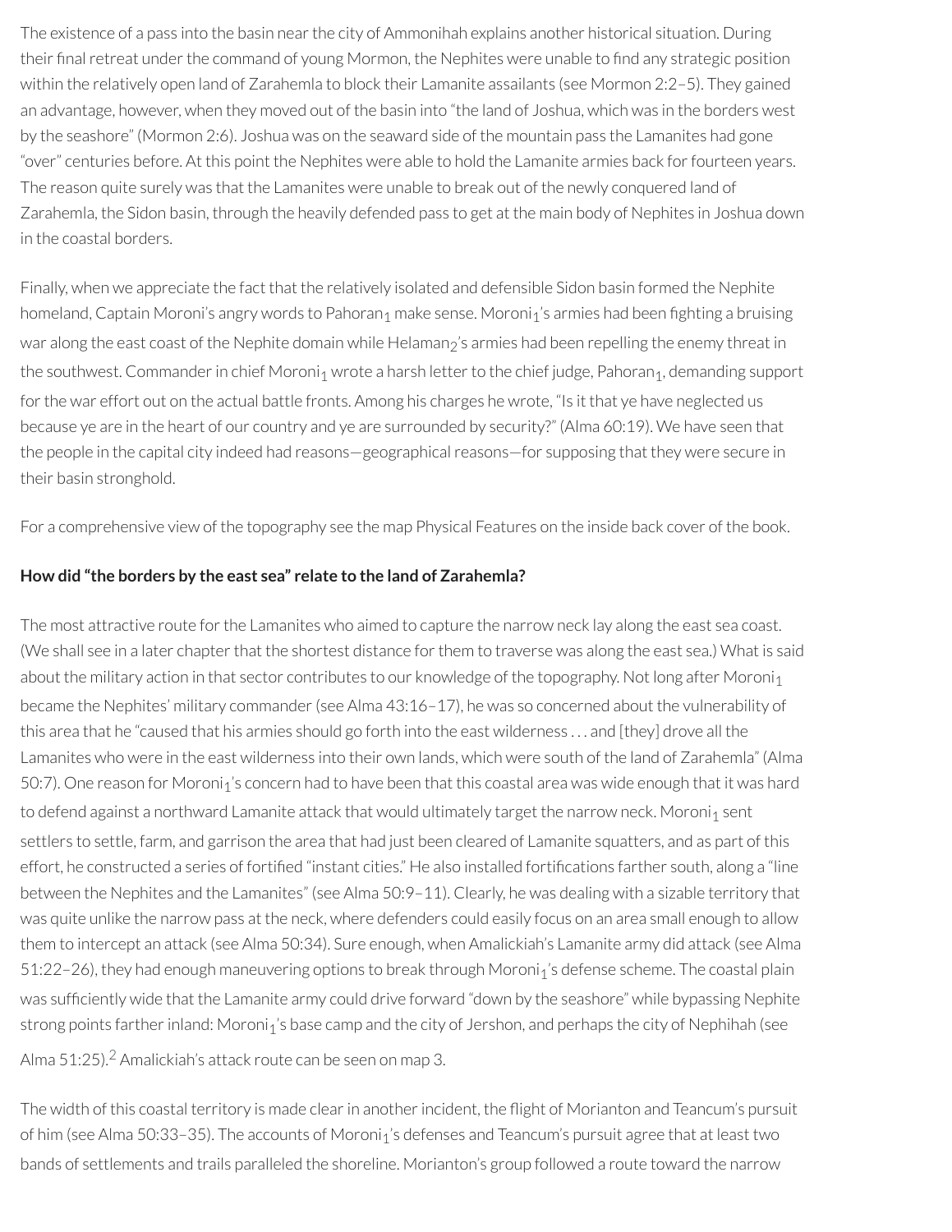The existence of a pass into the basin near the city of Ammonihah explains another historical situation. During their final retreat under the command of young Mormon, the Nephites were unable to find any strategic position within the relatively open land of Zarahemla to block their Lamanite assailants (see Mormon 2:2–5). They gained an advantage, however, when they moved out of the basin into "the land of Joshua, which was in the borders west by the seashore" (Mormon 2:6). Joshua was on the seaward side of the mountain pass the Lamanites had gone "over" centuries before. At this point the Nephites were able to hold the Lamanite armies back forfourteen years. The reason quite surely was that the Lamanites were unable to break out of the newly conquered land of Zarahemla, the Sidon basin, through the heavily defended pass to get at the main body of Nephites in Joshua down in the coastal borders.

Finally, when we appreciate the fact that the relatively isolated and defensible Sidon basin formed the Nephite homeland, Captain Moroni's angry words to Pahoran<sub>1</sub> make sense. Moroni<sub>1</sub>'s armies had been fighting a bruising war along the east coast of the Nephite domain while Helaman<sub>2</sub>'s armies had been repelling the enemy threat in the southwest. Commander in chief Moroni<sub>1</sub> wrote a harsh letter to the chief judge, Pahoran<sub>1</sub>, demanding support for the war effort out on the actual battle fronts. Among his charges he wrote, "Is it that ye have neglected us because ye are in the heart of our country and ye are surrounded by security?" (Alma 60:19). We have seen that the people in the capital city indeed had reasons-geographical reasons-for supposing that they were secure in their basin stronghold.

For a comprehensive view of the topography see the map Physical Features on the inside back cover of the book.

#### **How did "the borders by the east sea" relate to the land of Zarahemla?**

The most attractive route for the Lamanites who aimed to capture the narrow neck lay along the east sea coast. (We shall see in a later chapter that the shortest distance for them to traverse was along the east sea.) What is said about the military action in that sector contributes to our knowledge of the topography. Not long after Moroni $_1$ became the Nephites' military commander(see Alma 43:16–17), he was so concerned about the vulnerability of this area that he "caused that his armies should go forth into the east wilderness . . . and [they] drove all the Lamanites who were in the east wilderness into their own lands, which were south of the land of Zarahemla" (Alma 50:7). One reason for Moroni<sub>1</sub>'s concern had to have been that this coastal area was wide enough that it was hard to defend against a northward Lamanite attack that would ultimately target the narrow neck. Moroni<sub>1</sub> sent settlers to settle, farm, and garrison the area that had just been cleared of Lamanite squatters, and as part of this effort, he constructed a series of fortified "instant cities." He also installed fortifications farther south, along a "line between the Nephites and the Lamanites" (see Alma 50:9–11). Clearly, he was dealing with a sizable territory that was quite unlike the narrow pass at the neck, where defenders could easily focus on an area small enough to allow them to intercept an attack (see Alma 50:34). Sure enough, when Amalickiah's Lamanite army did attack (see Alma 51:22–26), they had enough maneuvering options to break through Moroni<sub>1</sub>'s defense scheme. The coastal plain was sufficiently wide that the Lamanite army could drive forward "down by the seashore" while bypassing Nephite strong points farther inland: Moroni<sub>1</sub>'s base camp and the city of Jershon, and perhaps the city of Nephihah (see

<span id="page-19-0"></span>Alma 51:[2](#page-24-1)5).<sup>2</sup> Amalickiah's attack route can be seen on map 3.

The width of this coastal territory is made clear in another incident, the flight of Morianton and Teancum's pursuit of him (see Alma 50:33-35). The accounts of Moroni<sub>1</sub>'s defenses and Teancum's pursuit agree that at least two bands of settlements and trails paralleled the shoreline. Morianton's group followed a route toward the narrow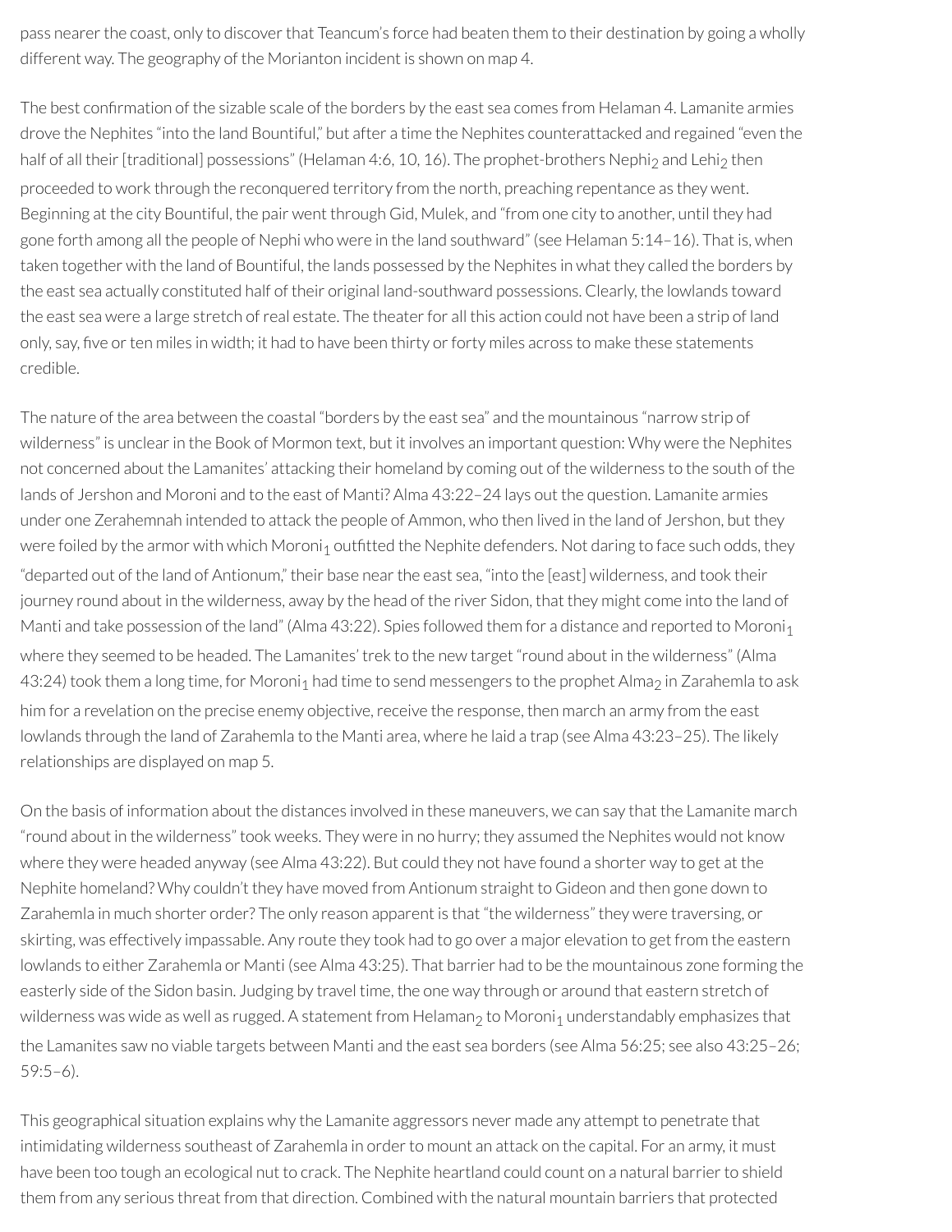pass nearer the coast, only to discover that Teancum's force had beaten them to their destination by going a wholly different way. The geography of the Morianton incident is shown on map 4.

The best confirmation of the sizable scale of the borders by the east sea comes from Helaman 4. Lamanite armies drove the Nephites "into the land Bountiful," but after a time the Nephites counterattacked and regained "even the half of all their [traditional] possessions" (Helaman 4:6, 10, 16). The prophet-brothers Nephi<sub>2</sub> and Lehi<sub>2</sub> then proceeded to work through the reconquered territory from the north, preaching repentance as they went. Beginning at the city Bountiful, the pair went through Gid, Mulek, and "from one city to another, until they had gone forth among all the people of Nephi who were in the land southward" (see Helaman 5:14–16). That is, when taken together with the land of Bountiful, the lands possessed by the Nephites in what they called the borders by the east sea actually constituted half of their original land-southward possessions. Clearly, the lowlands toward the east sea were a large stretch of real estate. The theater for all this action could not have been a strip of land only, say, five or ten miles in width; it had to have been thirty or forty miles across to make these statements credible.

The nature of the area between the coastal "borders by the east sea" and the mountainous "narrow strip of wilderness" is unclearin the Book of Mormon text, but it involves an important question: Why were the Nephites not concerned about the Lamanites' attacking their homeland by coming out of the wilderness to the south of the lands of Jershon and Moroni and to the east of Manti? Alma 43:22–24 lays out the question. Lamanite armies under one Zerahemnah intended to attack the people of Ammon, who then lived in the land of Jershon, but they were foiled by the armor with which Moroni<sub>1</sub> outfitted the Nephite defenders. Not daring to face such odds, they "departed out of the land of Antionum," their base nearthe east sea, "into the [east] wilderness, and took their journey round about in the wilderness, away by the head of the river Sidon, that they might come into the land of Manti and take possession of the land" (Alma 43:22). Spies followed them for a distance and reported to Moroni<sub>1</sub> where they seemed to be headed. The Lamanites' trek to the new target "round about in the wilderness" (Alma 43:24) took them a long time, for Moroni<sub>1</sub> had time to send messengers to the prophet Alma<sub>2</sub> in Zarahemla to ask him for a revelation on the precise enemy objective, receive the response, then march an army from the east lowlands through the land of Zarahemla to the Manti area, where he laid a trap (see Alma 43:23–25). The likely relationships are displayed on map 5.

On the basis of information about the distances involved in these maneuvers, we can say that the Lamanite march "round about in the wilderness" took weeks. They were in no hurry; they assumed the Nephites would not know where they were headed anyway (see Alma 43:22). But could they not have found a shorter way to get at the Nephite homeland? Why couldn't they have moved from Antionum straight to Gideon and then gone down to Zarahemla in much shorter order? The only reason apparent is that "the wilderness" they were traversing, or skirting, was effectively impassable. Any route they took had to go over a major elevation to get from the eastern lowlands to either Zarahemla or Manti (see Alma 43:25). That barrier had to be the mountainous zone forming the easterly side of the Sidon basin. Judging by travel time, the one way through or around that eastern stretch of wilderness was wide as well as rugged. A statement from Helaman<sub>2</sub> to Moroni<sub>1</sub> understandably emphasizes that the Lamanites saw no viable targets between Manti and the east sea borders (see Alma 56:25; see also 43:25–26; 59:5–6).

This geographical situation explains why the Lamanite aggressors never made any attempt to penetrate that intimidating wilderness southeast of Zarahemla in order to mount an attack on the capital. For an army, it must have been too tough an ecological nut to crack. The Nephite heartland could count on a natural barrier to shield them from any serious threat from that direction. Combined with the natural mountain barriers that protected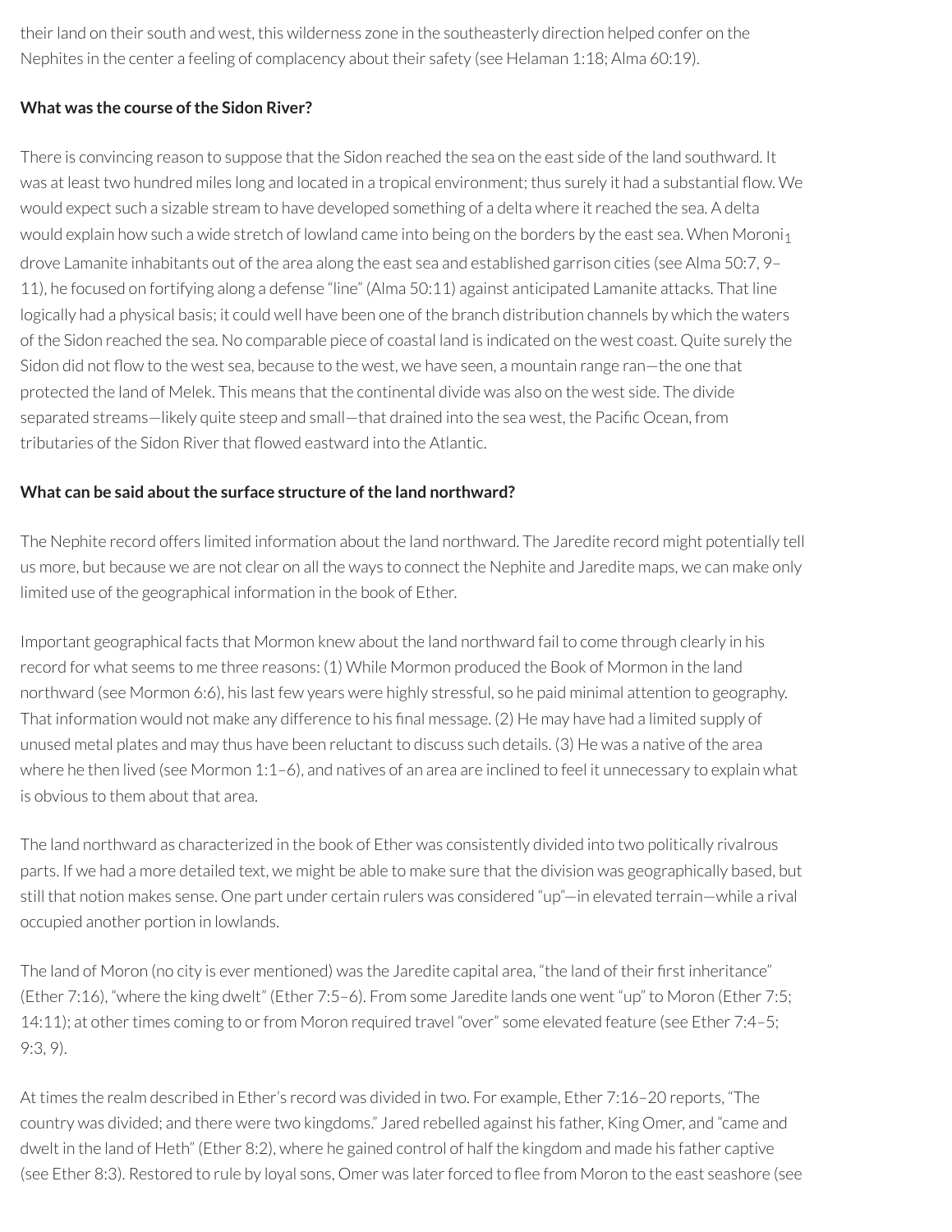their land on their south and west, this wilderness zone in the southeasterly direction helped confer on the Nephites in the center a feeling of complacency about their safety (see Helaman 1:18; Alma 60:19).

### **What** was the course of the Sidon River?

There is convincing reason to suppose that the Sidon reached the sea on the east side of the land southward. It was at least two hundred miles long and located in a tropical environment; thus surely it had a substantial flow. We would expect such a sizable stream to have developed something of a delta where itreached the sea. A delta would explain how such a wide stretch of lowland came into being on the borders by the east sea. When Moroni<sub>1</sub> drove Lamanite inhabitants out of the area along the east sea and established garrison cities (see Alma 50:7, 9– 11), he focused on fortifying along a defense "line" (Alma 50:11) against anticipated Lamanite attacks. That line logically had a physical basis; it could well have been one of the branch distribution channels by which the waters of the Sidon reached the sea. No comparable piece of coastal land is indicated on the west coast. Quite surely the Sidon did not flow to the west sea, because to the west, we have seen, a mountain range ran—the one that protected the land of Melek. This means that the continental divide was also on the west side. The divide separated streams—likely quite steep and small—that drained into the sea west, the Pacific Ocean, from tributaries of the Sidon River that flowed eastward into the Atlantic.

#### **What can be said about the surface structure of the land northward?**

The Nephite record offers limited information about the land northward. The Jaredite record might potentially tell us more, but because we are not clear on all the ways to connect the Nephite and Jaredite maps, we can make only limited use of the geographical information in the book of Ether.

Important geographical facts that Mormon knew about the land northward fail to come through clearly in his record for what seems to me three reasons: (1) While Mormon produced the Book of Mormon in the land northward (see Mormon 6:6), his last few years were highly stressful, so he paid minimal attention to geography. That information would not make any difference to his final message. (2) He may have had a limited supply of unused metal plates and may thus have been reluctant to discuss such details. (3) He was a native of the area where he then lived (see Mormon 1:1-6), and natives of an area are inclined to feel it unnecessary to explain what is obvious to them about that area.

The land northward as characterized in the book of Ether was consistently divided into two politically rivalrous parts. If we had a more detailed text, we might be able to make sure that the division was geographically based, but still that notion makes sense. One part under certain rulers was considered "up"—in elevated terrain—while a rival occupied another portion in lowlands.

The land of Moron (no city is ever mentioned) was the Jaredite capital area, "the land of their first inheritance" (Ether 7:16), "where the king dwelt" (Ether 7:5–6). From some Jaredite lands one went "up" to Moron (Ether 7:5; 14:11); at other times coming to or from Moron required travel "over" some elevated feature (see Ether 7:4–5; 9:3, 9).

At times the realm described in Ether's record was divided in two. For example, Ether 7:16–20 reports, "The country was divided; and there were two kingdoms." Jared rebelled against his father, King Omer, and "came and dwelt in the land of Heth" (Ether 8:2), where he gained control of half the kingdom and made his father captive (see Ether 8:3). Restored to rule by loyal sons, Omer was later forced to flee from Moron to the east seashore (see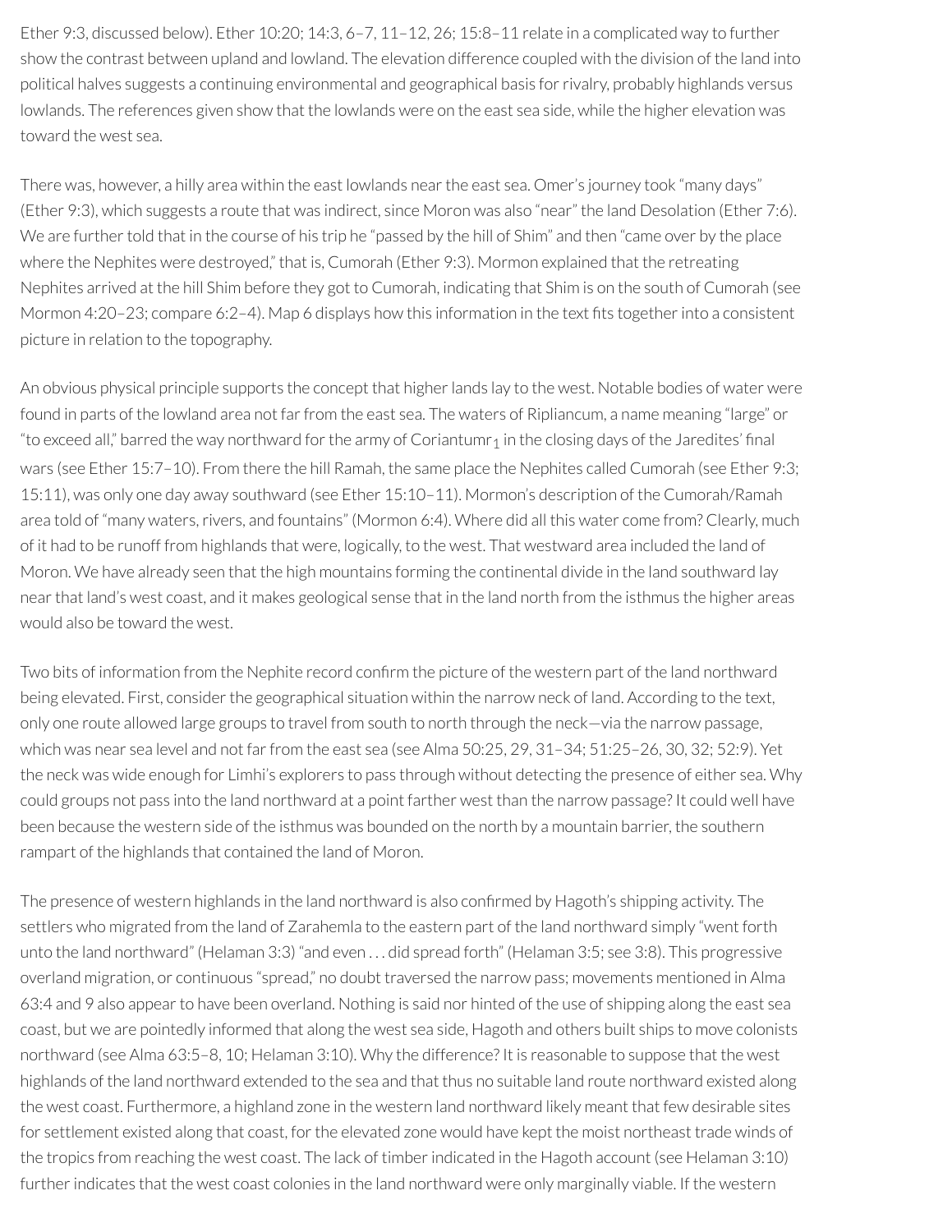Ether 9:3, discussed below). Ether 10:20; 14:3, 6–7, 11–12, 26; 15:8–11 relate in a complicated way to further show the contrast between upland and lowland. The elevation difference coupled with the division of the land into political halves suggests a continuing environmental and geographical basis forrivalry, probably highlands versus lowlands. The references given show that the lowlands were on the east sea side, while the higher elevation was toward the west sea.

There was, however, a hilly area within the east lowlands nearthe east sea. Omer's journey took "many days" (Ether 9:3), which suggests a route that was indirect, since Moron was also "near" the land Desolation (Ether 7:6). We are further told that in the course of his trip he "passed by the hill of Shim" and then "came over by the place where the Nephites were destroyed," that is, Cumorah (Ether 9:3). Mormon explained that the retreating Nephites arrived at the hill Shim before they got to Cumorah, indicating that Shim is on the south of Cumorah (see Mormon 4:20–23; compare 6:2–4). Map 6 displays how this information in the text fits together into a consistent picture in relation to the topography.

An obvious physical principle supports the concept that higher lands lay to the west. Notable bodies of water were found in parts of the lowland area not far from the east sea. The waters of Ripliancum, a name meaning "large" or "to exceed all," barred the way northward for the army of Coriantumr<sub>1</sub> in the closing days of the Jaredites' final wars (see Ether 15:7–10). From there the hill Ramah, the same place the Nephites called Cumorah (see Ether 9:3; 15:11), was only one day away southward (see Ether 15:10–11). Mormon's description of the Cumorah/Ramah area told of "many waters, rivers, and fountains" (Mormon 6:4). Where did all this water come from? Clearly, much of it had to be runoff from highlands that were, logically, to the west. That westward area included the land of Moron. We have already seen that the high mountains forming the continental divide in the land southward lay nearthat land's west coast, and it makes geological sense that in the land north from the isthmus the higher areas would also be toward the west.

Two bits of information from the Nephite record confirm the picture of the western part of the land northward being elevated. First, consider the geographical situation within the narrow neck of land. According to the text, only one route allowed large groups to travel from south to north through the neck—via the narrow passage, which was near sea level and not far from the east sea (see Alma 50:25, 29, 31-34; 51:25-26, 30, 32; 52:9). Yet the neck was wide enough for Limhi's explorers to pass through without detecting the presence of either sea. Why could groups not pass into the land northward at a point farther west than the narrow passage? It could well have been because the western side of the isthmus was bounded on the north by a mountain barrier, the southern rampart of the highlands that contained the land of Moron.

The presence of western highlands in the land northward is also confirmed by Hagoth's shipping activity. The settlers who migrated from the land of Zarahemla to the eastern part of the land northward simply "went forth unto the land northward" (Helaman 3:3) "and even . . . did spread forth" (Helaman 3:5; see 3:8). This progressive overland migration, or continuous "spread," no doubt traversed the narrow pass; movements mentioned in Alma 63:4 and 9 also appearto have been overland. Nothing is said nor hinted of the use of shipping along the east sea coast, but we are pointedly informed that along the west sea side, Hagoth and others built ships to move colonists northward (see Alma 63:5–8, 10; Helaman 3:10). Why the difference? It is reasonable to suppose that the west highlands of the land northward extended to the sea and that thus no suitable land route northward existed along the west coast. Furthermore, a highland zone in the western land northward likely meant that few desirable sites for settlement existed along that coast, for the elevated zone would have kept the moist northeast trade winds of the tropics from reaching the west coast. The lack of timber indicated in the Hagoth account (see Helaman 3:10) further indicates that the west coast colonies in the land northward were only marginally viable. If the western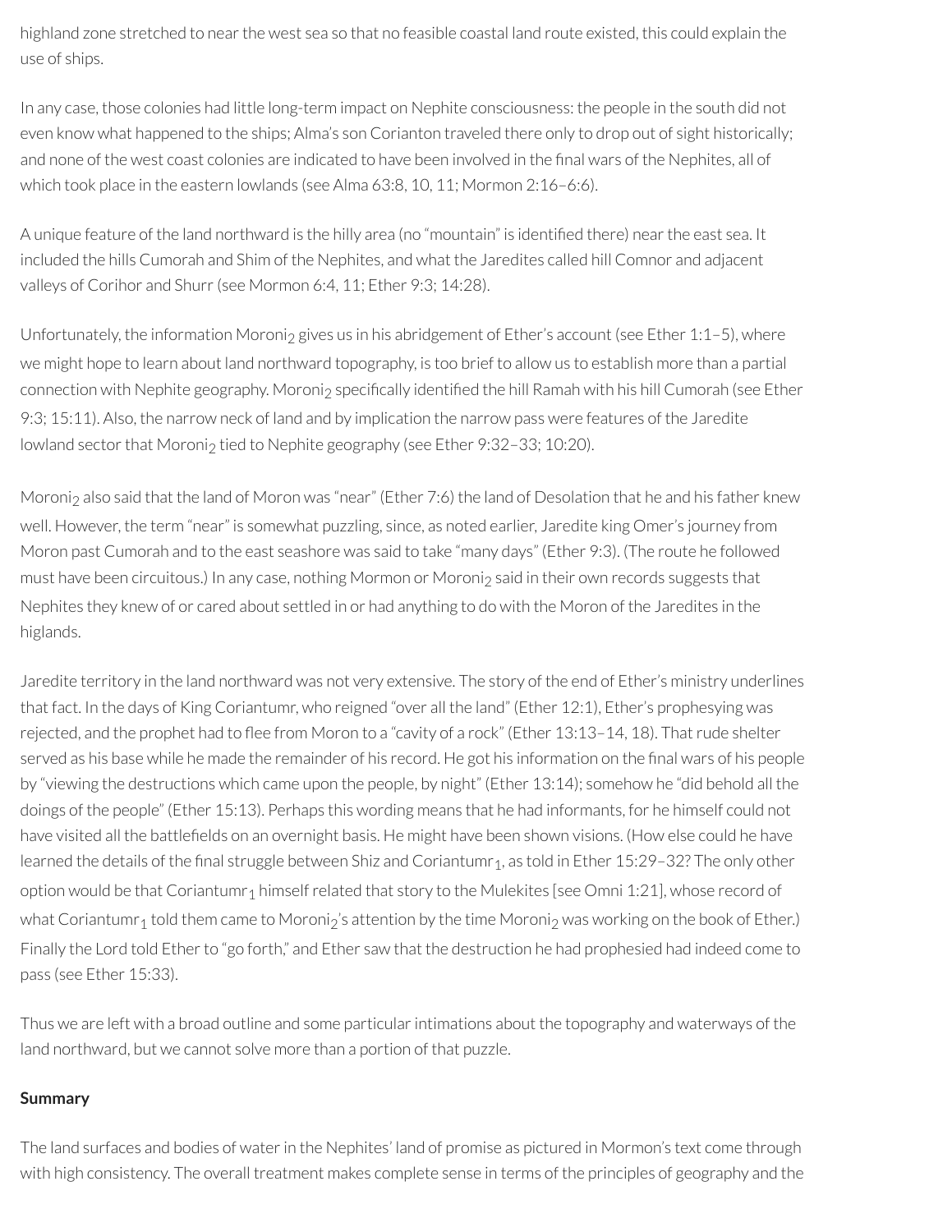highland zone stretched to near the west sea so that no feasible coastal land route existed, this could explain the use of ships.

In any case, those colonies had little long-term impact on Nephite consciousness: the people in the south did not even know what happened to the ships; Alma's son Corianton traveled there only to drop out of sight historically; and none of the west coast colonies are indicated to have been involved in the final wars of the Nephites, all of which took place in the eastern lowlands (see Alma 63:8, 10, 11; Mormon 2:16–6:6).

A unique feature of the land northward is the hilly area (no "mountain" is identified there) near the east sea. It included the hills Cumorah and Shim of the Nephites, and what the Jaredites called hill Comnor and adjacent valleys of Corihor and Shurr (see Mormon 6:4, 11; Ether 9:3: 14:28).

Unfortunately, the information Moroni<sub>2</sub> gives us in his abridgement of Ether's account (see Ether 1:1–5), where we might hope to learn about land northward topography, is too brief to allow us to establish more than a partial connection with Nephite geography. Moroni<sub>2</sub> specifically identified the hill Ramah with his hill Cumorah (see Ether 9:3; 15:11). Also, the narrow neck of land and by implication the narrow pass were features of the Jaredite lowland sector that Moroni<sub>2</sub> tied to Nephite geography (see Ether 9:32-33; 10:20).

Moroni<sub>2</sub> also said that the land of Moron was "near" (Ether 7:6) the land of Desolation that he and his father knew well. However, the term "near" is somewhat puzzling, since, as noted earlier, Jaredite king Omer's journey from Moron past Cumorah and to the east seashore was said to take "many days" (Ether 9:3). (The route he followed must have been circuitous.) In any case, nothing Mormon or Moroni<sub>2</sub> said in their own records suggests that Nephites they knew of or cared about settled in or had anything to do with the Moron of the Jaredites in the higlands.

Jaredite territory in the land northward was not very extensive. The story of the end of Ether's ministry underlines that fact. In the days of King Coriantumr, who reigned "over all the land" (Ether 12:1), Ether's prophesying was rejected, and the prophet had to flee from Moron to a "cavity of a rock" (Ether 13:13-14, 18). That rude shelter served as his base while he made the remainder of his record. He got his information on the final wars of his people by "viewing the destructions which came upon the people, by night" (Ether 13:14); somehow he "did behold all the doings of the people" (Ether 15:13). Perhaps this wording means that he had informants, for he himself could not have visited all the battlefields on an overnight basis. He might have been shown visions. (How else could he have learned the details of the final struggle between Shiz and Coriantumr<sub>1</sub>, as told in Ether 15:29-32? The only other option would be that Coriantumr<sub>1</sub> himself related that story to the Mulekites [see Omni 1:21], whose record of what Coriantumr<sub>1</sub> told them came to Moroni<sub>2</sub>'s attention by the time Moroni<sub>2</sub> was working on the book of Ether.) Finally the Lord told Ether to "go forth," and Ether saw that the destruction he had prophesied had indeed come to pass (see Ether 15:33).

Thus we are left with a broad outline and some particular intimations about the topography and waterways of the land northward, but we cannot solve more than a portion of that puzzle.

#### **Summary**

The land surfaces and bodies of water in the Nephites' land of promise as pictured in Mormon's text come through with high consistency. The overall treatment makes complete sense in terms of the principles of geography and the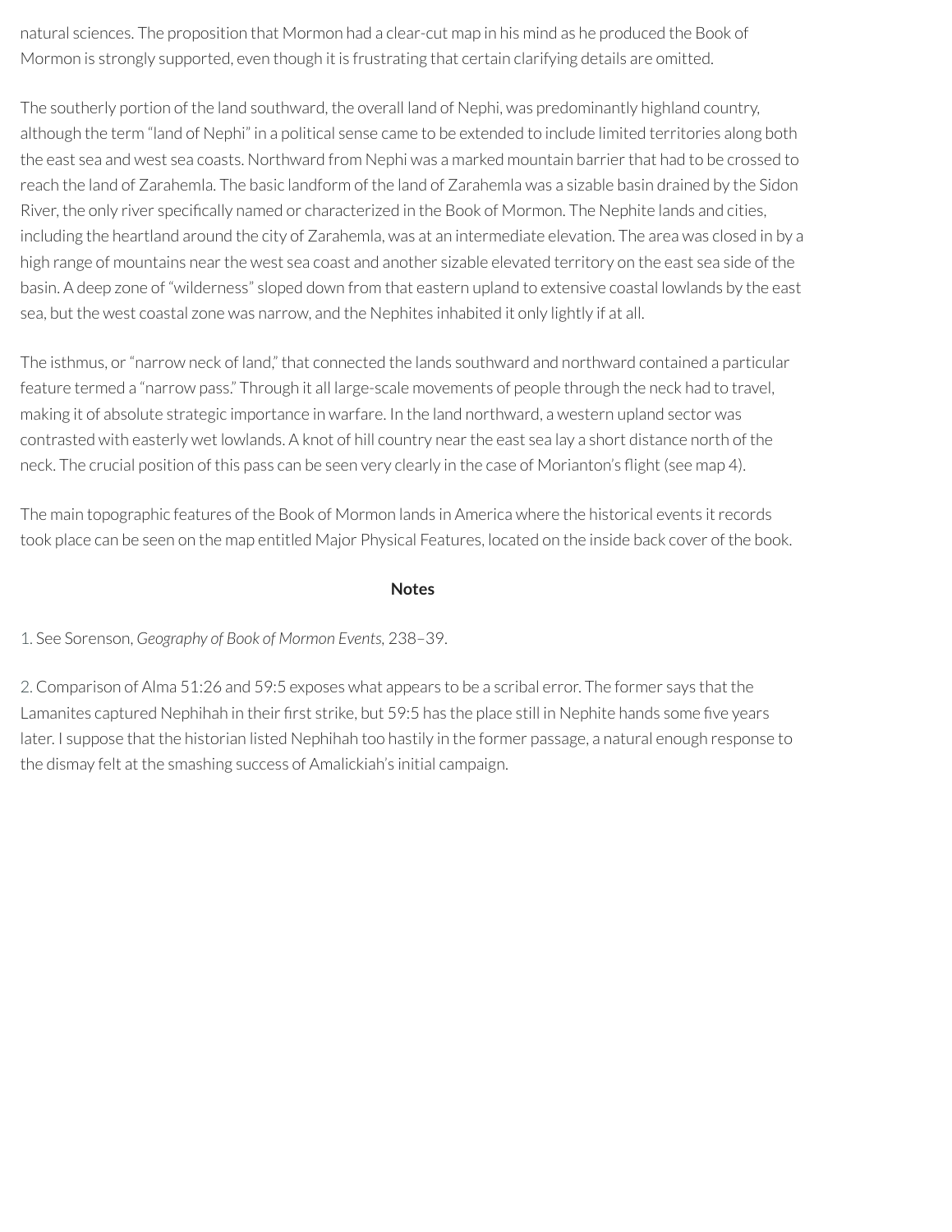natural sciences. The proposition that Mormon had a clear-cut map in his mind as he produced the Book of Mormon is strongly supported, even though it is frustrating that certain clarifying details are omitted.

The southerly portion of the land southward, the overall land of Nephi, was predominantly highland country, although the term "land of Nephi" in a political sense came to be extended to include limited territories along both the east sea and west sea coasts. Northward from Nephi was a marked mountain barrier that had to be crossed to reach the land of Zarahemla. The basic landform of the land of Zarahemla was a sizable basin drained by the Sidon River, the only river specifically named or characterized in the Book of Mormon. The Nephite lands and cities, including the heartland around the city of Zarahemla, was at an intermediate elevation. The area was closed in by a high range of mountains near the west sea coast and another sizable elevated territory on the east sea side of the basin. A deep zone of "wilderness" sloped down from that eastern upland to extensive coastal lowlands by the east sea, but the west coastal zone was narrow, and the Nephites inhabited it only lightly if at all.

The isthmus, or"narrow neck of land," that connected the lands southward and northward contained a particular feature termed a "narrow pass." Through it all large-scale movements of people through the neck had to travel, making it of absolute strategic importance in warfare. In the land northward, a western upland sector was contrasted with easterly wet lowlands. A knot of hill country nearthe east sea lay a short distance north of the neck. The crucial position of this pass can be seen very clearly in the case of Morianton's flight (see map 4).

The main topographic features of the Book of Mormon lands in America where the historical events itrecords took place can be seen on the map entitled Major Physical Features, located on the inside back cover of the book.

#### **Notes**

### <span id="page-24-0"></span>[1.](#page-18-0) See Sorenson, *Geography of Book of Mormon Events,* 238–39.

<span id="page-24-1"></span>[2.](#page-19-0) Comparison of Alma 51:26 and 59:5 exposes what appears to be a scribal error. The former says that the Lamanites captured Nephihah in their first strike, but 59:5 has the place still in Nephite hands some five years later. I suppose that the historian listed Nephihah too hastily in the former passage, a natural enough response to the dismay felt at the smashing success of Amalickiah's initial campaign.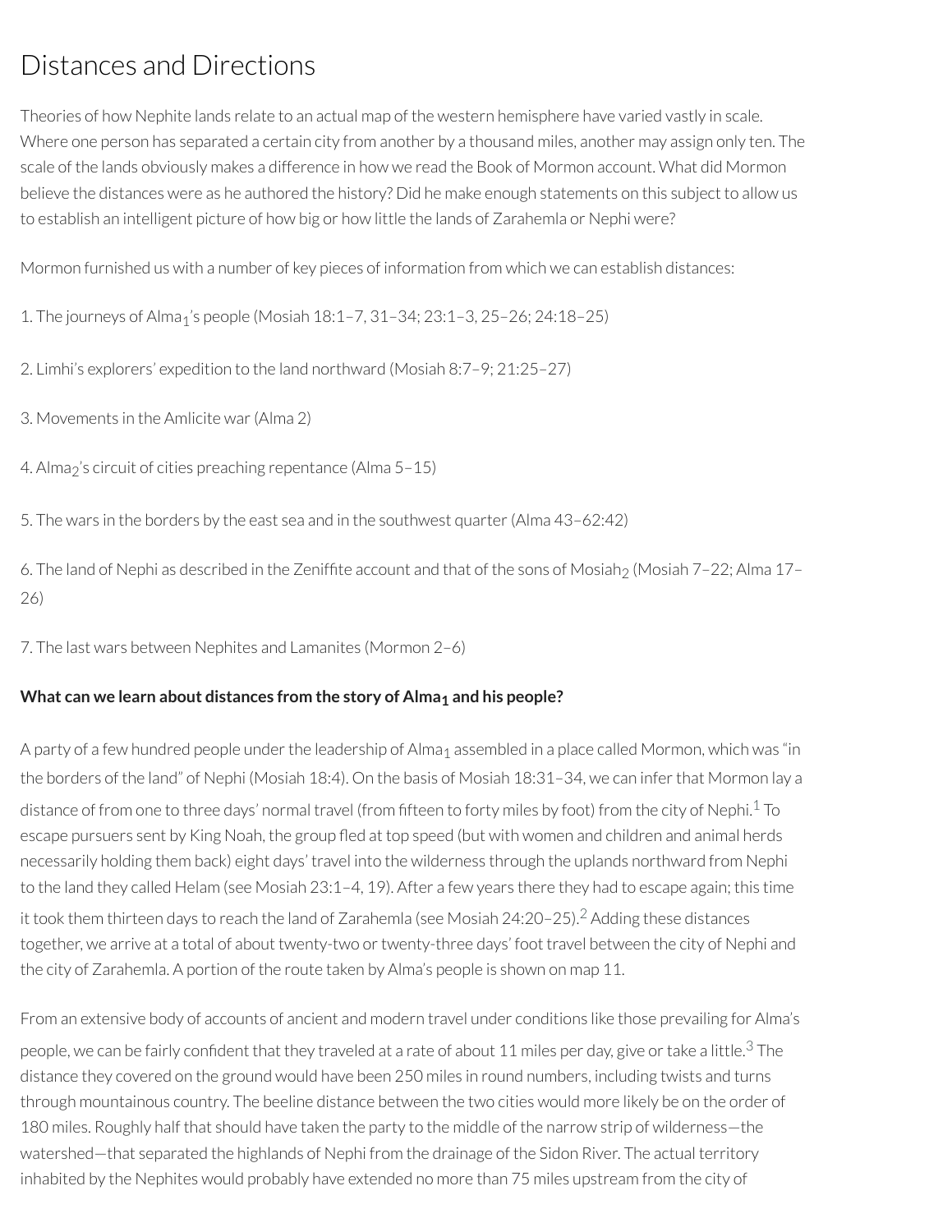# Distances and Directions

Theories of how Nephite lands relate to an actual map of the western hemisphere have varied vastly in scale. Where one person has separated a certain city from another by a thousand miles, another may assign only ten. The scale of the lands obviously makes a difference in how we read the Book of Mormon account. What did Mormon believe the distances were as he authored the history? Did he make enough statements on this subject to allow us to establish an intelligent picture of how big or how little the lands of Zarahemla or Nephi were?

Mormon furnished us with a number of key pieces of information from which we can establish distances:

- 1. The journeys of Alma1's people (Mosiah 18:1–7, 31–34; 23:1–3, 25–26; 24:18–25)
- 2. Limhi's explorers' expedition to the land northward (Mosiah 8:7–9; 21:25–27)
- 3. Movements in the Amlicite war(Alma 2)
- 4. Alma<sub>2</sub>'s circuit of cities preaching repentance (Alma 5-15)
- 5. The wars in the borders by the east sea and in the southwest quarter(Alma 43–62:42)

6. The land of Nephi as described in the Zeniffite account and that of the sons of Mosiah<sub>2</sub> (Mosiah 7–22; Alma 17– 26)

7. The last wars between Nephites and Lamanites (Mormon 2–6)

#### **What can we learn about distances from the story of Alma1 and his people?**

<span id="page-25-0"></span>A party of a few hundred people under the leadership of Alma<sub>1</sub> assembled in a place called Mormon, which was "in the borders of the land" of Nephi (Mosiah 18:4). On the basis of Mosiah 18:31–34, we can inferthat Mormon lay a distance of from one to three days' normal travel (from fifteen to forty miles by foot) from the city of Nephi. $^1$  $^1$  To escape pursuers sent by King Noah, the group fled at top speed (but with women and children and animal herds necessarily holding them back) eight days' travel into the wilderness through the uplands northward from Nephi to the land they called Helam (see Mosiah 23:1–4, 19). After a few years there they had to escape again; this time it took them thirteen days to reach the land of Zarahemla (see Mosiah 24:20–25). [2](#page-34-1) Adding these distances together, we arrive at a total of about twenty-two or twenty-three days' foot travel between the city of Nephi and the city of Zarahemla. A portion of the route taken by Alma's people is shown on map 11.

<span id="page-25-2"></span><span id="page-25-1"></span>From an extensive body of accounts of ancient and modern travel under conditions like those prevailing for Alma's people, we can be fairly confident that they traveled at a rate of about 11 miles per day, give or take a little. $^3$  $^3$  The distance they covered on the ground would have been 250 miles in round numbers, including twists and turns through mountainous country. The beeline distance between the two cities would more likely be on the order of 180 miles. Roughly half that should have taken the party to the middle of the narrow strip of wilderness—the watershed—that separated the highlands of Nephi from the drainage of the Sidon River. The actual territory inhabited by the Nephites would probably have extended no more than 75 miles upstream from the city of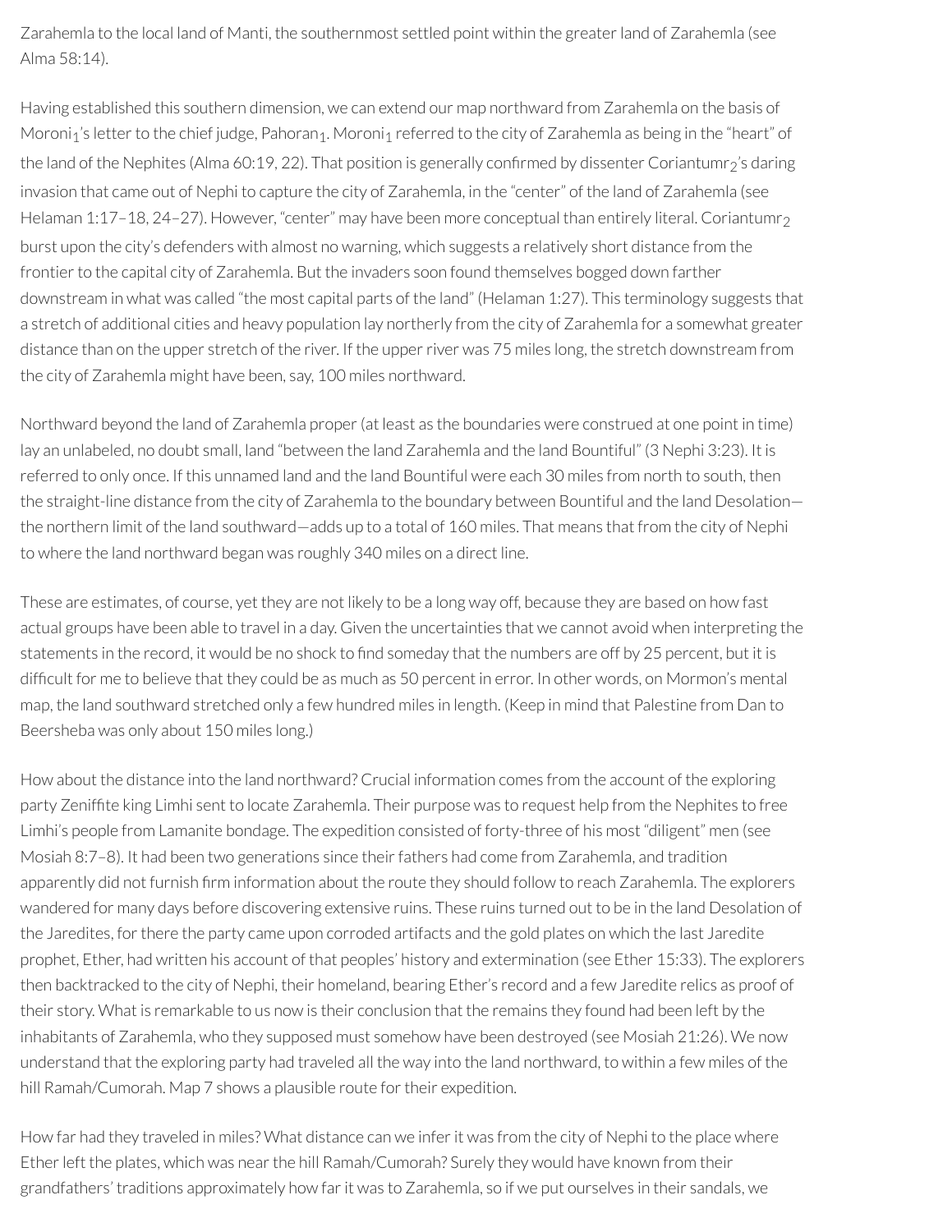Zarahemla to the local land of Manti, the southernmost settled point within the greaterland of Zarahemla (see Alma 58:14).

Having established this southern dimension, we can extend our map northward from Zarahemla on the basis of Moroni<sub>1</sub>'s letter to the chief judge, Pahoran<sub>1</sub>. Moroni<sub>1</sub> referred to the city of Zarahemla as being in the "heart" of the land of the Nephites (Alma 60:19, 22). That position is generally confirmed by dissenter Coriantumr<sub>2</sub>'s daring invasion that came out of Nephi to capture the city of Zarahemla, in the "center" of the land of Zarahemla (see Helaman 1:17–18, 24–27). However, "center" may have been more conceptual than entirely literal. Coriantumr<sub>2</sub> burst upon the city's defenders with almost no warning, which suggests a relatively short distance from the frontier to the capital city of Zarahemla. But the invaders soon found themselves bogged down farther downstream in what was called "the most capital parts of the land" (Helaman 1:27). This terminology suggests that a stretch of additional cities and heavy population lay northerly from the city of Zarahemla for a somewhat greater distance than on the upper stretch of the river. If the upperriver was 75 miles long, the stretch downstream from the city of Zarahemla might have been, say, 100 miles northward.

Northward beyond the land of Zarahemla proper(at least as the boundaries were construed at one point in time) lay an unlabeled, no doubt small, land "between the land Zarahemla and the land Bountiful" (3 Nephi 3:23). It is referred to only once. If this unnamed land and the land Bountiful were each 30 miles from north to south, then the straight-line distance from the city of Zarahemla to the boundary between Bountiful and the land Desolation the northern limit of the land southward—adds up to a total of 160 miles. That means that from the city of Nephi to where the land northward began was roughly 340 miles on a direct line.

These are estimates, of course, yet they are not likely to be a long way off, because they are based on how fast actual groups have been able to travel in a day. Given the uncertainties that we cannot avoid when interpreting the statements in the record, it would be no shock to find someday that the numbers are off by 25 percent, but it is difficult for me to believe that they could be as much as 50 percent in error. In other words, on Mormon's mental map, the land southward stretched only a few hundred miles in length. (Keep in mind that Palestine from Dan to Beersheba was only about 150 miles long.)

How about the distance into the land northward? Crucial information comes from the account of the exploring party Zeniffite king Limhi sent to locate Zarahemla. Their purpose was to request help from the Nephites to free Limhi's people from Lamanite bondage. The expedition consisted of forty-three of his most "diligent" men (see Mosiah 8:7-8). It had been two generations since their fathers had come from Zarahemla, and tradition apparently did not furnish firm information about the route they should follow to reach Zarahemla. The explorers wandered for many days before discovering extensive ruins. These ruins turned out to be in the land Desolation of the Jaredites, forthere the party came upon corroded artifacts and the gold plates on which the last Jaredite prophet, Ether, had written his account of that peoples' history and extermination (see Ether 15:33). The explorers then backtracked to the city of Nephi, their homeland, bearing Ether's record and a few Jaredite relics as proof of their story. What is remarkable to us now is their conclusion that the remains they found had been left by the inhabitants of Zarahemla, who they supposed must somehow have been destroyed (see Mosiah 21:26). We now understand that the exploring party had traveled all the way into the land northward, to within a few miles of the hill Ramah/Cumorah. Map 7 shows a plausible route for their expedition.

How far had they traveled in miles? What distance can we inferit was from the city of Nephi to the place where Ether left the plates, which was near the hill Ramah/Cumorah? Surely they would have known from their grandfathers' traditions approximately how farit was to Zarahemla, so if we put ourselves in their sandals, we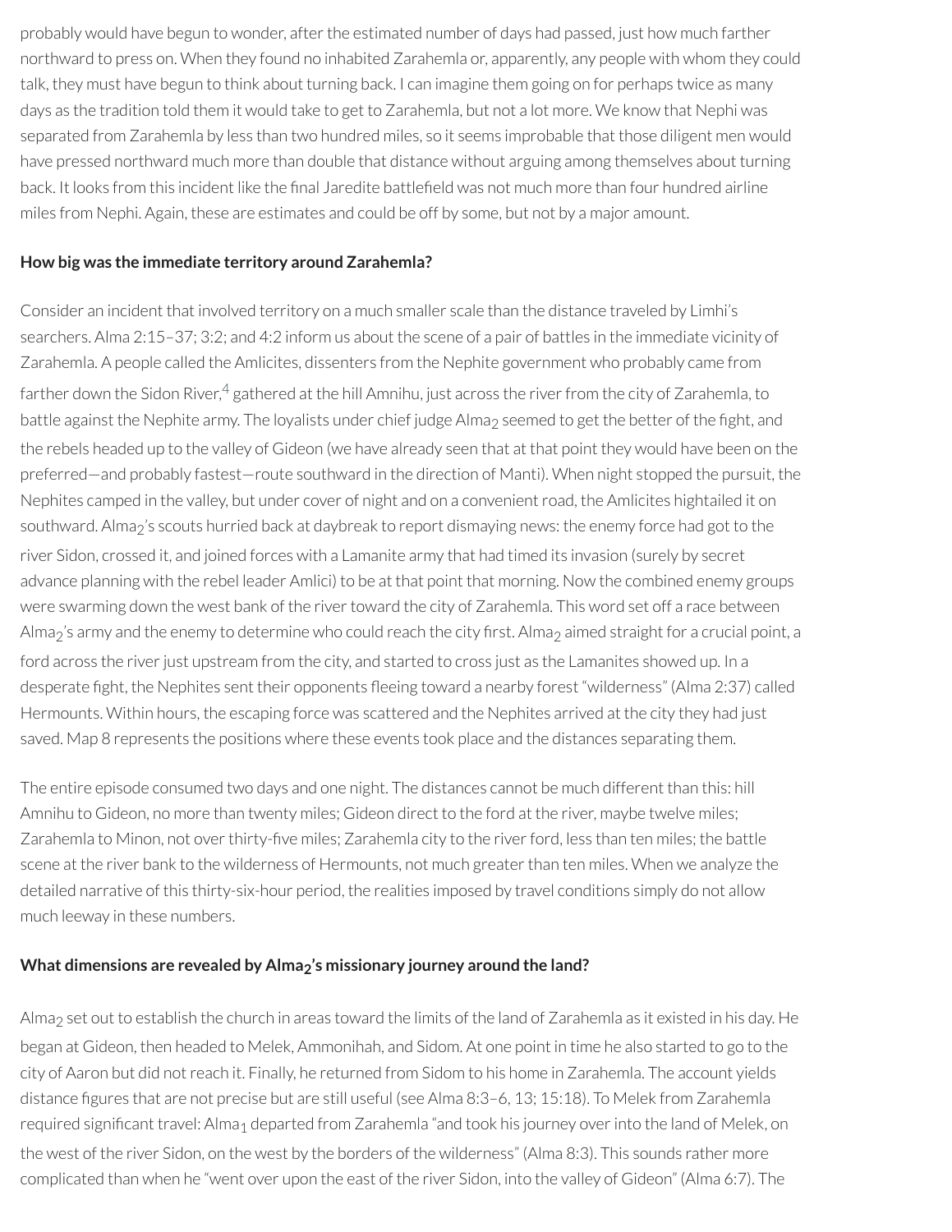probably would have begun to wonder, afterthe estimated number of days had passed, just how much farther northward to press on. When they found no inhabited Zarahemla or, apparently, any people with whom they could talk, they must have begun to think about turning back. I can imagine them going on for perhaps twice as many days as the tradition told them it would take to get to Zarahemla, but not a lot more. We know that Nephi was separated from Zarahemla by less than two hundred miles, so it seems improbable that those diligent men would have pressed northward much more than double that distance without arguing among themselves about turning back. It looks from this incident like the final Jaredite battlefield was not much more than four hundred airline miles from Nephi. Again, these are estimates and could be off by some, but not by a major amount.

#### **How big was the immediate territory around Zarahemla?**

<span id="page-27-0"></span>Consider an incident that involved territory on a much smaller scale than the distance traveled by Limhi's searchers. Alma 2:15–37; 3:2; and 4:2 inform us about the scene of a pair of battles in the immediate vicinity of Zarahemla. A people called the Amlicites, dissenters from the Nephite government who probably came from farther down the Sidon River,<sup>[4](#page-35-1)</sup> gathered at the hill Amnihu, just across the river from the city of Zarahemla, to battle against the Nephite army. The loyalists under chief judge Alma<sub>2</sub> seemed to get the better of the fight, and the rebels headed up to the valley of Gideon (we have already seen that at that point they would have been on the preferred—and probably fastest—route southward in the direction of Manti). When night stopped the pursuit, the Nephites camped in the valley, but under cover of night and on a convenient road, the Amlicites hightailed it on southward. Alma<sub>2</sub>'s scouts hurried back at daybreak to report dismaying news: the enemy force had got to the river Sidon, crossed it, and joined forces with a Lamanite army that had timed its invasion (surely by secret advance planning with the rebel leader Amlici) to be at that point that morning. Now the combined enemy groups were swarming down the west bank of the river toward the city of Zarahemla. This word set off a race between Alma<sub>2</sub>'s army and the enemy to determine who could reach the city first. Alma<sub>2</sub> aimed straight for a crucial point, a ford across the river just upstream from the city, and started to cross just as the Lamanites showed up. In a desperate fight, the Nephites sent their opponents fleeing toward a nearby forest "wilderness" (Alma 2:37) called Hermounts. Within hours, the escaping force was scattered and the Nephites arrived at the city they had just saved. Map 8 represents the positions where these events took place and the distances separating them.

The entire episode consumed two days and one night. The distances cannot be much different than this: hill Amnihu to Gideon, no more than twenty miles; Gideon direct to the ford at the river, maybe twelve miles; Zarahemla to Minon, not over thirty-five miles; Zarahemla city to the river ford, less than ten miles; the battle scene at the river bank to the wilderness of Hermounts, not much greater than ten miles. When we analyze the detailed narrative of this thirty-six-hour period, the realities imposed by travel conditions simply do not allow much leeway in these numbers.

### **What dimensions are revealed by Alma2's missionary journey around the land?**

Alma<sub>2</sub> set out to establish the church in areas toward the limits of the land of Zarahemla as it existed in his day. He began at Gideon, then headed to Melek, Ammonihah, and Sidom. At one point in time he also started to go to the city of Aaron but did notreach it. Finally, he returned from Sidom to his home in Zarahemla. The account yields distance figures that are not precise but are still useful (see Alma 8:3–6, 13; 15:18). To Melek from Zarahemla required significant travel: Alma<sub>1</sub> departed from Zarahemla "and took his journey over into the land of Melek, on the west of the river Sidon, on the west by the borders of the wilderness" (Alma 8:3). This sounds rather more complicated than when he "went over upon the east of the river Sidon, into the valley of Gideon" (Alma 6:7). The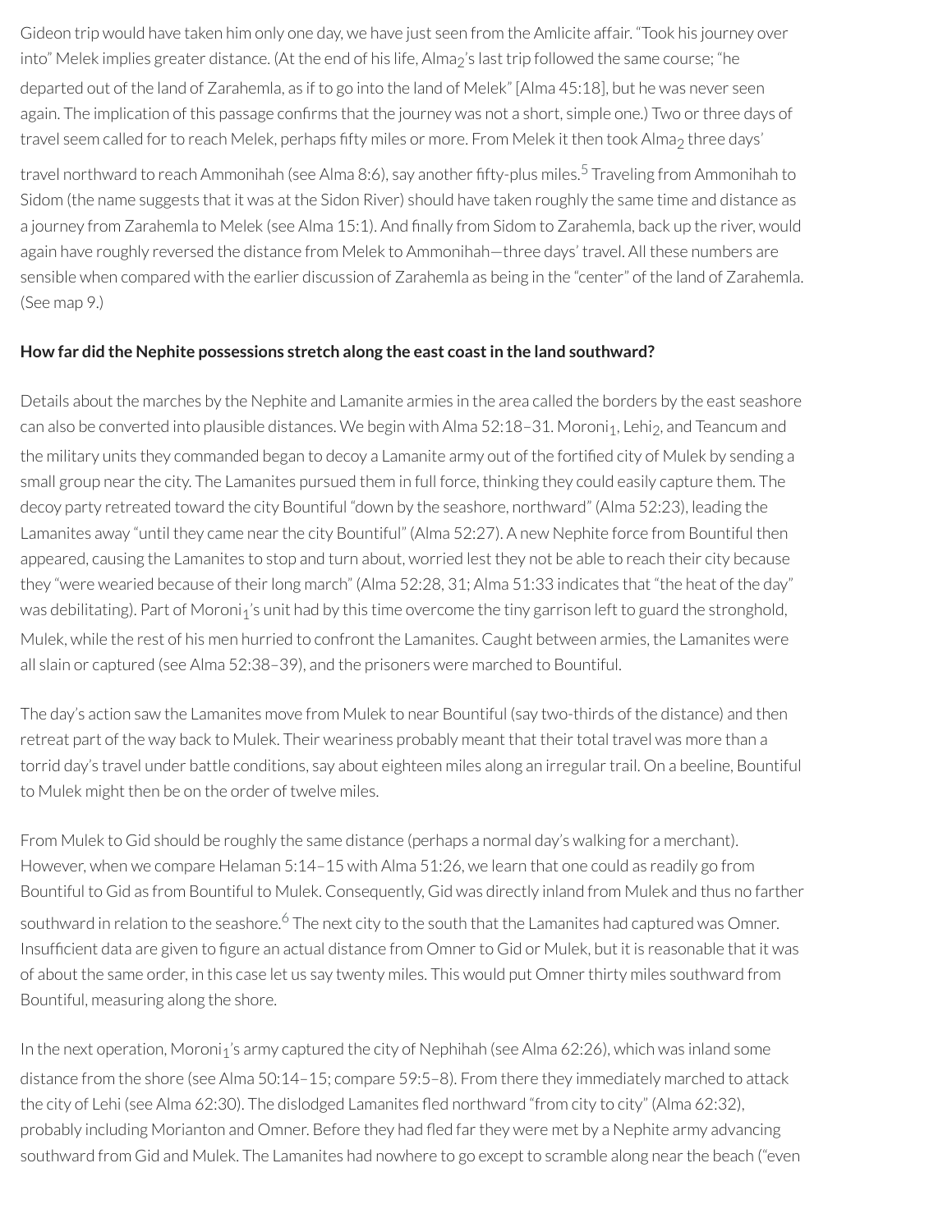Gideon trip would have taken him only one day, we have just seen from the Amlicite affair. "Took his journey over into" Melek implies greater distance. (At the end of his life, Alma<sub>2</sub>'s last trip followed the same course; "he departed out of the land of Zarahemla, as if to go into the land of Melek" [Alma 45:18], but he was never seen again. The implication of this passage confirms that the journey was not a short, simple one.) Two or three days of travel seem called for to reach Melek, perhaps fifty miles or more. From Melek it then took Alma<sub>2</sub> three days'

<span id="page-28-0"></span>travel northward to reach Ammonihah (see Alma 8:6), say another fifty-plus miles.<sup>[5](#page-35-2)</sup> Traveling from Ammonihah to Sidom (the name suggests that it was at the Sidon River) should have taken roughly the same time and distance as a journey from Zarahemla to Melek (see Alma 15:1). And finally from Sidom to Zarahemla, back up the river, would again have roughly reversed the distance from Melek to Ammonihah—three days' travel. All these numbers are sensible when compared with the earlier discussion of Zarahemla as being in the "center" of the land of Zarahemla. (See map 9.)

#### **How far did the Nephite possessions stretch along the east coastin the land southward?**

Details about the marches by the Nephite and Lamanite armies in the area called the borders by the east seashore can also be converted into plausible distances. We begin with Alma 52:18–31. Moroni1, Lehi2, and Teancum and the military units they commanded began to decoy a Lamanite army out of the fortified city of Mulek by sending a small group nearthe city. The Lamanites pursued them in full force, thinking they could easily capture them. The decoy party retreated toward the city Bountiful "down by the seashore, northward" (Alma 52:23), leading the Lamanites away "until they came nearthe city Bountiful" (Alma 52:27). A new Nephite force from Bountiful then appeared, causing the Lamanites to stop and turn about, worried lest they not be able to reach their city because they "were wearied because of their long march" (Alma 52:28, 31; Alma 51:33 indicates that "the heat of the day" was debilitating). Part of Moroni<sub>1</sub>'s unit had by this time overcome the tiny garrison left to guard the stronghold, Mulek, while the rest of his men hurried to confront the Lamanites. Caught between armies, the Lamanites were all slain or captured (see Alma 52:38–39), and the prisoners were marched to Bountiful.

The day's action saw the Lamanites move from Mulek to near Bountiful (say two-thirds of the distance) and then retreat part of the way back to Mulek. Their weariness probably meant that their total travel was more than a torrid day's travel under battle conditions, say about eighteen miles along an irregulartrail. On a beeline, Bountiful to Mulek might then be on the order of twelve miles.

<span id="page-28-1"></span>From Mulek to Gid should be roughly the same distance (perhaps a normal day's walking for a merchant). However, when we compare Helaman 5:14–15 with Alma 51:26, we learn that one could as readily go from Bountiful to Gid as from Bountiful to Mulek. Consequently, Gid was directly inland from Mulek and thus no farther southward in relation to the seashore.<sup>[6](#page-35-3)</sup> The next city to the south that the Lamanites had captured was Omner. Insufficient data are given to figure an actual distance from Omner to Gid or Mulek, but it is reasonable that it was of about the same order, in this case let us say twenty miles. This would put Omnerthirty miles southward from Bountiful, measuring along the shore.

In the next operation, Moroni<sub>1</sub>'s army captured the city of Nephihah (see Alma 62:26), which was inland some distance from the shore (see Alma 50:14–15; compare 59:5–8). From there they immediately marched to attack the city of Lehi (see Alma 62:30). The dislodged Lamanites fled northward "from city to city" (Alma 62:32), probably including Morianton and Omner. Before they had fled far they were met by a Nephite army advancing southward from Gid and Mulek. The Lamanites had nowhere to go except to scramble along nearthe beach ("even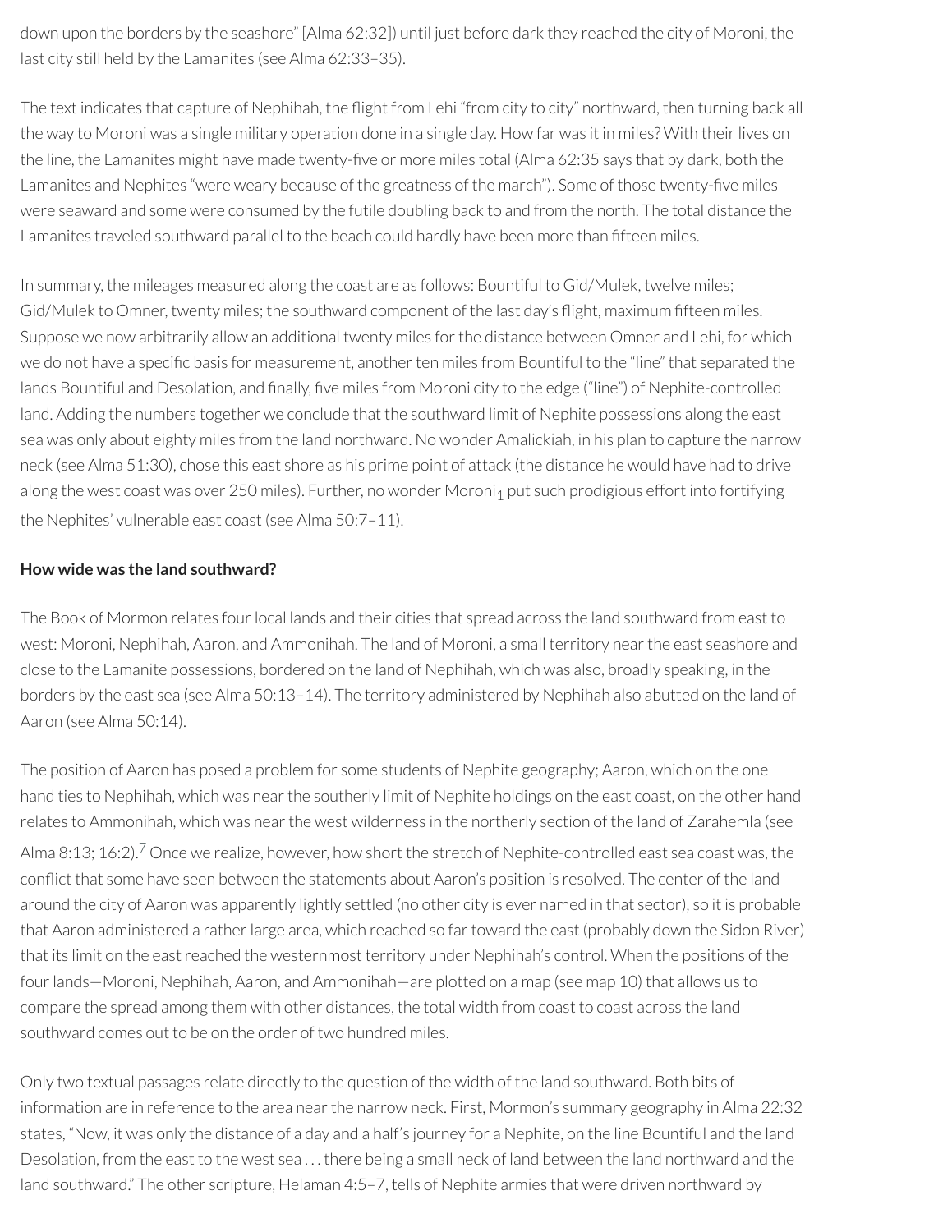down upon the borders by the seashore" [Alma 62:32]) until just before dark they reached the city of Moroni, the last city still held by the Lamanites (see Alma 62:33–35).

The text indicates that capture of Nephihah, the flight from Lehi "from city to city" northward, then turning back all the way to Moroni was a single military operation done in a single day. How far was it in miles? With their lives on the line, the Lamanites might have made twenty-five or more miles total (Alma 62:35 says that by dark, both the Lamanites and Nephites "were weary because of the greatness of the march"). Some of those twenty-five miles were seaward and some were consumed by the futile doubling back to and from the north. The total distance the Lamanites traveled southward parallel to the beach could hardly have been more than fifteen miles.

In summary, the mileages measured along the coast are as follows: Bountiful to Gid/Mulek, twelve miles; Gid/Mulek to Omner, twenty miles; the southward component of the last day's flight, maximum fifteen miles. Suppose we now arbitrarily allow an additional twenty miles forthe distance between Omner and Lehi, for which we do not have a specific basis for measurement, another ten miles from Bountiful to the "line" that separated the lands Bountiful and Desolation, and finally, five miles from Moroni city to the edge ("line") of Nephite-controlled land. Adding the numbers together we conclude that the southward limit of Nephite possessions along the east sea was only about eighty miles from the land northward. No wonder Amalickiah, in his plan to capture the narrow neck (see Alma 51:30), chose this east shore as his prime point of attack (the distance he would have had to drive along the west coast was over 250 miles). Further, no wonder Moroni<sub>1</sub> put such prodigious effort into fortifying the Nephites' vulnerable east coast (see Alma 50:7–11).

#### **How wide was the land southward?**

The Book of Mormon relates four local lands and their cities that spread across the land southward from east to west: Moroni, Nephihah, Aaron, and Ammonihah. The land of Moroni, a small territory nearthe east seashore and close to the Lamanite possessions, bordered on the land of Nephihah, which was also, broadly speaking, in the borders by the east sea (see Alma 50:13–14). The territory administered by Nephihah also abutted on the land of Aaron (see Alma 50:14).

<span id="page-29-0"></span>The position of Aaron has posed a problem for some students of Nephite geography; Aaron, which on the one hand ties to Nephihah, which was near the southerly limit of Nephite holdings on the east coast, on the other hand relates to Ammonihah, which was near the west wilderness in the northerly section of the land of Zarahemla (see Alma 8:13; 16:2). $^7$  $^7$  Once we realize, however, how short the stretch of Nephite-controlled east sea coast was, the conflict that some have seen between the statements about Aaron's position is resolved. The center of the land around the city of Aaron was apparently lightly settled (no other city is ever named in that sector), so it is probable that Aaron administered a rather large area, which reached so far toward the east (probably down the Sidon River) that its limit on the eastreached the westernmost territory under Nephihah's control. When the positions of the four lands—Moroni, Nephihah, Aaron, and Ammonihah—are plotted on a map (see map 10) that allows us to compare the spread among them with other distances, the total width from coast to coast across the land southward comes out to be on the order of two hundred miles.

Only two textual passages relate directly to the question of the width of the land southward. Both bits of information are in reference to the area nearthe narrow neck. First, Mormon's summary geography in Alma 22:32 states, "Now, it was only the distance of a day and a half's journey for a Nephite, on the line Bountiful and the land Desolation, from the east to the west sea . . . there being a small neck of land between the land northward and the land southward." The other scripture, Helaman 4:5–7, tells of Nephite armies that were driven northward by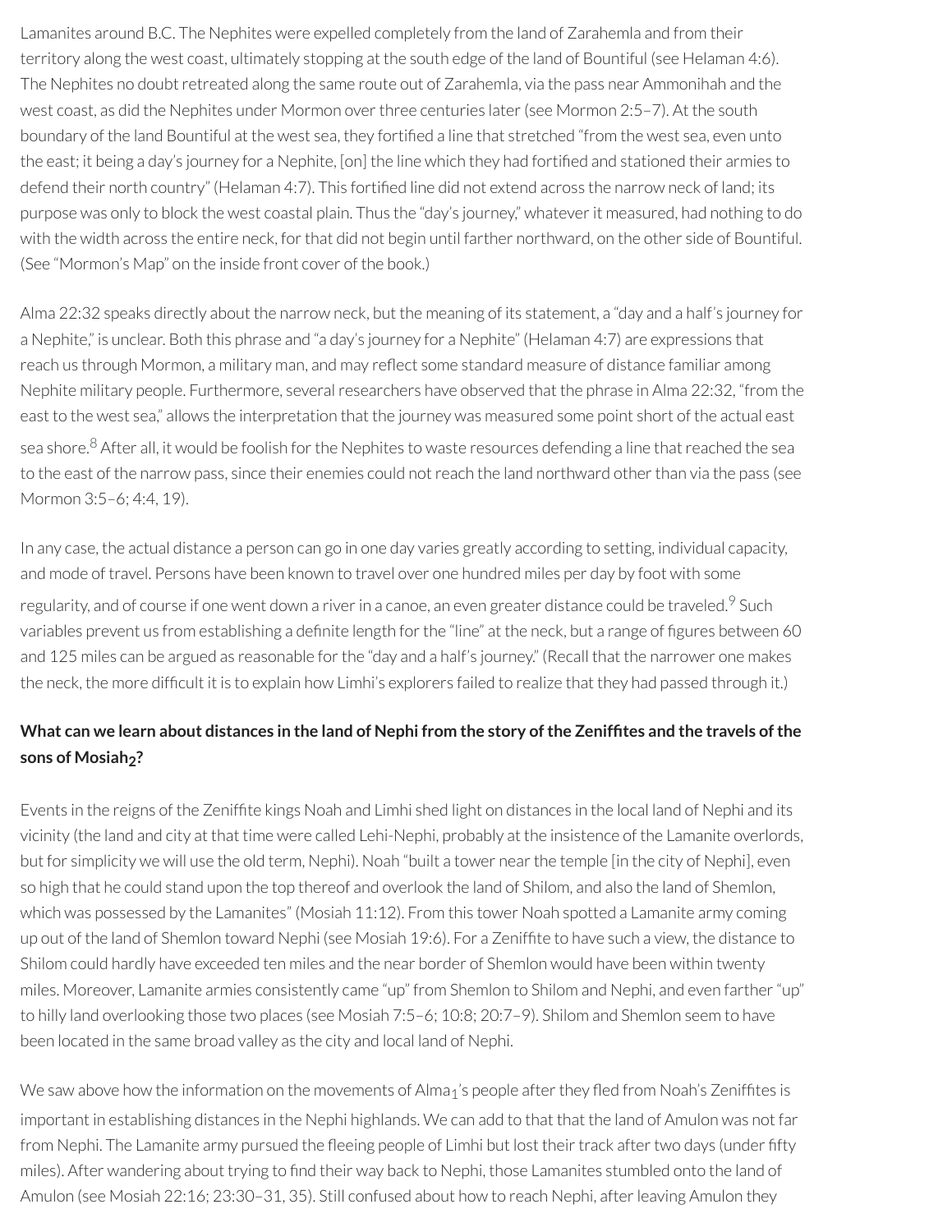Lamanites around B.C. The Nephites were expelled completely from the land of Zarahemla and from their territory along the west coast, ultimately stopping at the south edge of the land of Bountiful (see Helaman 4:6). The Nephites no doubt retreated along the same route out of Zarahemla, via the pass near Ammonihah and the west coast, as did the Nephites under Mormon over three centuries later (see Mormon 2:5–7). At the south boundary of the land Bountiful at the west sea, they fortified a line that stretched "from the west sea, even unto the east; it being a day's journey for a Nephite, [on] the line which they had fortified and stationed their armies to defend their north country" (Helaman 4:7). This fortified line did not extend across the narrow neck of land; its purpose was only to block the west coastal plain. Thus the "day's journey," whateverit measured, had nothing to do with the width across the entire neck, for that did not begin until farther northward, on the other side of Bountiful. (See "Mormon's Map" on the inside front cover of the book.)

Alma 22:32 speaks directly about the narrow neck, but the meaning of its statement, a "day and a half's journey for a Nephite," is unclear. Both this phrase and "a day's journey for a Nephite" (Helaman 4:7) are expressions that reach us through Mormon, a military man, and may reflect some standard measure of distance familiar among Nephite military people. Furthermore, several researchers have observed that the phrase in Alma 22:32, "from the east to the west sea," allows the interpretation that the journey was measured some point short of the actual east sea shore.<sup>[8](#page-35-5)</sup> After all, it would be foolish for the Nephites to waste resources defending a line that reached the sea to the east of the narrow pass, since their enemies could not reach the land northward other than via the pass (see Mormon 3:5–6; 4:4, 19).

<span id="page-30-1"></span><span id="page-30-0"></span>In any case, the actual distance a person can go in one day varies greatly according to setting, individual capacity, and mode of travel. Persons have been known to travel over one hundred miles per day by foot with some regularity, and of course if one went down a river in a canoe, an even greater distance could be traveled.<sup>[9](#page-35-6)</sup> Such variables prevent us from establishing a definite length for the "line" at the neck, but a range of figures between 60 and 125 miles can be argued as reasonable for the "day and a half's journey." (Recall that the narrower one makes the neck, the more difcult it is to explain how Limhi's explorers failed to realize that they had passed through it.)

# What can we learn about distances in the land of Nephi from the story of the Zeniffites and the travels of the **sons of Mosiah2?**

Events in the reigns of the Zeniffite kings Noah and Limhi shed light on distances in the local land of Nephi and its vicinity (the land and city at that time were called Lehi-Nephi, probably at the insistence of the Lamanite overlords, but for simplicity we will use the old term, Nephi). Noah "built a tower nearthe temple [in the city of Nephi], even so high that he could stand upon the top thereof and overlook the land of Shilom, and also the land of Shemlon, which was possessed by the Lamanites" (Mosiah 11:12). From this tower Noah spotted a Lamanite army coming up out of the land of Shemlon toward Nephi (see Mosiah 19:6). For a Zeniffite to have such a view, the distance to Shilom could hardly have exceeded ten miles and the near border of Shemlon would have been within twenty miles. Moreover, Lamanite armies consistently came "up" from Shemlon to Shilom and Nephi, and even farther"up" to hilly land overlooking those two places (see Mosiah 7:5–6; 10:8; 20:7–9). Shilom and Shemlon seem to have been located in the same broad valley as the city and local land of Nephi.

We saw above how the information on the movements of Alma<sub>1</sub>'s people after they fled from Noah's Zeniffites is important in establishing distances in the Nephi highlands. We can add to that that the land of Amulon was not far from Nephi. The Lamanite army pursued the fleeing people of Limhi but lost their track after two days (under fifty miles). After wandering about trying to find their way back to Nephi, those Lamanites stumbled onto the land of Amulon (see Mosiah 22:16; 23:30-31, 35). Still confused about how to reach Nephi, after leaving Amulon they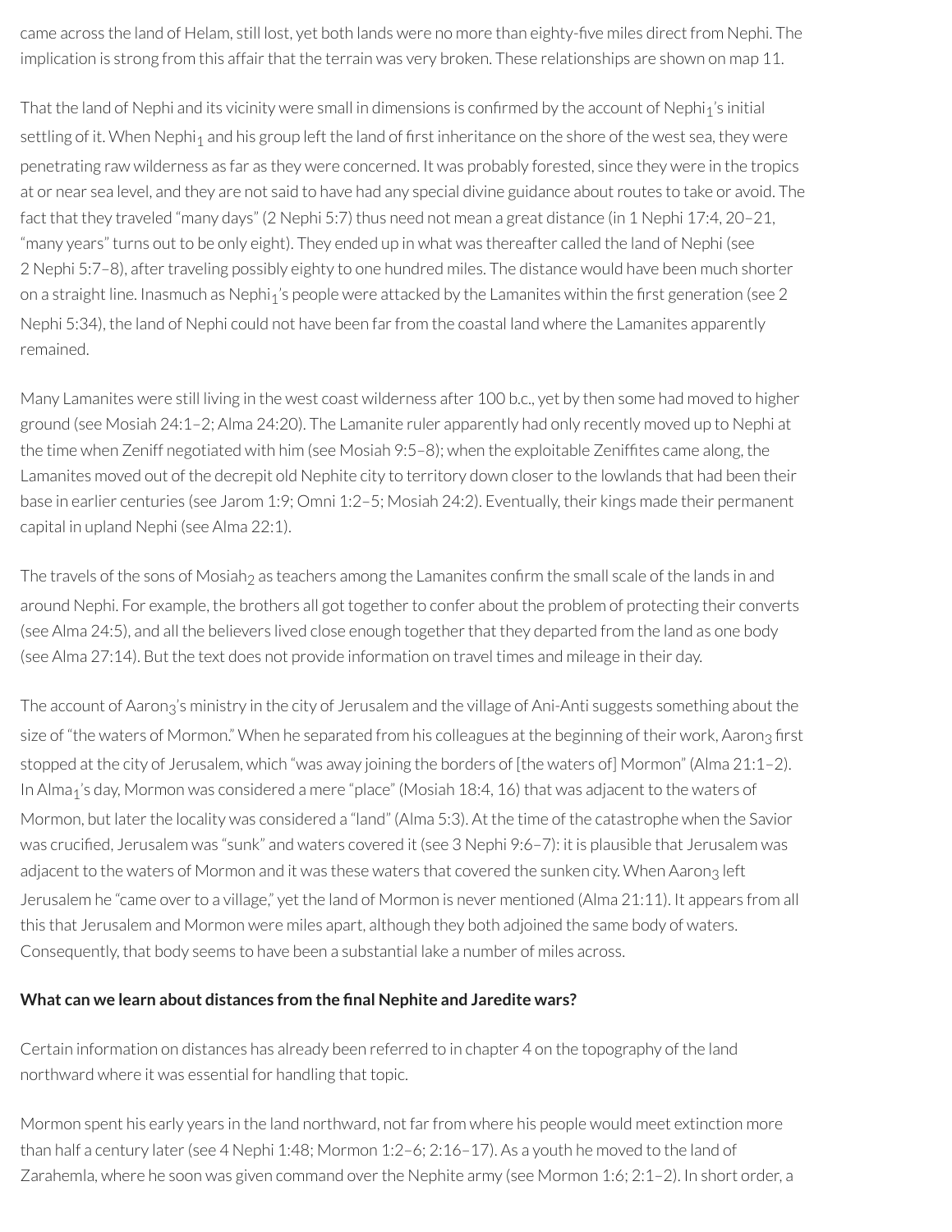came across the land of Helam, still lost, yet both lands were no more than eighty-five miles direct from Nephi. The implication is strong from this affair that the terrain was very broken. These relationships are shown on map 11.

That the land of Nephi and its vicinity were small in dimensions is confirmed by the account of Nephi<sub>1</sub>'s initial settling of it. When Nephi<sub>1</sub> and his group left the land of first inheritance on the shore of the west sea, they were penetrating raw wilderness as far as they were concerned. It was probably forested, since they were in the tropics at or near sea level, and they are not said to have had any special divine guidance aboutroutes to take or avoid. The fact that they traveled "many days" (2 Nephi 5:7) thus need not mean a great distance (in 1 Nephi 17:4, 20–21, "many years" turns out to be only eight). They ended up in what was thereafter called the land of Nephi (see 2 Nephi 5:7–8), after traveling possibly eighty to one hundred miles. The distance would have been much shorter on a straight line. Inasmuch as Nephi<sub>1</sub>'s people were attacked by the Lamanites within the first generation (see 2 Nephi 5:34), the land of Nephi could not have been farfrom the coastal land where the Lamanites apparently remained.

Many Lamanites were still living in the west coast wilderness after 100 b.c., yet by then some had moved to higher ground (see Mosiah 24:1–2; Alma 24:20). The Lamanite ruler apparently had only recently moved up to Nephi at the time when Zeniff negotiated with him (see Mosiah 9:5-8); when the exploitable Zeniffites came along, the Lamanites moved out of the decrepit old Nephite city to territory down closer to the lowlands that had been their base in earlier centuries (see Jarom 1:9; Omni 1:2–5; Mosiah 24:2). Eventually, their kings made their permanent capital in upland Nephi (see Alma 22:1).

The travels of the sons of Mosiah<sub>2</sub> as teachers among the Lamanites confirm the small scale of the lands in and around Nephi. For example, the brothers all got together to confer about the problem of protecting their converts (see Alma 24:5), and all the believers lived close enough togetherthat they departed from the land as one body (see Alma 27:14). But the text does not provide information on travel times and mileage in their day.

The account of Aaron<sub>3</sub>'s ministry in the city of Jerusalem and the village of Ani-Anti suggests something about the size of "the waters of Mormon." When he separated from his colleagues at the beginning of their work, Aaron<sub>3</sub> first stopped at the city of Jerusalem, which "was away joining the borders of [the waters of] Mormon" (Alma 21:1–2). In Alma<sub>1</sub>'s day, Mormon was considered a mere "place" (Mosiah 18:4, 16) that was adjacent to the waters of Mormon, but later the locality was considered a "land" (Alma 5:3). At the time of the catastrophe when the Savior was crucified, Jerusalem was "sunk" and waters covered it (see 3 Nephi 9:6–7): it is plausible that Jerusalem was adjacent to the waters of Mormon and it was these waters that covered the sunken city. When Aaron<sub>3</sub> left Jerusalem he "came over to a village," yet the land of Mormon is never mentioned (Alma 21:11). It appears from all this that Jerusalem and Mormon were miles apart, although they both adjoined the same body of waters. Consequently, that body seems to have been a substantial lake a number of miles across.

#### **What can we learn about distances from the nal Nephite and Jaredite wars?**

Certain information on distances has already been referred to in chapter 4 on the topography of the land northward where it was essential for handling that topic.

Mormon spent his early years in the land northward, not far from where his people would meet extinction more than half a century later(see 4 Nephi 1:48; Mormon 1:2–6; 2:16–17). As a youth he moved to the land of Zarahemla, where he soon was given command over the Nephite army (see Mormon 1:6; 2:1-2). In short order, a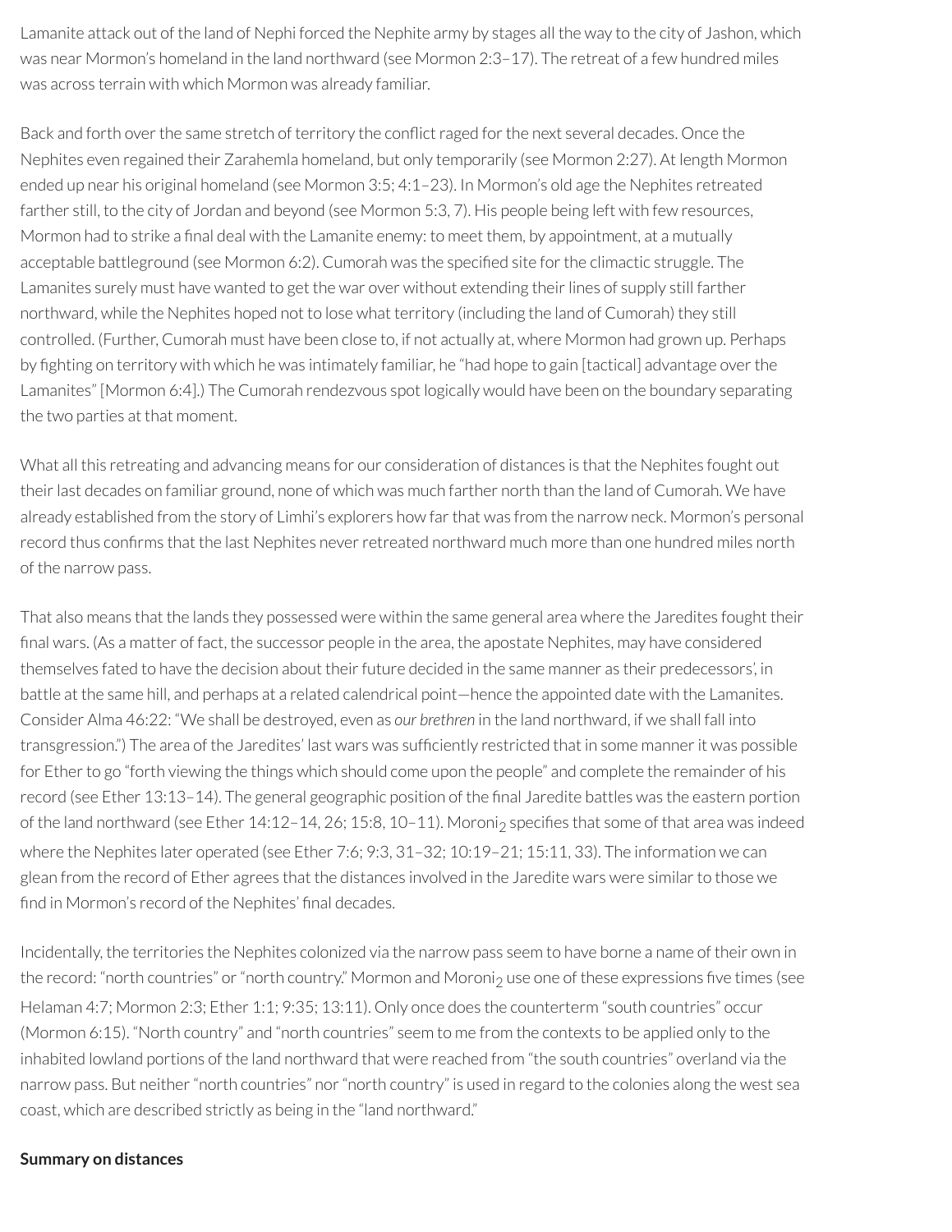Lamanite attack out of the land of Nephi forced the Nephite army by stages all the way to the city of Jashon, which was near Mormon's homeland in the land northward (see Mormon 2:3–17). The retreat of a few hundred miles was across terrain with which Mormon was already familiar.

Back and forth over the same stretch of territory the conflict raged for the next several decades. Once the Nephites even regained their Zarahemla homeland, but only temporarily (see Mormon 2:27). At length Mormon ended up near his original homeland (see Mormon 3:5; 4:1–23). In Mormon's old age the Nephites retreated farther still, to the city of Jordan and beyond (see Mormon 5:3, 7). His people being left with few resources, Mormon had to strike a final deal with the Lamanite enemy: to meet them, by appointment, at a mutually acceptable battleground (see Mormon 6:2). Cumorah was the specified site for the climactic struggle. The Lamanites surely must have wanted to get the war over without extending their lines of supply still farther northward, while the Nephites hoped not to lose what territory (including the land of Cumorah) they still controlled. (Further, Cumorah must have been close to, if not actually at, where Mormon had grown up. Perhaps by fighting on territory with which he was intimately familiar, he "had hope to gain [tactical] advantage over the Lamanites" [Mormon 6:4].) The Cumorah rendezvous spot logically would have been on the boundary separating the two parties at that moment.

What all this retreating and advancing means for our consideration of distances is that the Nephites fought out their last decades on familiar ground, none of which was much farther north than the land of Cumorah. We have already established from the story of Limhi's explorers how farthat was from the narrow neck. Mormon's personal record thus confirms that the last Nephites never retreated northward much more than one hundred miles north of the narrow pass.

That also means that the lands they possessed were within the same general area where the Jaredites fought their final wars. (As a matter of fact, the successor people in the area, the apostate Nephites, may have considered themselves fated to have the decision about their future decided in the same manner as their predecessors', in battle at the same hill, and perhaps at a related calendrical point—hence the appointed date with the Lamanites. Consider Alma 46:22: "We shall be destroyed, even as *our brethren* in the land northward, if we shall fall into transgression.") The area of the Jaredites' last wars was sufficiently restricted that in some manner it was possible for Ether to go "forth viewing the things which should come upon the people" and complete the remainder of his record (see Ether 13:13-14). The general geographic position of the final Jaredite battles was the eastern portion of the land northward (see Ether 14:12-14, 26; 15:8, 10-11). Moroni<sub>2</sub> specifies that some of that area was indeed where the Nephites later operated (see Ether 7:6; 9:3, 31–32; 10:19–21; 15:11, 33). The information we can glean from the record of Ether agrees that the distances involved in the Jaredite wars were similar to those we find in Mormon's record of the Nephites' final decades.

Incidentally, the territories the Nephites colonized via the narrow pass seem to have borne a name of their own in the record: "north countries" or "north country." Mormon and Moroni<sub>2</sub> use one of these expressions five times (see Helaman 4:7; Mormon 2:3; Ether 1:1; 9:35; 13:11). Only once does the counterterm "south countries" occur (Mormon 6:15). "North country" and "north countries" seem to me from the contexts to be applied only to the inhabited lowland portions of the land northward that were reached from "the south countries" overland via the narrow pass. But neither "north countries" nor "north country" is used in regard to the colonies along the west sea coast, which are described strictly as being in the "land northward."

#### **Summary on distances**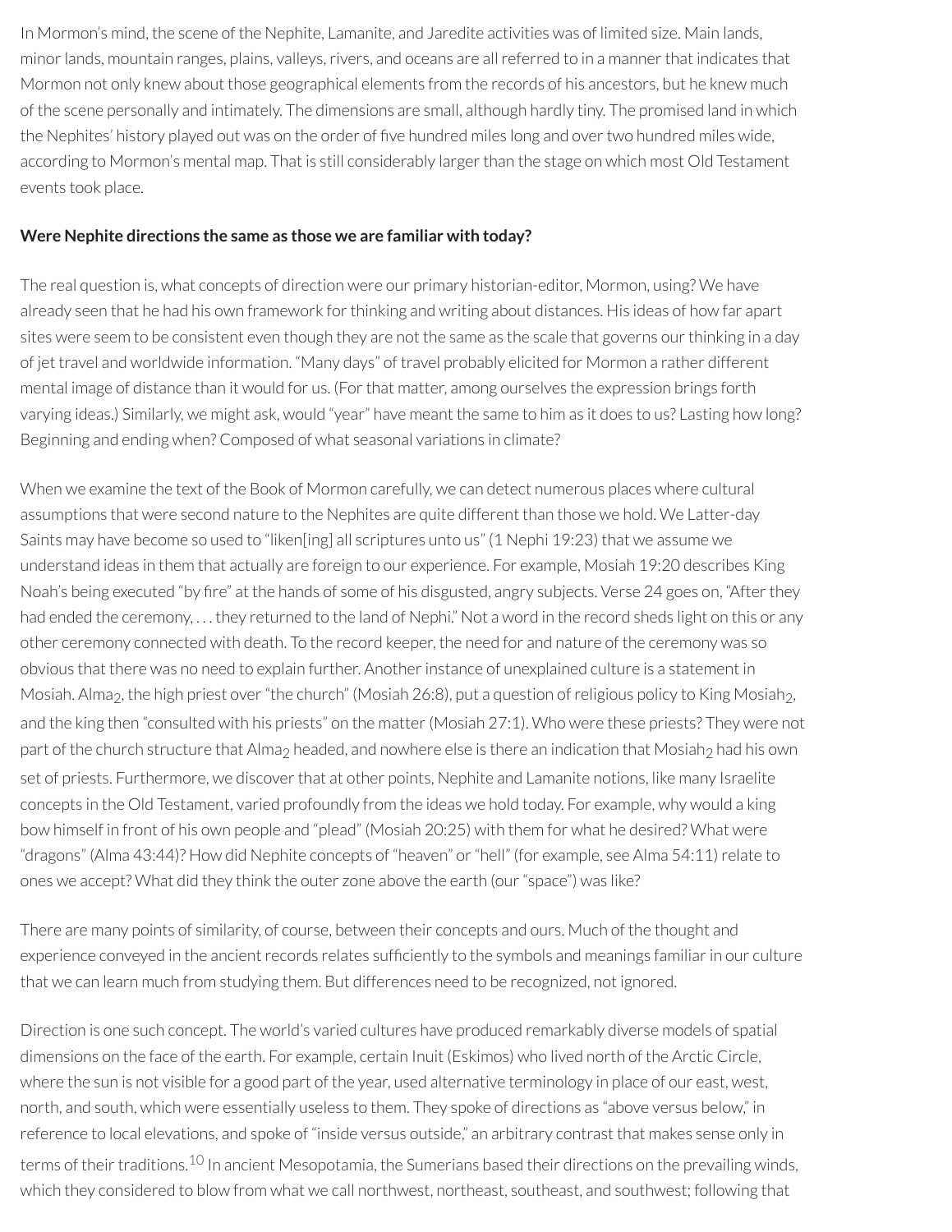In Mormon's mind, the scene of the Nephite, Lamanite, and Jaredite activities was of limited size. Main lands, minor lands, mountain ranges, plains, valleys, rivers, and oceans are all referred to in a manner that indicates that Mormon not only knew about those geographical elements from the records of his ancestors, but he knew much of the scene personally and intimately. The dimensions are small, although hardly tiny. The promised land in which the Nephites' history played out was on the order of five hundred miles long and over two hundred miles wide, according to Mormon's mental map. That is still considerably larger than the stage on which most Old Testament events took place.

#### **Were Nephite directions the same as those we are familiar with today?**

The real question is, what concepts of direction were our primary historian-editor, Mormon, using? We have already seen that he had his own framework forthinking and writing about distances. His ideas of how far apart sites were seem to be consistent even though they are not the same as the scale that governs ourthinking in a day of jet travel and worldwide information. "Many days" of travel probably elicited for Mormon a rather different mental image of distance than it would for us. (Forthat matter, among ourselves the expression brings forth varying ideas.) Similarly, we might ask, would "year" have meant the same to him as it does to us? Lasting how long? Beginning and ending when? Composed of what seasonal variations in climate?

When we examine the text of the Book of Mormon carefully, we can detect numerous places where cultural assumptions that were second nature to the Nephites are quite different than those we hold. We Latter-day Saints may have become so used to "liken[ing] all scriptures unto us" (1 Nephi 19:23) that we assume we understand ideas in them that actually are foreign to our experience. For example, Mosiah 19:20 describes King Noah's being executed "by fire" at the hands of some of his disgusted, angry subjects. Verse 24 goes on, "After they had ended the ceremony, ... they returned to the land of Nephi." Not a word in the record sheds light on this or any other ceremony connected with death. To the record keeper, the need for and nature of the ceremony was so obvious that there was no need to explain further. Anotherinstance of unexplained culture is a statement in Mosiah. Alma<sub>2</sub>, the high priest over "the church" (Mosiah 26:8), put a question of religious policy to King Mosiah<sub>2</sub>, and the king then "consulted with his priests" on the matter(Mosiah 27:1). Who were these priests? They were not part of the church structure that Alma<sub>2</sub> headed, and nowhere else is there an indication that Mosiah<sub>2</sub> had his own set of priests. Furthermore, we discover that at other points, Nephite and Lamanite notions, like many Israelite concepts in the Old Testament, varied profoundly from the ideas we hold today. For example, why would a king bow himself in front of his own people and "plead" (Mosiah 20:25) with them for what he desired? What were "dragons" (Alma 43:44)? How did Nephite concepts of "heaven" or "hell" (for example, see Alma 54:11) relate to ones we accept? What did they think the outer zone above the earth (our "space") was like?

There are many points of similarity, of course, between their concepts and ours. Much of the thought and experience conveyed in the ancient records relates sufficiently to the symbols and meanings familiar in our culture that we can learn much from studying them. But differences need to be recognized, not ignored.

<span id="page-33-0"></span>Direction is one such concept. The world's varied cultures have produced remarkably diverse models of spatial dimensions on the face of the earth. For example, certain Inuit (Eskimos) who lived north of the Arctic Circle, where the sun is not visible for a good part of the year, used alternative terminology in place of our east, west, north, and south, which were essentially useless to them. They spoke of directions as "above versus below," in reference to local elevations, and spoke of "inside versus outside," an arbitrary contrast that makes sense only in terms of their traditions.<sup>[10](#page-35-7)</sup> In ancient Mesopotamia, the Sumerians based their directions on the prevailing winds, which they considered to blow from what we call northwest, northeast, southeast, and southwest; following that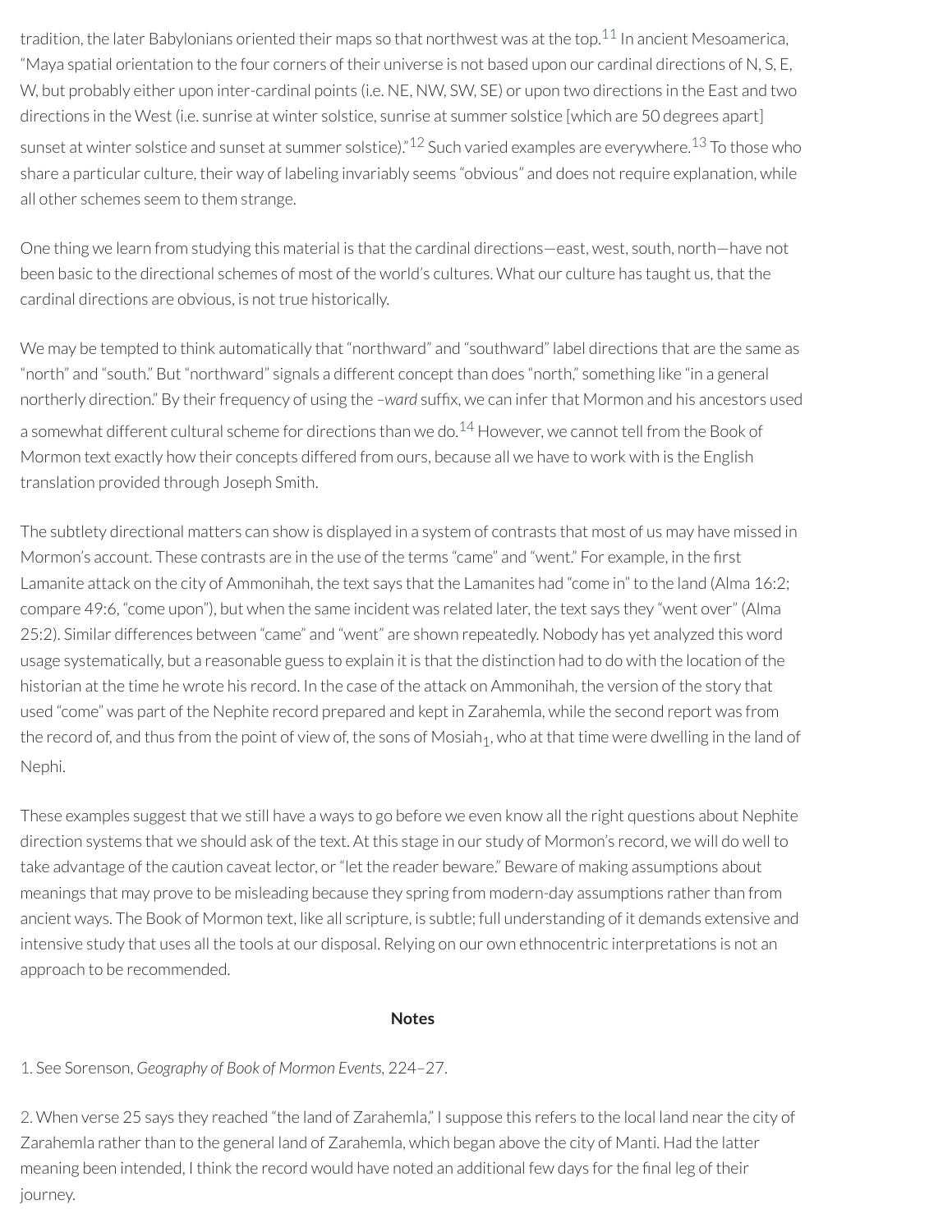<span id="page-34-2"></span>tradition, the later Babylonians oriented their maps so that northwest was at the top.<sup>[11](#page-35-8)</sup> In ancient Mesoamerica, "Maya spatial orientation to the four corners of their universe is not based upon our cardinal directions of N, S, E, W, but probably either upon inter-cardinal points (i.e. NE, NW, SW, SE) or upon two directions in the East and two directions in the West (i.e. sunrise at winter solstice, sunrise at summer solstice [which are 50 degrees apart] sunset at winter solstice and sunset at summer solstice)."<sup>[12](#page-35-9)</sup> Such varied examples are everywhere.<sup>[13](#page-35-10)</sup> To those who share a particular culture, their way of labeling invariably seems "obvious" and does notrequire explanation, while all other schemes seem to them strange.

<span id="page-34-4"></span><span id="page-34-3"></span>One thing we learn from studying this material is that the cardinal directions—east, west, south, north—have not been basic to the directional schemes of most of the world's cultures. What our culture has taught us, that the cardinal directions are obvious, is not true historically.

<span id="page-34-5"></span>We may be tempted to think automatically that "northward" and "southward" label directions that are the same as "north" and "south." But "northward" signals a different concept than does "north," something like "in a general northerly direction." By their frequency of using the *-ward* suffix, we can infer that Mormon and his ancestors used a somewhat different cultural scheme for directions than we do.<sup>[14](#page-35-11)</sup> However, we cannot tell from the Book of Mormon text exactly how their concepts differed from ours, because all we have to work with is the English translation provided through Joseph Smith.

The subtlety directional matters can show is displayed in a system of contrasts that most of us may have missed in Mormon's account. These contrasts are in the use of the terms "came" and "went." For example, in the first Lamanite attack on the city of Ammonihah, the text says that the Lamanites had "come in" to the land (Alma 16:2; compare 49:6, "come upon"), but when the same incident was related later, the text says they "went over" (Alma 25:2). Similar differences between "came" and "went" are shown repeatedly. Nobody has yet analyzed this word usage systematically, but a reasonable guess to explain it is that the distinction had to do with the location of the historian at the time he wrote his record. In the case of the attack on Ammonihah, the version of the story that used "come" was part of the Nephite record prepared and kept in Zarahemla, while the second report was from the record of, and thus from the point of view of, the sons of Mosiah<sub>1</sub>, who at that time were dwelling in the land of Nephi.

These examples suggest that we still have a ways to go before we even know all the right questions about Nephite direction systems that we should ask of the text. At this stage in our study of Mormon's record, we will do well to take advantage of the caution caveat lector, or "let the reader beware." Beware of making assumptions about meanings that may prove to be misleading because they spring from modern-day assumptions ratherthan from ancient ways. The Book of Mormon text, like all scripture, is subtle; full understanding of it demands extensive and intensive study that uses all the tools at our disposal. Relying on our own ethnocentric interpretations is not an approach to be recommended.

#### **Notes**

# <span id="page-34-0"></span>[1.](#page-25-0) See Sorenson, *Geography of Book of Mormon Events,* 224–27.

<span id="page-34-1"></span>[2.](#page-25-1) When verse 25 says they reached "the land of Zarahemla," I suppose this refers to the local land nearthe city of Zarahemla rather than to the general land of Zarahemla, which began above the city of Manti. Had the latter meaning been intended, I think the record would have noted an additional few days for the final leg of their journey.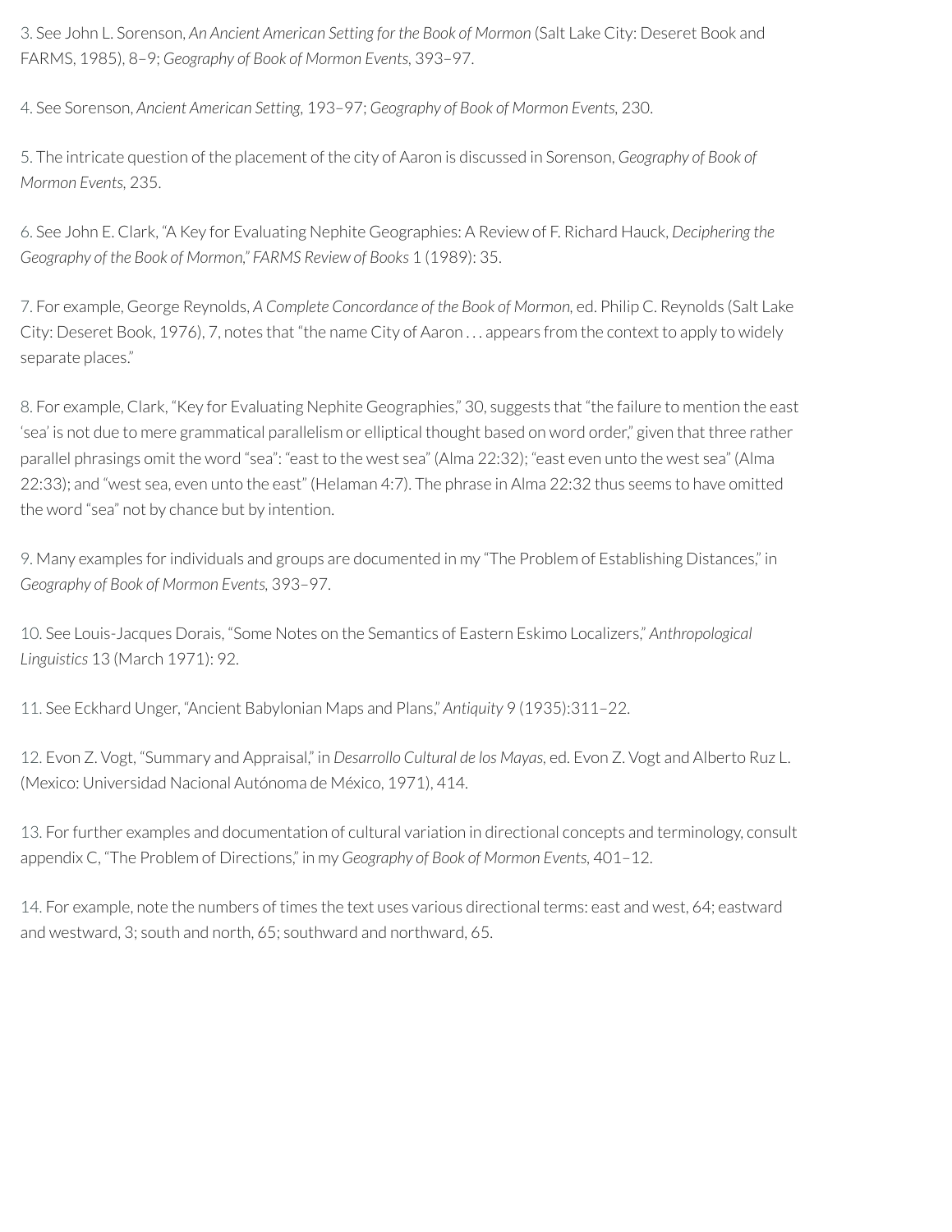<span id="page-35-0"></span>[3.](#page-25-2) See John L. Sorenson, *An Ancient American Setting for the Book of Mormon* (Salt Lake City: Deseret Book and FARMS, 1985), 8–9; *Geography of Book of Mormon Events,* 393–97.

<span id="page-35-1"></span>[4.](#page-27-0) See Sorenson, *Ancient American Setting,* 193–97; *Geography of Book of Mormon Events,* 230.

<span id="page-35-2"></span>[5.](#page-28-0) The intricate question of the placement of the city of Aaron is discussed in Sorenson, *Geography of Book of Mormon Events,* 235.

<span id="page-35-3"></span>[6.](#page-28-1) See John E. Clark, "A Key for Evaluating Nephite Geographies: A Review of F. Richard Hauck, *Deciphering the Geography of the Book of Mormon," FARMS Review of Books* 1 (1989): 35.

<span id="page-35-4"></span>[7.](#page-29-0) For example, George Reynolds, *A Complete Concordance of the Book of Mormon,* ed. Philip C. Reynolds (Salt Lake City: Deseret Book, 1976), 7, notes that "the name City of Aaron . . . appears from the context to apply to widely separate places."

<span id="page-35-5"></span>[8.](#page-30-0) For example, Clark, "Key for Evaluating Nephite Geographies," 30, suggests that "the failure to mention the east 'sea' is not due to mere grammatical parallelism or elliptical thought based on word order," given that three rather parallel phrasings omit the word "sea": "east to the west sea" (Alma 22:32); "east even unto the west sea" (Alma 22:33); and "west sea, even unto the east" (Helaman 4:7). The phrase in Alma 22:32 thus seems to have omitted the word "sea" not by chance but by intention.

<span id="page-35-6"></span>[9.](#page-30-1) Many examples for individuals and groups are documented in my "The Problem of Establishing Distances," in *Geography of Book of Mormon Events,* 393–97.

<span id="page-35-7"></span>[10.](#page-33-0) See Louis-Jacques Dorais, "Some Notes on the Semantics of Eastern Eskimo Localizers," *Anthropological Linguistics* 13 (March 1971): 92.

<span id="page-35-8"></span>[11.](#page-34-2) See Eckhard Unger, "Ancient Babylonian Maps and Plans," *Antiquity* 9 (1935):311–22.

<span id="page-35-9"></span>[12.](#page-34-3) Evon Z. Vogt, "Summary and Appraisal," in *Desarrollo Cultural de los Mayas,* ed. Evon Z. Vogt and Alberto Ruz L. (Mexico: Universidad Nacional Autónoma de México, 1971), 414.

<span id="page-35-10"></span>[13.](#page-34-4) Forfurther examples and documentation of cultural variation in directional concepts and terminology, consult appendix C, "The Problem of Directions," in my *Geography of Book of Mormon Events,* 401–12.

<span id="page-35-11"></span>[14.](#page-34-5) For example, note the numbers of times the text uses various directional terms: east and west, 64; eastward and westward, 3; south and north, 65; southward and northward, 65.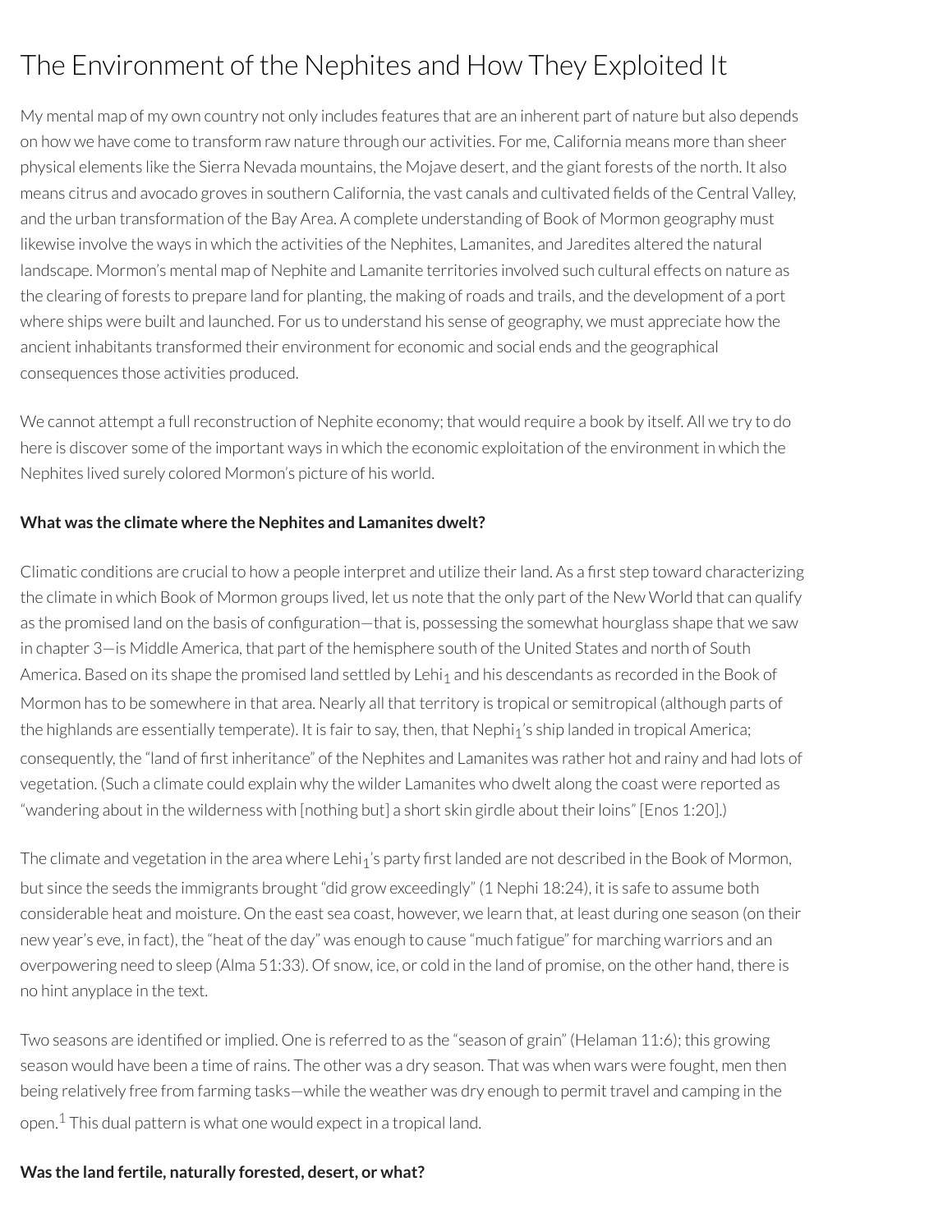# The Environment of the Nephites and How They Exploited It

My mental map of my own country not only includes features that are an inherent part of nature but also depends on how we have come to transform raw nature through our activities. For me, California means more than sheer physical elements like the Sierra Nevada mountains, the Mojave desert, and the giant forests of the north. It also means citrus and avocado groves in southern California, the vast canals and cultivated fields of the Central Valley, and the urban transformation of the Bay Area. A complete understanding of Book of Mormon geography must likewise involve the ways in which the activities of the Nephites, Lamanites, and Jaredites altered the natural landscape. Mormon's mental map of Nephite and Lamanite territories involved such cultural effects on nature as the clearing of forests to prepare land for planting, the making ofroads and trails, and the development of a port where ships were built and launched. For us to understand his sense of geography, we must appreciate how the ancient inhabitants transformed their environment for economic and social ends and the geographical consequences those activities produced.

We cannot attempt a full reconstruction of Nephite economy; that would require a book by itself. All we try to do here is discover some of the important ways in which the economic exploitation of the environment in which the Nephites lived surely colored Mormon's picture of his world.

#### **What was the climate where the Nephites and Lamanites dwelt?**

Climatic conditions are crucial to how a people interpret and utilize their land. As a first step toward characterizing the climate in which Book of Mormon groups lived, let us note that the only part of the New World that can qualify as the promised land on the basis of configuration—that is, possessing the somewhat hourglass shape that we saw in chapter 3—is Middle America, that part of the hemisphere south of the United States and north of South America. Based on its shape the promised land settled by Lehi<sub>1</sub> and his descendants as recorded in the Book of Mormon has to be somewhere in that area. Nearly all that territory is tropical or semitropical (although parts of the highlands are essentially temperate). It is fair to say, then, that Nephi<sub>1</sub>'s ship landed in tropical America; consequently, the "land of first inheritance" of the Nephites and Lamanites was rather hot and rainy and had lots of vegetation. (Such a climate could explain why the wilder Lamanites who dwelt along the coast were reported as "wandering about in the wilderness with [nothing but] a short skin girdle about their loins" [Enos 1:20].)

The climate and vegetation in the area where Lehi<sub>1</sub>'s party first landed are not described in the Book of Mormon, but since the seeds the immigrants brought "did grow exceedingly" (1 Nephi 18:24), it is safe to assume both considerable heat and moisture. On the east sea coast, however, we learn that, at least during one season (on their new year's eve, in fact), the "heat of the day" was enough to cause "much fatigue" for marching warriors and an overpowering need to sleep (Alma 51:33). Of snow, ice, or cold in the land of promise, on the other hand, there is no hint anyplace in the text.

Two seasons are identified or implied. One is referred to as the "season of grain" (Helaman 11:6); this growing season would have been a time ofrains. The other was a dry season. That was when wars were fought, men then being relatively free from farming tasks—while the weather was dry enough to permit travel and camping in the open. $^{\rm 1}$  $^{\rm 1}$  $^{\rm 1}$  This dual pattern is what one would expect in a tropical land.

#### <span id="page-36-0"></span>**Was the land fertile, naturally forested, desert, or what?**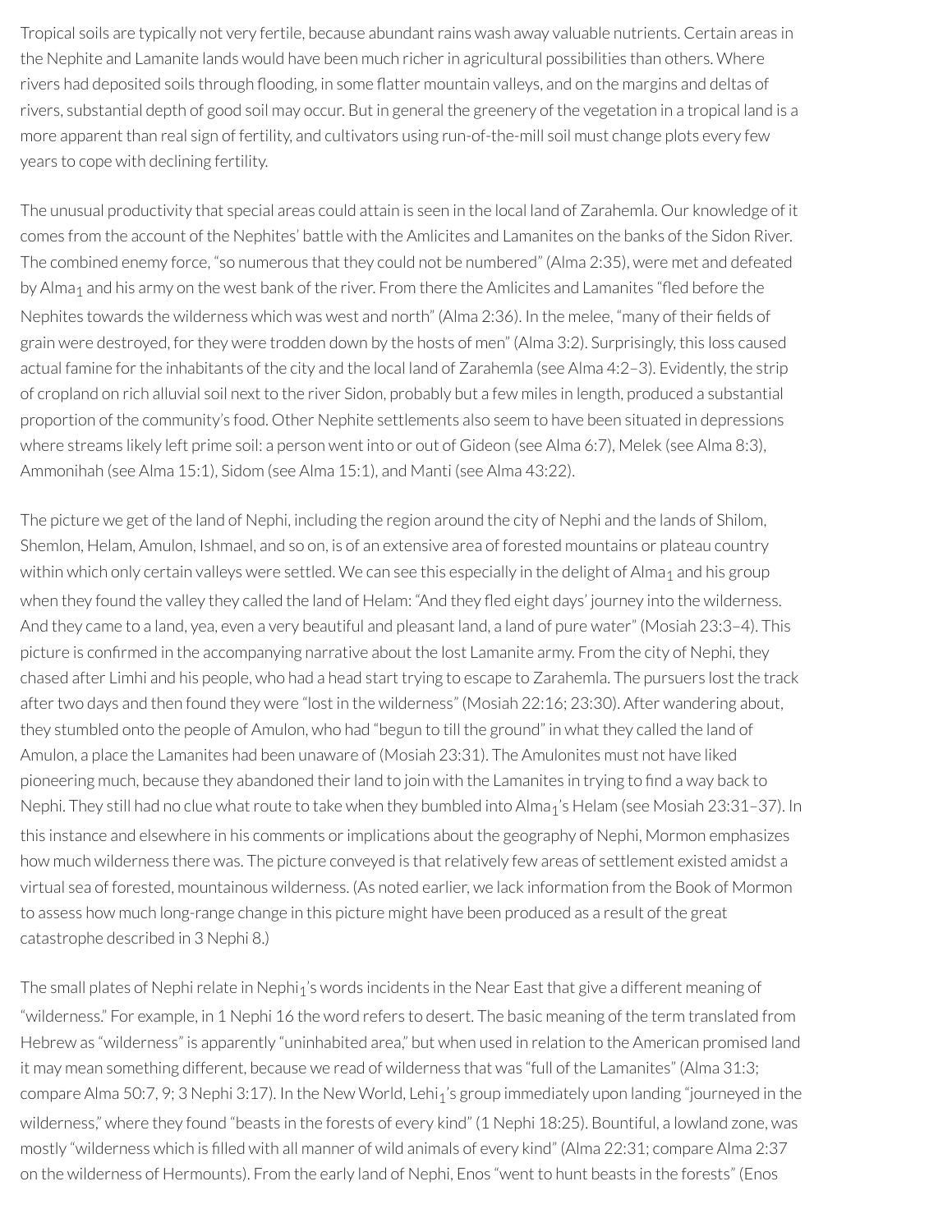Tropical soils are typically not very fertile, because abundant rains wash away valuable nutrients. Certain areas in the Nephite and Lamanite lands would have been much richer in agricultural possibilities than others. Where rivers had deposited soils through flooding, in some flatter mountain valleys, and on the margins and deltas of rivers, substantial depth of good soil may occur. But in general the greenery of the vegetation in a tropical land is a more apparent than real sign of fertility, and cultivators using run-of-the-mill soil must change plots every few years to cope with declining fertility.

The unusual productivity that special areas could attain is seen in the local land of Zarahemla. Our knowledge of it comes from the account of the Nephites' battle with the Amlicites and Lamanites on the banks of the Sidon River. The combined enemy force, "so numerous that they could not be numbered" (Alma 2:35), were met and defeated by Alma<sub>1</sub> and his army on the west bank of the river. From there the Amlicites and Lamanites "fled before the Nephites towards the wilderness which was west and north" (Alma 2:36). In the melee, "many of their fields of grain were destroyed, forthey were trodden down by the hosts of men" (Alma 3:2). Surprisingly, this loss caused actual famine for the inhabitants of the city and the local land of Zarahemla (see Alma 4:2–3). Evidently, the strip of cropland on rich alluvial soil next to the river Sidon, probably but a few miles in length, produced a substantial proportion of the community's food. Other Nephite settlements also seem to have been situated in depressions where streams likely left prime soil: a person went into or out of Gideon (see Alma 6:7), Melek (see Alma 8:3), Ammonihah (see Alma 15:1), Sidom (see Alma 15:1), and Manti (see Alma 43:22).

The picture we get of the land of Nephi, including the region around the city of Nephi and the lands of Shilom, Shemlon, Helam, Amulon, Ishmael, and so on, is of an extensive area of forested mountains or plateau country within which only certain valleys were settled. We can see this especially in the delight of Alma<sub>1</sub> and his group when they found the valley they called the land of Helam: "And they fled eight days' journey into the wilderness. And they came to a land, yea, even a very beautiful and pleasant land, a land of pure water" (Mosiah 23:3–4). This picture is confirmed in the accompanying narrative about the lost Lamanite army. From the city of Nephi, they chased after Limhi and his people, who had a head start trying to escape to Zarahemla. The pursuers lost the track after two days and then found they were "lost in the wilderness" (Mosiah 22:16; 23:30). After wandering about, they stumbled onto the people of Amulon, who had "begun to till the ground" in what they called the land of Amulon, a place the Lamanites had been unaware of (Mosiah 23:31). The Amulonites must not have liked pioneering much, because they abandoned their land to join with the Lamanites in trying to find a way back to Nephi. They still had no clue what route to take when they bumbled into Alma<sub>1</sub>'s Helam (see Mosiah 23:31-37). In this instance and elsewhere in his comments or implications about the geography of Nephi, Mormon emphasizes how much wilderness there was. The picture conveyed is that relatively few areas of settlement existed amidst a virtual sea of forested, mountainous wilderness. (As noted earlier, we lack information from the Book of Mormon to assess how much long-range change in this picture might have been produced as a result of the great catastrophe described in 3 Nephi 8.)

The small plates of Nephi relate in Nephi<sub>1</sub>'s words incidents in the Near East that give a different meaning of "wilderness." For example, in 1 Nephi 16 the word refers to desert. The basic meaning of the term translated from Hebrew as "wilderness" is apparently "uninhabited area," but when used in relation to the American promised land it may mean something different, because we read of wilderness that was "full of the Lamanites" (Alma 31:3; compare Alma 50:7, 9; 3 Nephi 3:17). In the New World, Lehi<sub>1</sub>'s group immediately upon landing "journeyed in the wilderness," where they found "beasts in the forests of every kind" (1 Nephi 18:25). Bountiful, a lowland zone, was mostly "wilderness which is lled with all manner of wild animals of every kind" (Alma 22:31; compare Alma 2:37 on the wilderness of Hermounts). From the early land of Nephi, Enos "went to hunt beasts in the forests" (Enos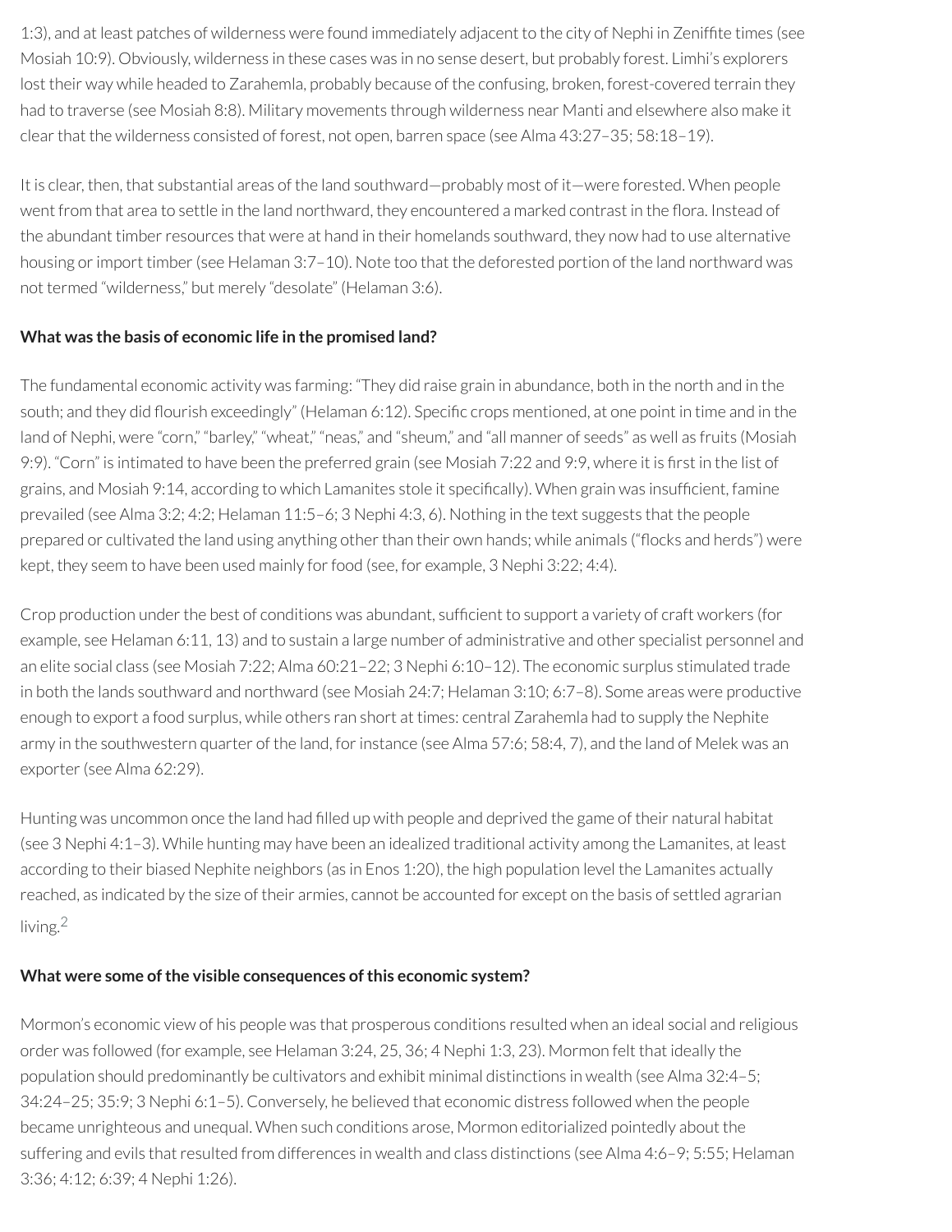1:3), and at least patches of wilderness were found immediately adjacent to the city of Nephi in Zenifte times (see Mosiah 10:9). Obviously, wilderness in these cases was in no sense desert, but probably forest. Limhi's explorers lost their way while headed to Zarahemla, probably because of the confusing, broken, forest-covered terrain they had to traverse (see Mosiah 8:8). Military movements through wilderness near Manti and elsewhere also make it clearthat the wilderness consisted of forest, not open, barren space (see Alma 43:27–35; 58:18–19).

It is clear, then, that substantial areas of the land southward—probably most of it—were forested. When people went from that area to settle in the land northward, they encountered a marked contrast in the flora. Instead of the abundant timber resources that were at hand in their homelands southward, they now had to use alternative housing or import timber (see Helaman 3:7–10). Note too that the deforested portion of the land northward was not termed "wilderness," but merely "desolate" (Helaman 3:6).

#### **What was the basis of economic life in the promised land?**

The fundamental economic activity was farming: "They did raise grain in abundance, both in the north and in the south; and they did flourish exceedingly" (Helaman 6:12). Specific crops mentioned, at one point in time and in the land of Nephi, were "corn," "barley," "wheat," "neas," and "sheum," and "all manner of seeds" as well as fruits (Mosiah 9:9). "Corn" is intimated to have been the preferred grain (see Mosiah 7:22 and 9:9, where it is first in the list of grains, and Mosiah 9:14, according to which Lamanites stole it specifically). When grain was insufficient, famine prevailed (see Alma 3:2; 4:2; Helaman 11:5–6; 3 Nephi 4:3, 6). Nothing in the text suggests that the people prepared or cultivated the land using anything other than their own hands; while animals ("flocks and herds") were kept, they seem to have been used mainly forfood (see, for example, 3 Nephi 3:22; 4:4).

Crop production under the best of conditions was abundant, sufficient to support a variety of craft workers (for example, see Helaman 6:11, 13) and to sustain a large number of administrative and other specialist personnel and an elite social class (see Mosiah 7:22; Alma 60:21–22; 3 Nephi 6:10–12). The economic surplus stimulated trade in both the lands southward and northward (see Mosiah 24:7; Helaman 3:10; 6:7–8). Some areas were productive enough to export a food surplus, while others ran short at times: central Zarahemla had to supply the Nephite army in the southwestern quarter of the land, for instance (see Alma 57:6; 58:4, 7), and the land of Melek was an exporter (see Alma 62:29).

Hunting was uncommon once the land had filled up with people and deprived the game of their natural habitat (see 3 Nephi 4:1–3). While hunting may have been an idealized traditional activity among the Lamanites, at least according to their biased Nephite neighbors (as in Enos 1:20), the high population level the Lamanites actually reached, as indicated by the size of their armies, cannot be accounted for except on the basis of settled agrarian living. [2](#page-39-1)

#### <span id="page-38-0"></span>**What were some ofthe visible consequences ofthis economic system?**

Mormon's economic view of his people was that prosperous conditions resulted when an ideal social and religious order was followed (for example, see Helaman 3:24, 25, 36; 4 Nephi 1:3, 23). Mormon felt that ideally the population should predominantly be cultivators and exhibit minimal distinctions in wealth (see Alma 32:4–5; 34:24–25; 35:9; 3 Nephi 6:1–5). Conversely, he believed that economic distress followed when the people became unrighteous and unequal. When such conditions arose, Mormon editorialized pointedly about the suffering and evils that resulted from differences in wealth and class distinctions (see Alma 4:6–9; 5:55; Helaman 3:36; 4:12; 6:39; 4 Nephi 1:26).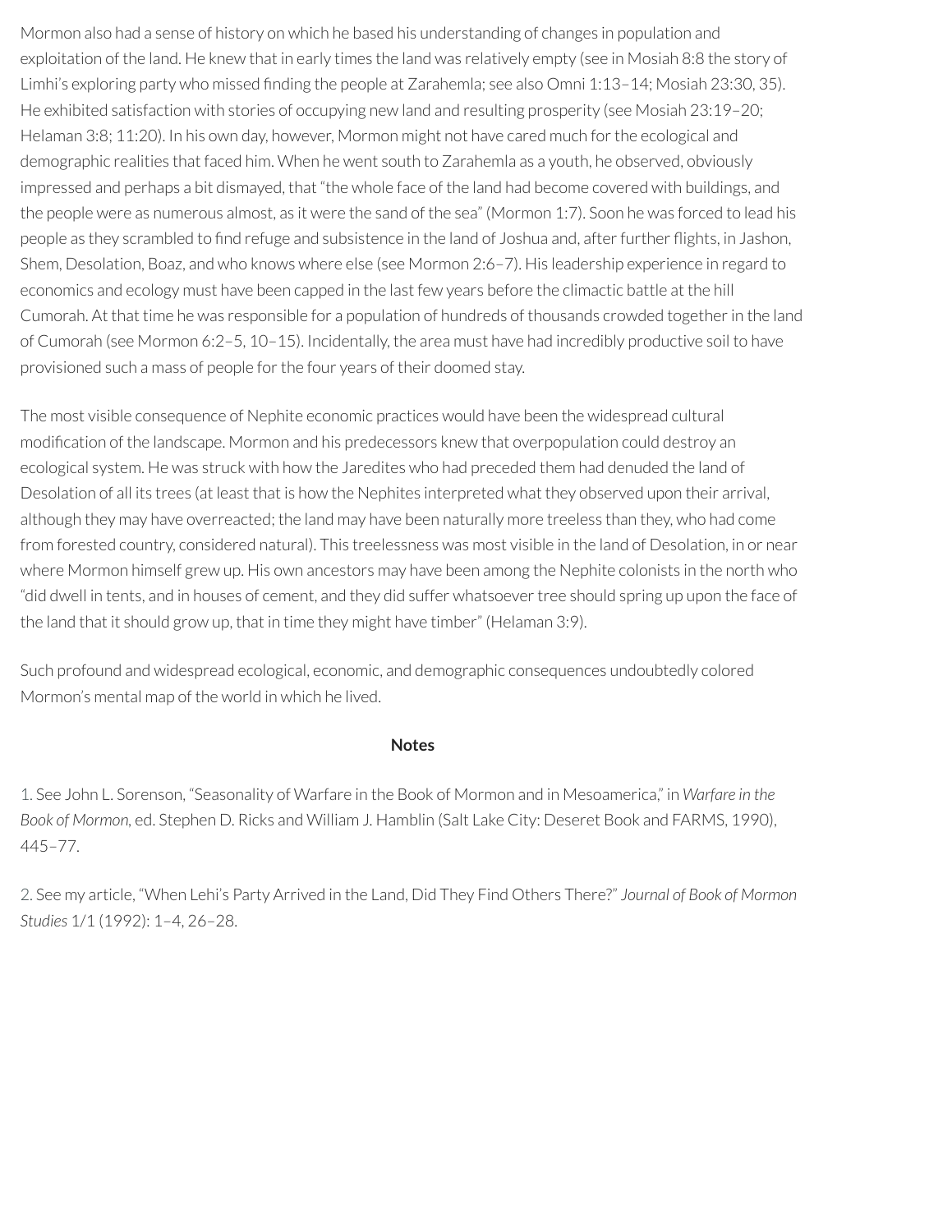Mormon also had a sense of history on which he based his understanding of changes in population and exploitation of the land. He knew that in early times the land was relatively empty (see in Mosiah 8:8 the story of Limhi's exploring party who missed finding the people at Zarahemla; see also Omni 1:13-14; Mosiah 23:30, 35). He exhibited satisfaction with stories of occupying new land and resulting prosperity (see Mosiah 23:19–20; Helaman 3:8; 11:20). In his own day, however, Mormon might not have cared much for the ecological and demographic realities that faced him. When he went south to Zarahemla as a youth, he observed, obviously impressed and perhaps a bit dismayed, that "the whole face of the land had become covered with buildings, and the people were as numerous almost, as it were the sand of the sea" (Mormon 1:7). Soon he was forced to lead his people as they scrambled to find refuge and subsistence in the land of Joshua and, after further flights, in Jashon, Shem, Desolation, Boaz, and who knows where else (see Mormon 2:6–7). His leadership experience in regard to economics and ecology must have been capped in the last few years before the climactic battle at the hill Cumorah. At that time he was responsible for a population of hundreds of thousands crowded togetherin the land of Cumorah (see Mormon 6:2–5, 10–15). Incidentally, the area must have had incredibly productive soil to have provisioned such a mass of people forthe four years of their doomed stay.

The most visible consequence of Nephite economic practices would have been the widespread cultural modification of the landscape. Mormon and his predecessors knew that overpopulation could destroy an ecological system. He was struck with how the Jaredites who had preceded them had denuded the land of Desolation of all its trees (at least that is how the Nephites interpreted what they observed upon their arrival, although they may have overreacted; the land may have been naturally more treeless than they, who had come from forested country, considered natural). This treelessness was most visible in the land of Desolation, in or near where Mormon himself grew up. His own ancestors may have been among the Nephite colonists in the north who "did dwell in tents, and in houses of cement, and they did suffer whatsoevertree should spring up upon the face of the land that it should grow up, that in time they might have timber" (Helaman 3:9).

Such profound and widespread ecological, economic, and demographic consequences undoubtedly colored Mormon's mental map of the world in which he lived.

#### **Notes**

<span id="page-39-0"></span>[1.](#page-36-0) See John L. Sorenson, "Seasonality of Warfare in the Book of Mormon and in Mesoamerica," in *Warfare in the Book of Mormon,* ed. Stephen D. Ricks and William J. Hamblin (Salt Lake City: Deseret Book and FARMS, 1990), 445–77.

<span id="page-39-1"></span>[2.](#page-38-0) See my article, "When Lehi's Party Arrived in the Land, Did They Find Others There?" *Journal of Book of Mormon Studies* 1/1 (1992): 1–4, 26–28.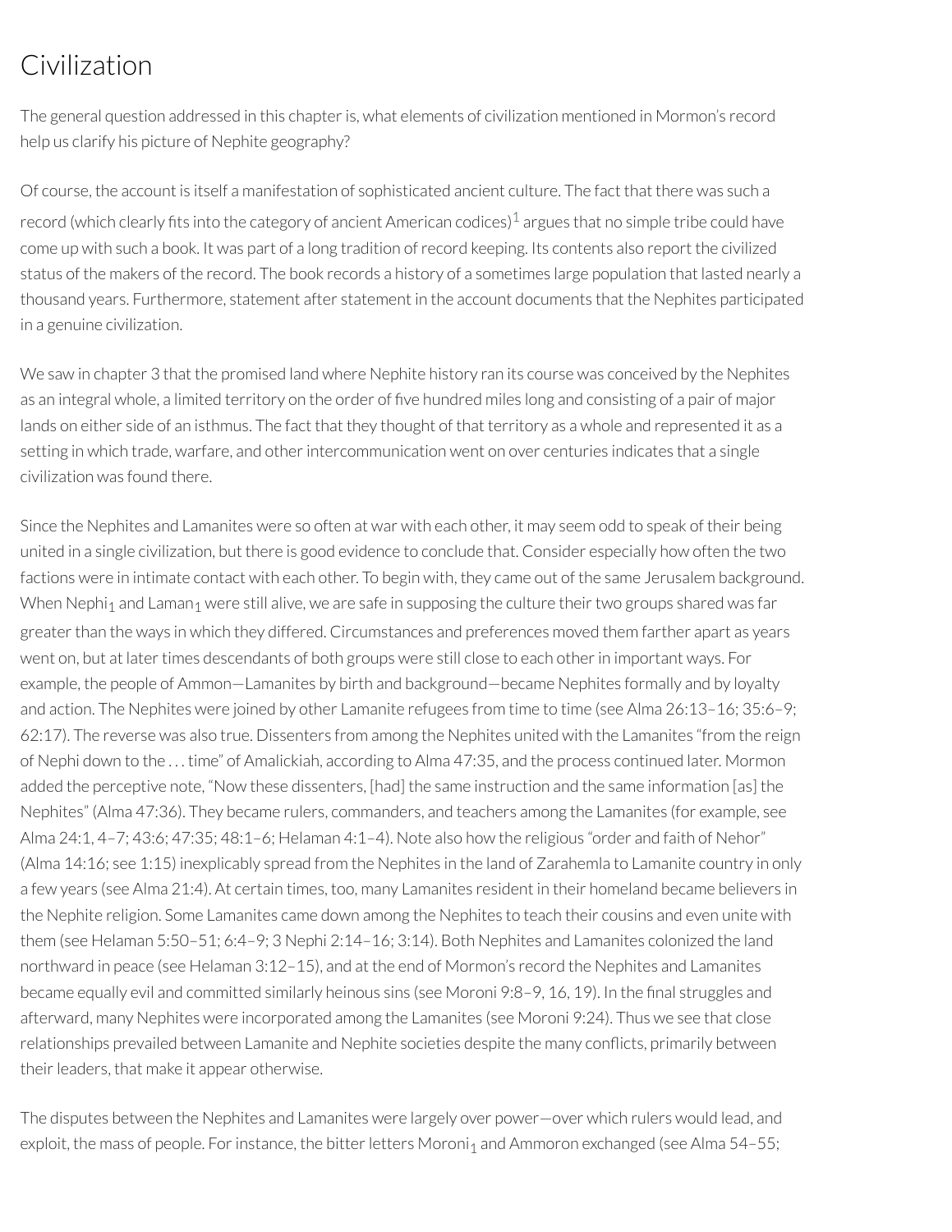# Civilization

The general question addressed in this chapter is, what elements of civilization mentioned in Mormon's record help us clarify his picture of Nephite geography?

<span id="page-40-0"></span>Of course, the account is itself a manifestation of sophisticated ancient culture. The fact that there was such a record (which clearly fits into the category of ancient American codices) $^1$  $^1$  argues that no simple tribe could have come up with such a book. It was part of a long tradition ofrecord keeping. Its contents also report the civilized status of the makers of the record. The book records a history of a sometimes large population that lasted nearly a thousand years. Furthermore, statement after statement in the account documents that the Nephites participated in a genuine civilization.

We saw in chapter 3 that the promised land where Nephite history ran its course was conceived by the Nephites as an integral whole, a limited territory on the order of five hundred miles long and consisting of a pair of major lands on either side of an isthmus. The fact that they thought of that territory as a whole and represented it as a setting in which trade, warfare, and other intercommunication went on over centuries indicates that a single civilization was found there.

Since the Nephites and Lamanites were so often at war with each other, it may seem odd to speak of their being united in a single civilization, but there is good evidence to conclude that. Consider especially how often the two factions were in intimate contact with each other. To begin with, they came out of the same Jerusalem background. When Nephi<sub>1</sub> and Laman<sub>1</sub> were still alive, we are safe in supposing the culture their two groups shared was far greaterthan the ways in which they differed. Circumstances and preferences moved them farther apart as years went on, but at later times descendants of both groups were still close to each other in important ways. For example, the people of Ammon—Lamanites by birth and background—became Nephites formally and by loyalty and action. The Nephites were joined by other Lamanite refugees from time to time (see Alma 26:13–16; 35:6–9; 62:17). The reverse was also true. Dissenters from among the Nephites united with the Lamanites "from the reign of Nephi down to the . . . time" of Amalickiah, according to Alma 47:35, and the process continued later. Mormon added the perceptive note, "Now these dissenters, [had] the same instruction and the same information [as] the Nephites" (Alma 47:36). They became rulers, commanders, and teachers among the Lamanites (for example, see Alma 24:1, 4–7; 43:6; 47:35; 48:1–6; Helaman 4:1–4). Note also how the religious "order and faith of Nehor" (Alma 14:16; see 1:15) inexplicably spread from the Nephites in the land of Zarahemla to Lamanite country in only a few years (see Alma 21:4). At certain times, too, many Lamanites resident in their homeland became believers in the Nephite religion. Some Lamanites came down among the Nephites to teach their cousins and even unite with them (see Helaman 5:50–51; 6:4–9; 3 Nephi 2:14–16; 3:14). Both Nephites and Lamanites colonized the land northward in peace (see Helaman 3:12–15), and at the end of Mormon's record the Nephites and Lamanites became equally evil and committed similarly heinous sins (see Moroni 9:8–9, 16, 19). In the final struggles and afterward, many Nephites were incorporated among the Lamanites (see Moroni 9:24). Thus we see that close relationships prevailed between Lamanite and Nephite societies despite the many conflicts, primarily between their leaders, that make it appear otherwise.

The disputes between the Nephites and Lamanites were largely over power—over which rulers would lead, and exploit, the mass of people. For instance, the bitter letters Moroni<sub>1</sub> and Ammoron exchanged (see Alma 54–55;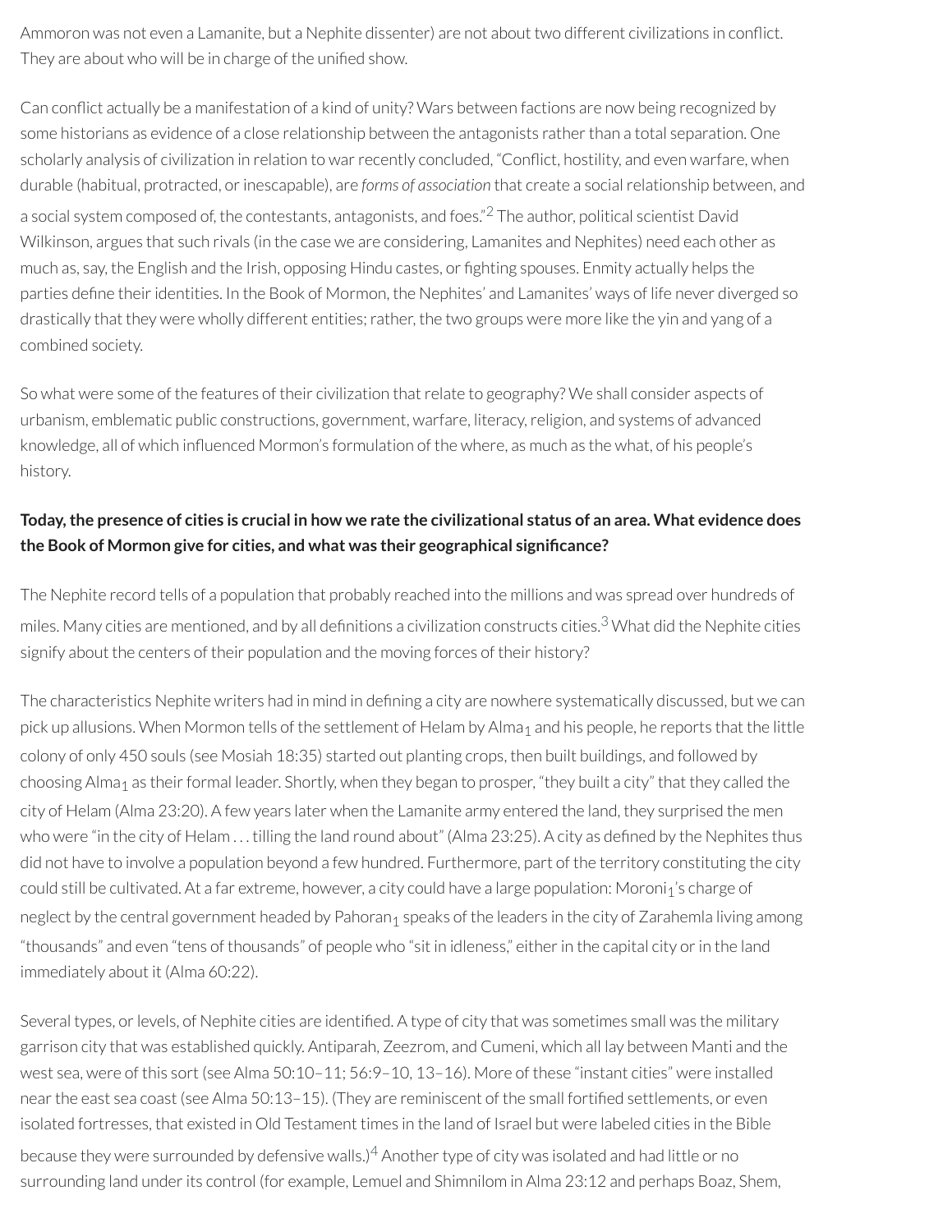Ammoron was not even a Lamanite, but a Nephite dissenter) are not about two different civilizations in conflict. They are about who will be in charge of the unified show.

<span id="page-41-0"></span>Can conflict actually be a manifestation of a kind of unity? Wars between factions are now being recognized by some historians as evidence of a close relationship between the antagonists rather than a total separation. One scholarly analysis of civilization in relation to war recently concluded, "Conflict, hostility, and even warfare, when durable (habitual, protracted, orinescapable), are *forms of association* that create a socialrelationship between, and a social system composed of, the contestants, antagonists, and foes."<sup>[2](#page-45-1)</sup> The author, political scientist David Wilkinson, argues that such rivals (in the case we are considering, Lamanites and Nephites) need each other as much as, say, the English and the Irish, opposing Hindu castes, or ghting spouses. Enmity actually helps the parties define their identities. In the Book of Mormon, the Nephites' and Lamanites' ways of life never diverged so drastically that they were wholly different entities; rather, the two groups were more like the yin and yang of a combined society.

So what were some of the features of their civilization that relate to geography? We shall consider aspects of urbanism, emblematic public constructions, government, warfare, literacy,religion, and systems of advanced knowledge, all of which influenced Mormon's formulation of the where, as much as the what, of his people's history.

# Today, the presence of cities is crucial in how we rate the civilizational status of an area. What evidence does **the Book of Mormon give for cities, and what was their geographical signicance?**

<span id="page-41-1"></span>The Nephite record tells of a population that probably reached into the millions and was spread over hundreds of miles. Many cities are mentioned, and by all definitions a civilization constructs cities.<sup>[3](#page-46-0)</sup> What did the Nephite cities signify about the centers of their population and the moving forces of their history?

The characteristics Nephite writers had in mind in defining a city are nowhere systematically discussed, but we can pick up allusions. When Mormon tells of the settlement of Helam by Alma<sub>1</sub> and his people, he reports that the little colony of only 450 souls (see Mosiah 18:35) started out planting crops, then built buildings, and followed by choosing Alma<sub>1</sub> as their formal leader. Shortly, when they began to prosper, "they built a city" that they called the city of Helam (Alma 23:20). A few years later when the Lamanite army entered the land, they surprised the men who were "in the city of Helam ... tilling the land round about" (Alma 23:25). A city as defined by the Nephites thus did not have to involve a population beyond a few hundred. Furthermore, part of the territory constituting the city could still be cultivated. At a far extreme, however, a city could have a large population: Moroni<sub>1</sub>'s charge of neglect by the central government headed by Pahoran<sub>1</sub> speaks of the leaders in the city of Zarahemla living among "thousands" and even "tens of thousands" of people who "sit in idleness," eitherin the capital city orin the land immediately about it (Alma 60:22).

Several types, or levels, of Nephite cities are identified. A type of city that was sometimes small was the military garrison city that was established quickly. Antiparah, Zeezrom, and Cumeni, which all lay between Manti and the west sea, were of this sort (see Alma 50:10–11; 56:9–10, 13–16). More of these "instant cities" were installed near the east sea coast (see Alma 50:13-15). (They are reminiscent of the small fortified settlements, or even isolated fortresses, that existed in Old Testament times in the land of Israel but were labeled cities in the Bible

<span id="page-41-2"></span>because they were surrounded by defensive walls.) $^4$  $^4$  Another type of city was isolated and had little or no surrounding land under its control (for example, Lemuel and Shimnilom in Alma 23:12 and perhaps Boaz, Shem,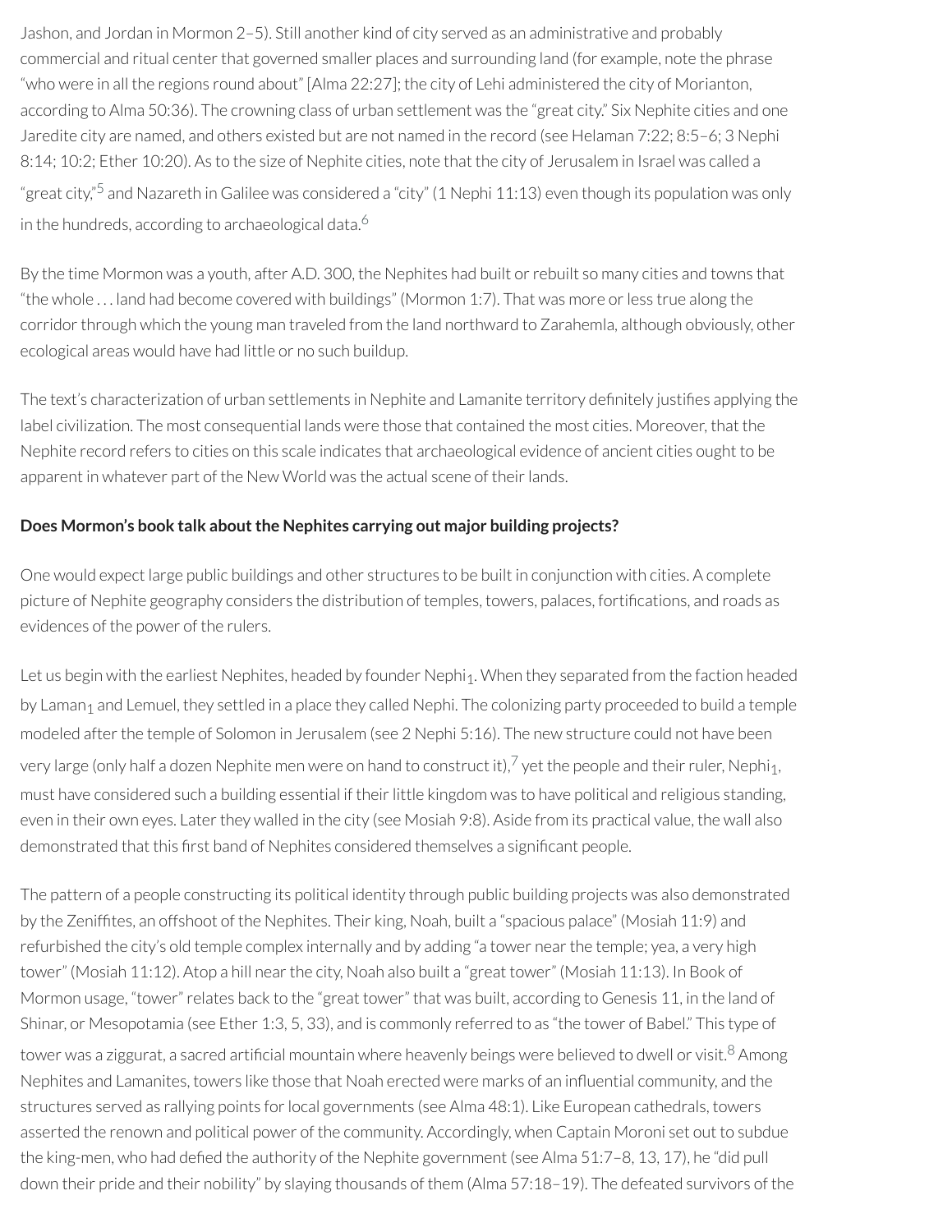Jashon, and Jordan in Mormon 2–5). Still another kind of city served as an administrative and probably commercial and ritual center that governed smaller places and surrounding land (for example, note the phrase "who were in all the regions round about" [Alma 22:27]; the city of Lehi administered the city of Morianton, according to Alma 50:36). The crowning class of urban settlement was the "great city." Six Nephite cities and one Jaredite city are named, and others existed but are not named in the record (see Helaman 7:22; 8:5–6; 3 Nephi 8:14; 10:2; Ether 10:20). As to the size of Nephite cities, note that the city of Jerusalem in Israel was called a "great city,"<sup>[5](#page-46-2)</sup> and Nazareth in Galilee was considered a "city" (1 Nephi 11:13) even though its population was only in the hundreds, according to archaeological data. [6](#page-46-3)

<span id="page-42-1"></span><span id="page-42-0"></span>By the time Mormon was a youth, after A.D. 300, the Nephites had built orrebuilt so many cities and towns that "the whole . . . land had become covered with buildings" (Mormon 1:7). That was more orless true along the corridor through which the young man traveled from the land northward to Zarahemla, although obviously, other ecological areas would have had little or no such buildup.

The text's characterization of urban settlements in Nephite and Lamanite territory definitely justifies applying the label civilization. The most consequential lands were those that contained the most cities. Moreover, that the Nephite record refers to cities on this scale indicates that archaeological evidence of ancient cities ought to be apparent in whatever part of the New World was the actual scene of their lands.

#### **Does Mormon's book talk aboutthe Nephites carrying out major building projects?**

One would expect large public buildings and other structures to be built in conjunction with cities. A complete picture of Nephite geography considers the distribution of temples, towers, palaces, fortifications, and roads as evidences of the power of the rulers.

<span id="page-42-2"></span>Let us begin with the earliest Nephites, headed by founder Nephi<sub>1</sub>. When they separated from the faction headed by Laman<sub>1</sub> and Lemuel, they settled in a place they called Nephi. The colonizing party proceeded to build a temple modeled after the temple of Solomon in Jerusalem (see 2 Nephi 5:16). The new structure could not have been very large (only half a dozen Nephite men were on hand to construct it),<sup>[7](#page-46-4)</sup> yet the people and their ruler, Nephi<sub>1</sub>, must have considered such a building essential if their little kingdom was to have political and religious standing, even in their own eyes. Later they walled in the city (see Mosiah 9:8). Aside from its practical value, the wall also demonstrated that this first band of Nephites considered themselves a significant people.

<span id="page-42-3"></span>The pattern of a people constructing its political identity through public building projects was also demonstrated by the Zeniftes, an offshoot of the Nephites. Their king, Noah, built a "spacious palace" (Mosiah 11:9) and refurbished the city's old temple complex internally and by adding "a tower nearthe temple; yea, a very high tower" (Mosiah 11:12). Atop a hill near the city, Noah also built a "great tower" (Mosiah 11:13). In Book of Mormon usage, "tower" relates back to the "great tower" that was built, according to Genesis 11, in the land of Shinar, or Mesopotamia (see Ether 1:3, 5, 33), and is commonly referred to as "the tower of Babel." This type of tower was a ziggurat, a sacred artificial mountain where heavenly beings were believed to dwell or visit. $^8$  $^8$  Among Nephites and Lamanites, towers like those that Noah erected were marks of an influential community, and the structures served as rallying points for local governments (see Alma 48:1). Like European cathedrals, towers asserted the renown and political power of the community. Accordingly, when Captain Moroni set out to subdue the king-men, who had defied the authority of the Nephite government (see Alma  $51:7-8$ , 13, 17), he "did pull down their pride and their nobility" by slaying thousands of them (Alma 57:18–19). The defeated survivors of the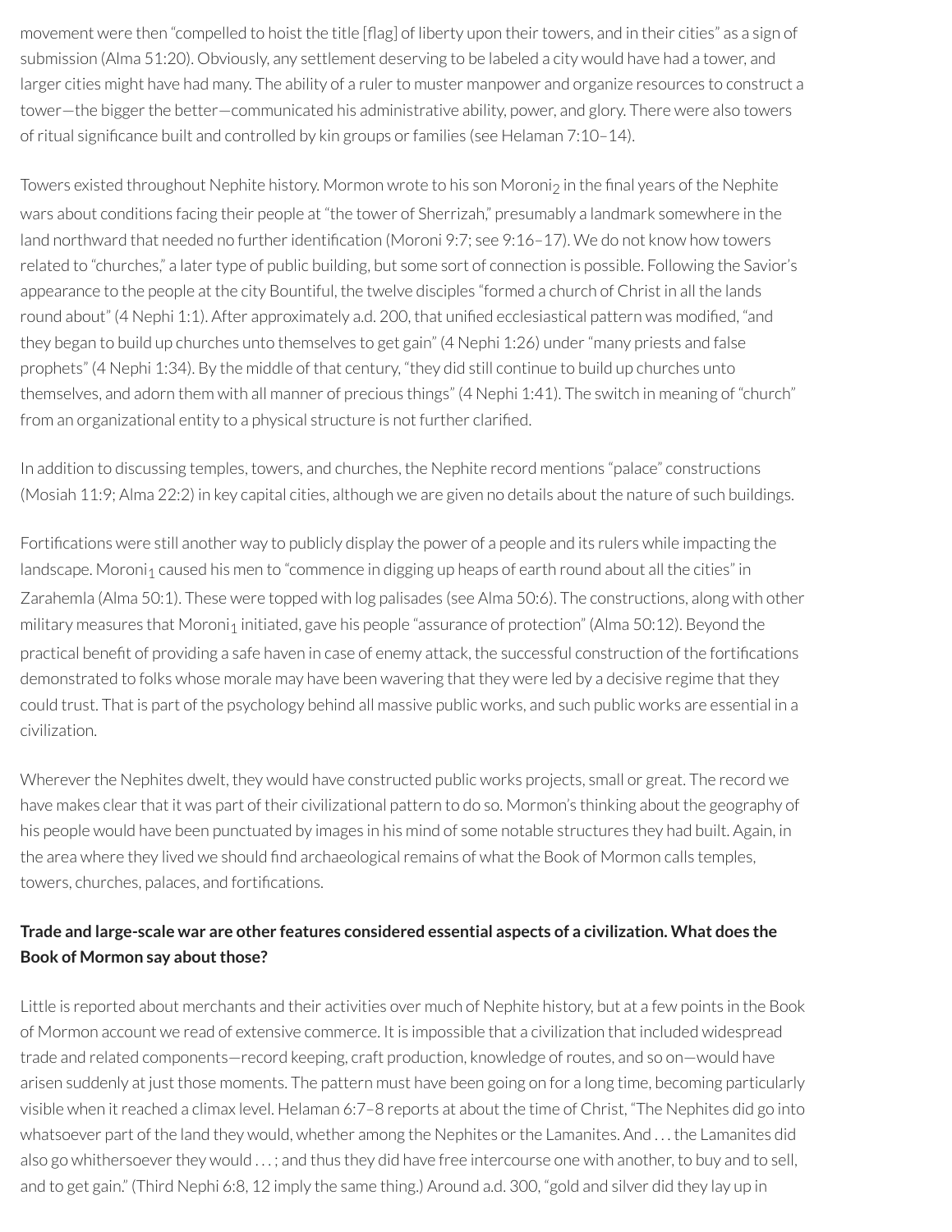movement were then "compelled to hoist the title [flag] of liberty upon their towers, and in their cities" as a sign of submission (Alma 51:20). Obviously, any settlement deserving to be labeled a city would have had a tower, and larger cities might have had many. The ability of a ruler to muster manpower and organize resources to construct a tower—the bigger the better—communicated his administrative ability, power, and glory. There were also towers of ritual significance built and controlled by kin groups or families (see Helaman 7:10-14).

Towers existed throughout Nephite history. Mormon wrote to his son Moroni<sub>2</sub> in the final years of the Nephite wars about conditions facing their people at "the tower of Sherrizah," presumably a landmark somewhere in the land northward that needed no further identification (Moroni 9:7; see 9:16-17). We do not know how towers related to "churches," a later type of public building, but some sort of connection is possible. Following the Savior's appearance to the people at the city Bountiful, the twelve disciples "formed a church of Christ in all the lands round about" (4 Nephi 1:1). After approximately a.d. 200, that unified ecclesiastical pattern was modified, "and they began to build up churches unto themselves to get gain" (4 Nephi 1:26) under"many priests and false prophets" (4 Nephi 1:34). By the middle of that century, "they did still continue to build up churches unto themselves, and adorn them with all manner of precious things" (4 Nephi 1:41). The switch in meaning of "church" from an organizational entity to a physical structure is not further clarified.

In addition to discussing temples, towers, and churches, the Nephite record mentions "palace" constructions (Mosiah 11:9; Alma 22:2) in key capital cities, although we are given no details about the nature of such buildings.

Fortifications were still another way to publicly display the power of a people and its rulers while impacting the landscape. Moroni<sub>1</sub> caused his men to "commence in digging up heaps of earth round about all the cities" in Zarahemla (Alma 50:1). These were topped with log palisades (see Alma 50:6). The constructions, along with other military measures that Moroni<sub>1</sub> initiated, gave his people "assurance of protection" (Alma 50:12). Beyond the practical benefit of providing a safe haven in case of enemy attack, the successful construction of the fortifications demonstrated to folks whose morale may have been wavering that they were led by a decisive regime that they could trust. That is part of the psychology behind all massive public works, and such public works are essential in a civilization.

Wherever the Nephites dwelt, they would have constructed public works projects, small or great. The record we have makes clear that it was part of their civilizational pattern to do so. Mormon's thinking about the geography of his people would have been punctuated by images in his mind of some notable structures they had built. Again, in the area where they lived we should find archaeological remains of what the Book of Mormon calls temples, towers, churches, palaces, and fortifications.

# **Trade and large-scale war are other features considered essential aspects of a civilization. What does the Book** of Mormon say about those?

Little is reported about merchants and their activities over much of Nephite history, but at a few points in the Book of Mormon account we read of extensive commerce. It is impossible that a civilization that included widespread trade and related components—record keeping, craft production, knowledge ofroutes, and so on—would have arisen suddenly at just those moments. The pattern must have been going on for a long time, becoming particularly visible when it reached a climax level. Helaman 6:7–8 reports at about the time of Christ, "The Nephites did go into whatsoever part of the land they would, whether among the Nephites or the Lamanites. And ... the Lamanites did also go whithersoever they would ...; and thus they did have free intercourse one with another, to buy and to sell, and to get gain." (Third Nephi 6:8, 12 imply the same thing.) Around a.d. 300, "gold and silver did they lay up in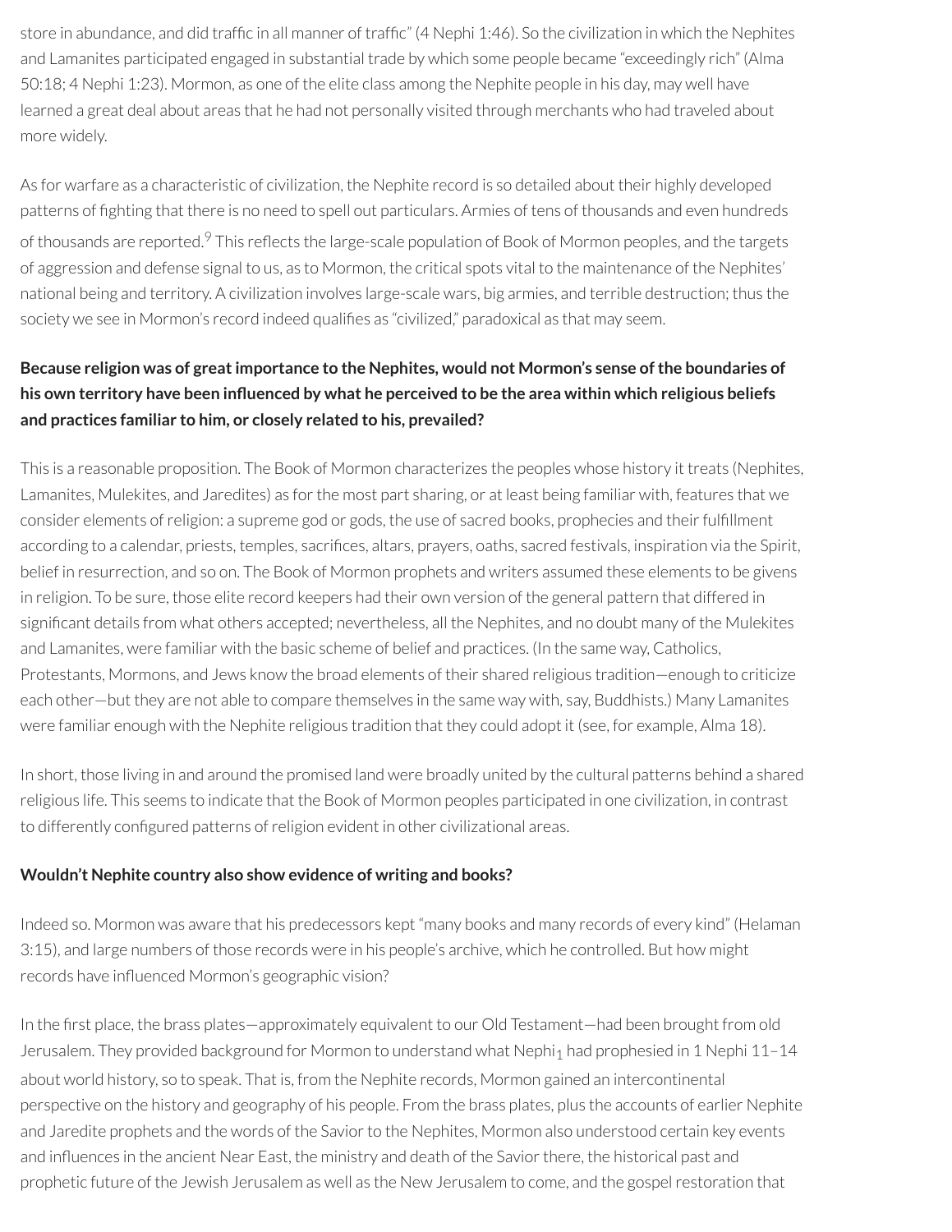store in abundance, and did traffic in all manner of traffic" (4 Nephi 1:46). So the civilization in which the Nephites and Lamanites participated engaged in substantial trade by which some people became "exceedingly rich" (Alma 50:18; 4 Nephi 1:23). Mormon, as one of the elite class among the Nephite people in his day, may well have learned a great deal about areas that he had not personally visited through merchants who had traveled about more widely.

<span id="page-44-0"></span>As for warfare as a characteristic of civilization, the Nephite record is so detailed about their highly developed patterns of ghting that there is no need to spell out particulars. Armies of tens of thousands and even hundreds of thousands are reported.<sup>[9](#page-46-6)</sup> This reflects the large-scale population of Book of Mormon peoples, and the targets of aggression and defense signal to us, as to Mormon, the critical spots vital to the maintenance of the Nephites' national being and territory. A civilization involves large-scale wars, big armies, and terrible destruction; thus the society we see in Mormon's record indeed qualifies as "civilized," paradoxical as that may seem.

# **Because religion was of greatimportance to the Nephites, would not Mormon's sense of the boundaries of** his own territory have been influenced by what he perceived to be the area within which religious beliefs **and practices familiar to him, or closely related to his, prevailed?**

This is a reasonable proposition. The Book of Mormon characterizes the peoples whose history it treats (Nephites, Lamanites, Mulekites, and Jaredites) as forthe most part sharing, or at least being familiar with, features that we consider elements of religion: a supreme god or gods, the use of sacred books, prophecies and their fulfillment according to a calendar, priests, temples, sacrifices, altars, prayers, oaths, sacred festivals, inspiration via the Spirit, belief in resurrection, and so on. The Book of Mormon prophets and writers assumed these elements to be givens in religion. To be sure, those elite record keepers had their own version of the general pattern that differed in significant details from what others accepted; nevertheless, all the Nephites, and no doubt many of the Mulekites and Lamanites, were familiar with the basic scheme of belief and practices. (In the same way, Catholics, Protestants, Mormons, and Jews know the broad elements of their shared religious tradition—enough to criticize each other—but they are not able to compare themselves in the same way with, say, Buddhists.) Many Lamanites were familiar enough with the Nephite religious tradition that they could adopt it (see, for example, Alma 18).

In short, those living in and around the promised land were broadly united by the cultural patterns behind a shared religious life. This seems to indicate that the Book of Mormon peoples participated in one civilization, in contrast to differently configured patterns of religion evident in other civilizational areas.

#### **Wouldn't Nephite country also show evidence of writing and books?**

Indeed so. Mormon was aware that his predecessors kept "many books and many records of every kind" (Helaman 3:15), and large numbers of those records were in his people's archive, which he controlled. But how might records have influenced Mormon's geographic vision?

In the first place, the brass plates—approximately equivalent to our Old Testament—had been brought from old Jerusalem. They provided background for Mormon to understand what Nephi<sub>1</sub> had prophesied in 1 Nephi 11-14 about world history, so to speak. That is, from the Nephite records, Mormon gained an intercontinental perspective on the history and geography of his people. From the brass plates, plus the accounts of earlier Nephite and Jaredite prophets and the words of the Savior to the Nephites, Mormon also understood certain key events and influences in the ancient Near East, the ministry and death of the Savior there, the historical past and prophetic future of the Jewish Jerusalem as well as the New Jerusalem to come, and the gospelrestoration that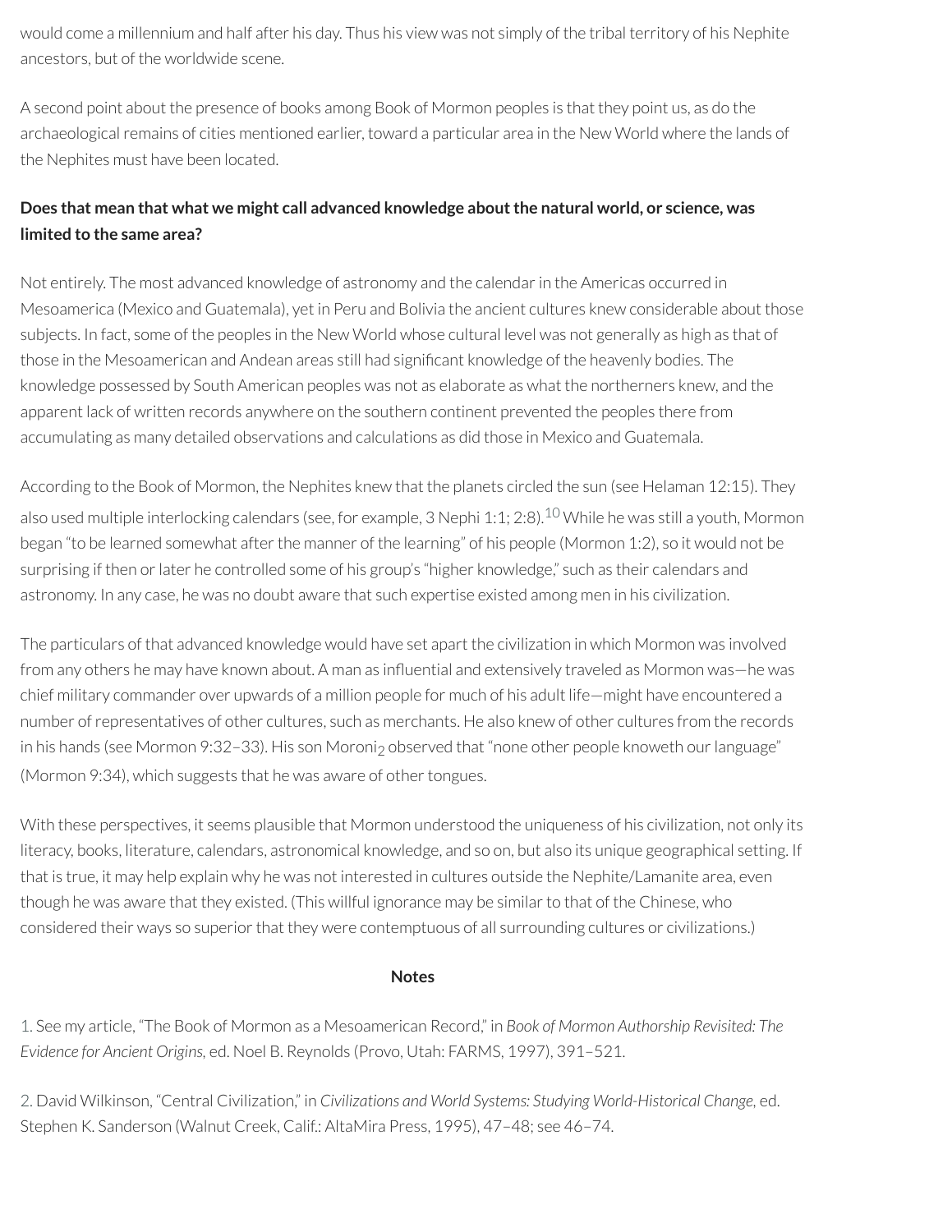would come a millennium and half after his day. Thus his view was not simply of the tribal territory of his Nephite ancestors, but of the worldwide scene.

A second point about the presence of books among Book of Mormon peoples is that they point us, as do the archaeological remains of cities mentioned earlier, toward a particular area in the New World where the lands of the Nephites must have been located.

# **Does that mean that what we might call advanced knowledge aboutthe natural world, or science, was limited to the same area?**

Not entirely. The most advanced knowledge of astronomy and the calendarin the Americas occurred in Mesoamerica (Mexico and Guatemala), yet in Peru and Bolivia the ancient cultures knew considerable about those subjects. In fact, some of the peoples in the New World whose cultural level was not generally as high as that of those in the Mesoamerican and Andean areas still had significant knowledge of the heavenly bodies. The knowledge possessed by South American peoples was not as elaborate as what the northerners knew, and the apparent lack of written records anywhere on the southern continent prevented the peoples there from accumulating as many detailed observations and calculations as did those in Mexico and Guatemala.

According to the Book of Mormon, the Nephites knew that the planets circled the sun (see Helaman 12:15). They also used multiple interlocking calendars (see, for example, 3 Nephi 1:1; 2:8).<sup>[10](#page-46-7)</sup> While he was still a youth, Mormon began "to be learned somewhat after the manner of the learning" of his people (Mormon 1:2), so it would not be surprising if then or later he controlled some of his group's "higher knowledge," such as their calendars and astronomy. In any case, he was no doubt aware that such expertise existed among men in his civilization.

The particulars of that advanced knowledge would have set apart the civilization in which Mormon was involved from any others he may have known about. A man as influential and extensively traveled as Mormon was—he was chief military commander over upwards of a million people for much of his adult life—might have encountered a number ofrepresentatives of other cultures, such as merchants. He also knew of other cultures from the records in his hands (see Mormon 9:32-33). His son Moroni<sub>2</sub> observed that "none other people knoweth our language" (Mormon 9:34), which suggests that he was aware of other tongues.

With these perspectives, it seems plausible that Mormon understood the uniqueness of his civilization, not only its literacy, books, literature, calendars, astronomical knowledge, and so on, but also its unique geographical setting. If that is true, it may help explain why he was not interested in cultures outside the Nephite/Lamanite area, even though he was aware that they existed. (This willful ignorance may be similar to that of the Chinese, who considered their ways so superior that they were contemptuous of all surrounding cultures or civilizations.)

#### <span id="page-45-2"></span>**Notes**

<span id="page-45-0"></span>[1.](#page-40-0) See my article, "The Book of Mormon as a Mesoamerican Record," in *Book of Mormon Authorship Revisited: The Evidence for Ancient Origins,* ed. Noel B. Reynolds (Provo, Utah: FARMS, 1997), 391–521.

<span id="page-45-1"></span>[2.](#page-41-0) David Wilkinson, "Central Civilization," in *Civilizations and World Systems: Studying World-Historical Change,* ed. Stephen K. Sanderson (Walnut Creek, Calif.: AltaMira Press, 1995), 47–48; see 46–74.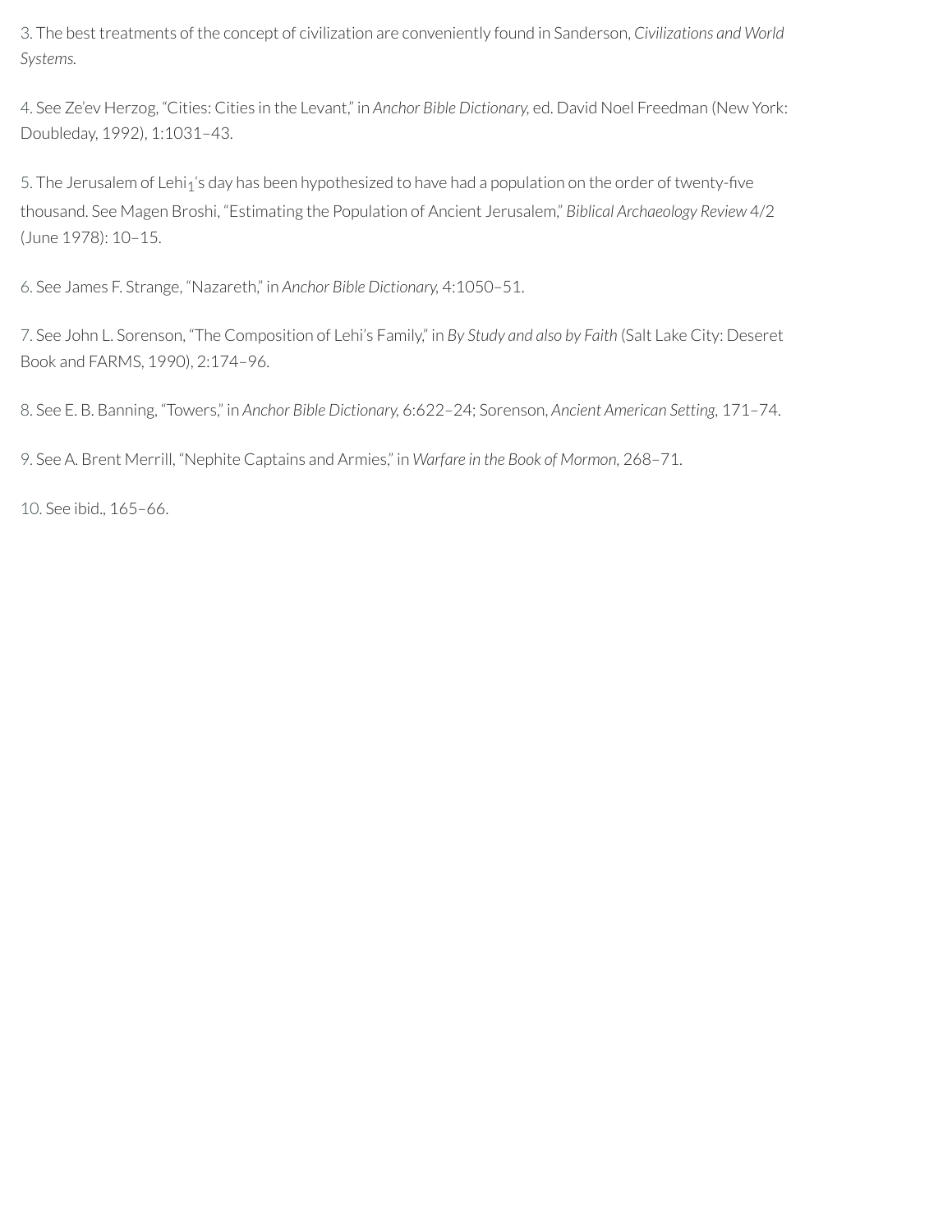<span id="page-46-0"></span>[3.](#page-41-1) The best treatments of the concept of civilization are conveniently found in Sanderson, *Civilizations and World Systems.*

<span id="page-46-1"></span>[4.](#page-41-2) See Ze'ev Herzog, "Cities: Cities in the Levant," in *Anchor Bible Dictionary,* ed. David Noel Freedman (New York: Doubleday, 1992), 1:1031–43.

<span id="page-46-2"></span>[5.](#page-42-0) The Jerusalem of Lehi<sub>1</sub>'s day has been hypothesized to have had a population on the order of twenty-five thousand. See Magen Broshi, "Estimating the Population of Ancient Jerusalem," *Biblical Archaeology Review* 4/2 (June 1978): 10–15.

<span id="page-46-3"></span>[6.](#page-42-1) See James F. Strange, "Nazareth," in *Anchor Bible Dictionary,* 4:1050–51.

<span id="page-46-4"></span>[7.](#page-42-2) See John L. Sorenson, "The Composition of Lehi's Family," in *By Study and also by Faith* (Salt Lake City: Deseret Book and FARMS, 1990), 2:174–96.

<span id="page-46-5"></span>[8.](#page-42-3) See E. B. Banning, "Towers," in *Anchor Bible Dictionary,* 6:622–24; Sorenson, *Ancient American Setting,* 171–74.

<span id="page-46-6"></span>[9.](#page-44-0) See A. Brent Merrill, "Nephite Captains and Armies," in *Warfare in the Book of Mormon,* 268–71.

<span id="page-46-7"></span>[10.](#page-45-2) See ibid., 165–66.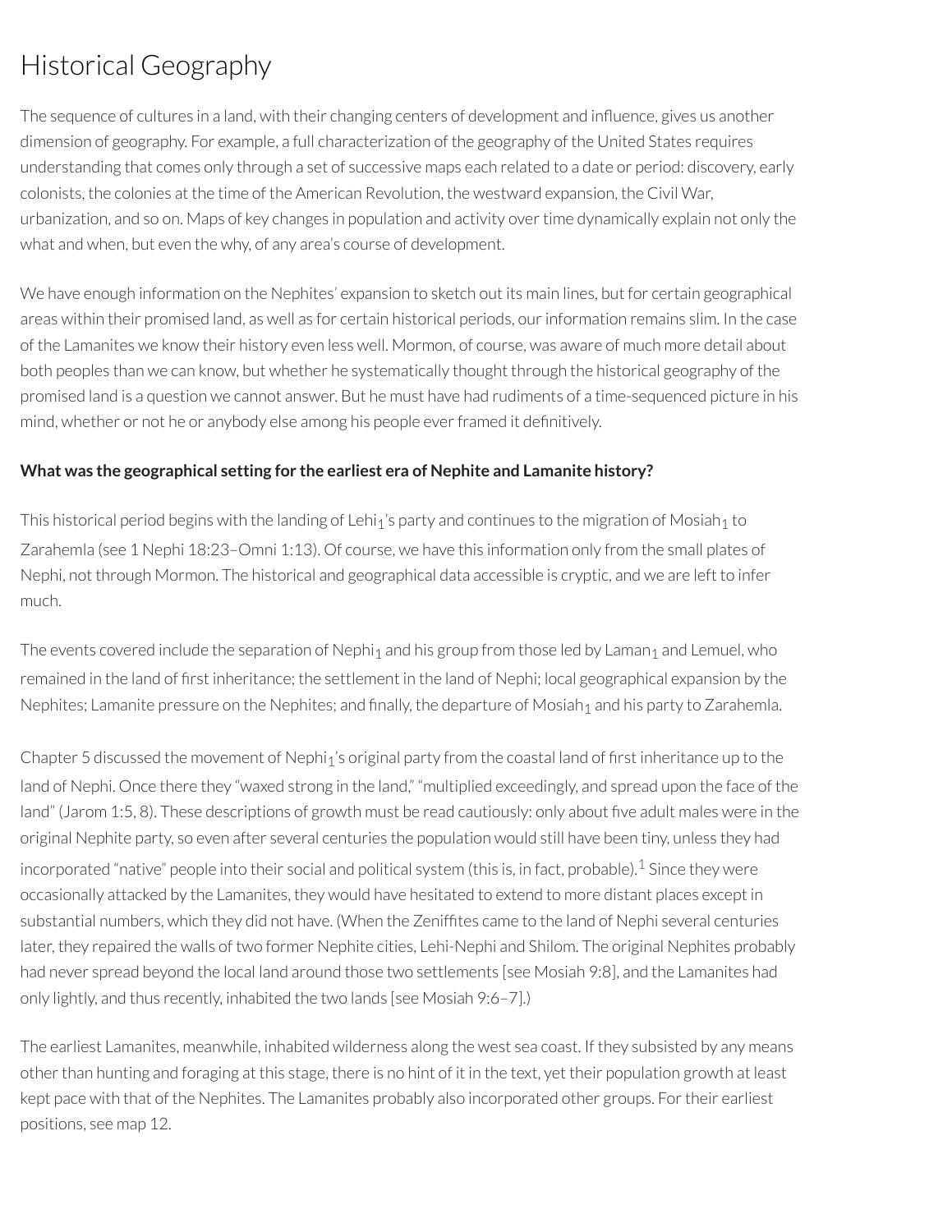# Historical Geography

The sequence of cultures in a land, with their changing centers of development and influence, gives us another dimension of geography. For example, a full characterization of the geography of the United States requires understanding that comes only through a set of successive maps each related to a date or period: discovery, early colonists, the colonies at the time of the American Revolution, the westward expansion, the Civil War, urbanization, and so on. Maps of key changes in population and activity over time dynamically explain not only the what and when, but even the why, of any area's course of development.

We have enough information on the Nephites' expansion to sketch out its main lines, but for certain geographical areas within their promised land, as well as for certain historical periods, ourinformation remains slim. In the case of the Lamanites we know their history even less well. Mormon, of course, was aware of much more detail about both peoples than we can know, but whether he systematically thought through the historical geography of the promised land is a question we cannot answer. But he must have had rudiments of a time-sequenced picture in his mind, whether or not he or anybody else among his people ever framed it definitively.

## **What was the geographical setting for the earliest era of Nephite and Lamanite history?**

This historical period begins with the landing of Lehi<sub>1</sub>'s party and continues to the migration of Mosiah<sub>1</sub> to Zarahemla (see 1 Nephi 18:23–Omni 1:13). Of course, we have this information only from the small plates of Nephi, not through Mormon. The historical and geographical data accessible is cryptic, and we are left to infer much.

The events covered include the separation of Nephi<sub>1</sub> and his group from those led by Laman<sub>1</sub> and Lemuel, who remained in the land of first inheritance; the settlement in the land of Nephi; local geographical expansion by the Nephites; Lamanite pressure on the Nephites; and finally, the departure of Mosiah<sub>1</sub> and his party to Zarahemla.

<span id="page-47-0"></span>Chapter 5 discussed the movement of Nephi<sub>1</sub>'s original party from the coastal land of first inheritance up to the land of Nephi. Once there they "waxed strong in the land," "multiplied exceedingly, and spread upon the face of the land" (Jarom 1:5, 8). These descriptions of growth must be read cautiously: only about five adult males were in the original Nephite party, so even after several centuries the population would still have been tiny, unless they had incorporated "native" people into their social and political system (this is, in fact, probable). $^1$  $^1$  Since they were occasionally attacked by the Lamanites, they would have hesitated to extend to more distant places except in substantial numbers, which they did not have. (When the Zeniftes came to the land of Nephi several centuries later, they repaired the walls of two former Nephite cities, Lehi-Nephi and Shilom. The original Nephites probably had never spread beyond the local land around those two settlements [see Mosiah 9:8], and the Lamanites had only lightly, and thus recently, inhabited the two lands [see Mosiah 9:6–7].)

The earliest Lamanites, meanwhile, inhabited wilderness along the west sea coast. If they subsisted by any means other than hunting and foraging at this stage, there is no hint of it in the text, yet their population growth at least kept pace with that of the Nephites. The Lamanites probably also incorporated other groups. For their earliest positions, see map 12.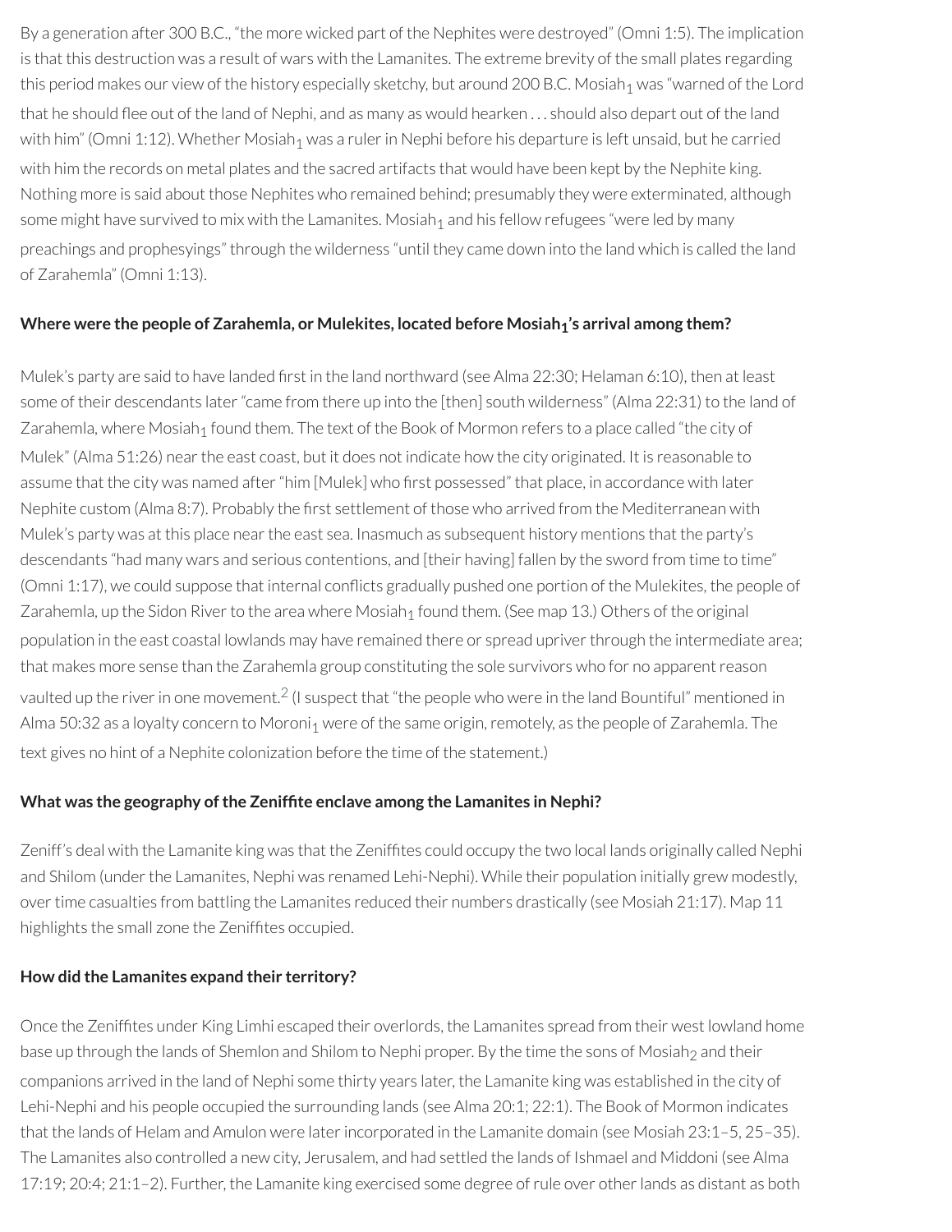By a generation after 300 B.C., "the more wicked part of the Nephites were destroyed" (Omni 1:5). The implication is that this destruction was a result of wars with the Lamanites. The extreme brevity of the small plates regarding this period makes our view of the history especially sketchy, but around 200 B.C. Mosiah<sub>1</sub> was "warned of the Lord that he should flee out of the land of Nephi, and as many as would hearken  $\ldots$  should also depart out of the land with him" (Omni 1:12). Whether Mosiah<sub>1</sub> was a ruler in Nephi before his departure is left unsaid, but he carried with him the records on metal plates and the sacred artifacts that would have been kept by the Nephite king. Nothing more is said about those Nephites who remained behind; presumably they were exterminated, although some might have survived to mix with the Lamanites. Mosiah<sub>1</sub> and his fellow refugees "were led by many preachings and prophesyings" through the wilderness "until they came down into the land which is called the land of Zarahemla" (Omni 1:13).

#### **Where were the people of Zarahemla, or Mulekites, located before Mosiah1's arrival among them?**

Mulek's party are said to have landed first in the land northward (see Alma 22:30; Helaman 6:10), then at least some of their descendants later"came from there up into the [then] south wilderness" (Alma 22:31) to the land of Zarahemla, where Mosiah<sub>1</sub> found them. The text of the Book of Mormon refers to a place called "the city of Mulek" (Alma 51:26) nearthe east coast, but it does not indicate how the city originated. It is reasonable to assume that the city was named after "him [Mulek] who first possessed" that place, in accordance with later Nephite custom (Alma 8:7). Probably the first settlement of those who arrived from the Mediterranean with Mulek's party was at this place near the east sea. Inasmuch as subsequent history mentions that the party's descendants "had many wars and serious contentions, and [their having] fallen by the sword from time to time" (Omni 1:17), we could suppose that internal conflicts gradually pushed one portion of the Mulekites, the people of Zarahemla, up the Sidon River to the area where Mosiah<sub>1</sub> found them. (See map 13.) Others of the original population in the east coastal lowlands may have remained there or spread upriverthrough the intermediate area; that makes more sense than the Zarahemla group constituting the sole survivors who for no apparentreason vaulted up the river in one movement. $^2$  $^2$  (I suspect that "the people who were in the land Bountiful" mentioned in Alma 50:32 as a loyalty concern to Moroni<sub>1</sub> were of the same origin, remotely, as the people of Zarahemla. The text gives no hint of a Nephite colonization before the time of the statement.)

#### <span id="page-48-0"></span>**What was the geography ofthe Zenifte enclave among the Lamanites in Nephi?**

Zeniff's deal with the Lamanite king was that the Zeniffites could occupy the two local lands originally called Nephi and Shilom (under the Lamanites, Nephi was renamed Lehi-Nephi). While their population initially grew modestly, over time casualties from battling the Lamanites reduced their numbers drastically (see Mosiah 21:17). Map 11 highlights the small zone the Zeniffites occupied.

#### **How did the Lamanites expand their territory?**

Once the Zeniffites under King Limhi escaped their overlords, the Lamanites spread from their west lowland home base up through the lands of Shemlon and Shilom to Nephi proper. By the time the sons of Mosiah<sub>2</sub> and their companions arrived in the land of Nephi some thirty years later, the Lamanite king was established in the city of Lehi-Nephi and his people occupied the surrounding lands (see Alma 20:1; 22:1). The Book of Mormon indicates that the lands of Helam and Amulon were laterincorporated in the Lamanite domain (see Mosiah 23:1–5, 25–35). The Lamanites also controlled a new city, Jerusalem, and had settled the lands of Ishmael and Middoni (see Alma 17:19; 20:4; 21:1–2). Further, the Lamanite king exercised some degree ofrule over otherlands as distant as both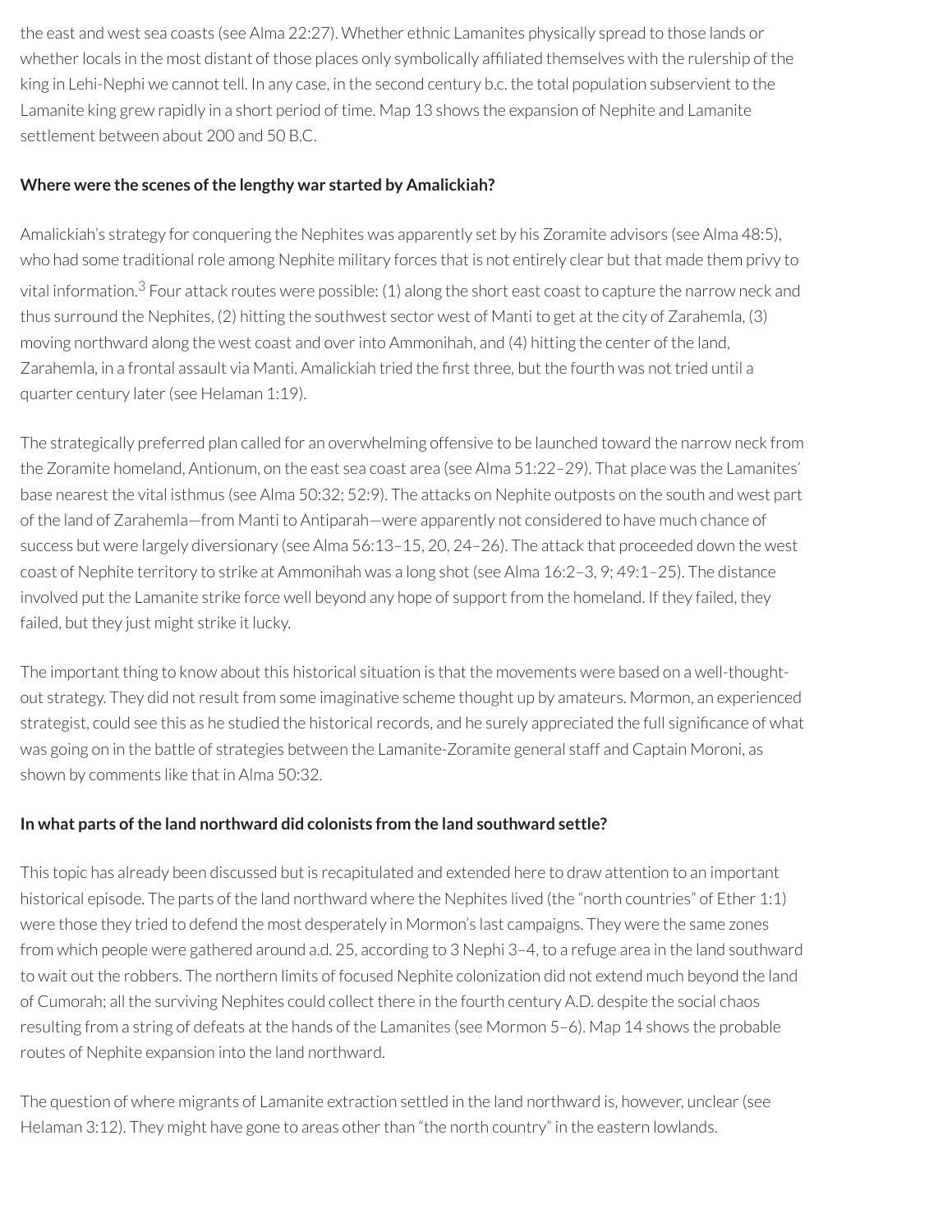the east and west sea coasts (see Alma 22:27). Whether ethnic Lamanites physically spread to those lands or whether locals in the most distant of those places only symbolically affiliated themselves with the rulership of the king in Lehi-Nephi we cannot tell. In any case, in the second century b.c. the total population subservient to the Lamanite king grew rapidly in a short period of time. Map 13 shows the expansion of Nephite and Lamanite settlement between about 200 and 50 B.C.

### **Where** were the scenes of the lengthy war started by Amalickiah?

<span id="page-49-0"></span>Amalickiah's strategy for conquering the Nephites was apparently set by his Zoramite advisors (see Alma 48:5), who had some traditional role among Nephite military forces that is not entirely clear but that made them privy to vital information.<sup>[3](#page-51-2)</sup> Four attack routes were possible: (1) along the short east coast to capture the narrow neck and thus surround the Nephites, (2) hitting the southwest sector west of Manti to get at the city of Zarahemla, (3) moving northward along the west coast and overinto Ammonihah, and (4) hitting the center of the land, Zarahemla, in a frontal assault via Manti. Amalickiah tried the first three, but the fourth was not tried until a quarter century later(see Helaman 1:19).

The strategically preferred plan called for an overwhelming offensive to be launched toward the narrow neck from the Zoramite homeland, Antionum, on the east sea coast area (see Alma 51:22–29). That place was the Lamanites' base nearest the vital isthmus (see Alma 50:32; 52:9). The attacks on Nephite outposts on the south and west part of the land of Zarahemla—from Manti to Antiparah—were apparently not considered to have much chance of success but were largely diversionary (see Alma 56:13–15, 20, 24–26). The attack that proceeded down the west coast of Nephite territory to strike at Ammonihah was a long shot (see Alma 16:2–3, 9; 49:1–25). The distance involved put the Lamanite strike force well beyond any hope of support from the homeland. If they failed, they failed, but they just might strike it lucky.

The important thing to know about this historical situation is that the movements were based on a well-thoughtout strategy. They did not result from some imaginative scheme thought up by amateurs. Mormon, an experienced strategist, could see this as he studied the historical records, and he surely appreciated the full significance of what was going on in the battle of strategies between the Lamanite-Zoramite general staff and Captain Moroni, as shown by comments like that in Alma 50:32.

### **In what parts of the land northward did colonists from the land southward settle?**

This topic has already been discussed but is recapitulated and extended here to draw attention to an important historical episode. The parts of the land northward where the Nephites lived (the "north countries" of Ether 1:1) were those they tried to defend the most desperately in Mormon's last campaigns. They were the same zones from which people were gathered around a.d. 25, according to 3 Nephi 3–4, to a refuge area in the land southward to wait out the robbers. The northern limits of focused Nephite colonization did not extend much beyond the land of Cumorah; all the surviving Nephites could collect there in the fourth century A.D. despite the social chaos resulting from a string of defeats at the hands of the Lamanites (see Mormon 5–6). Map 14 shows the probable routes of Nephite expansion into the land northward.

The question of where migrants of Lamanite extraction settled in the land northward is, however, unclear(see Helaman 3:12). They might have gone to areas other than "the north country" in the eastern lowlands.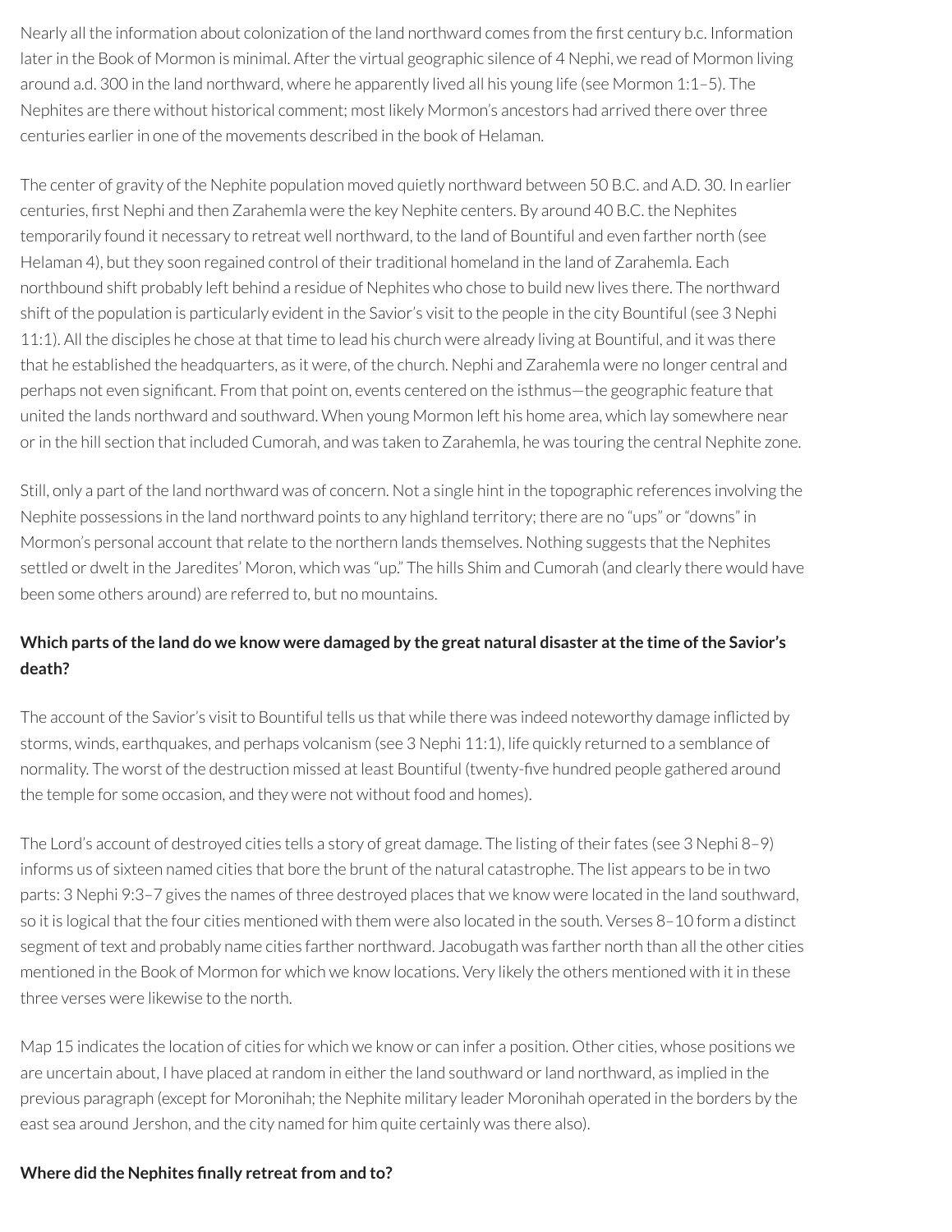Nearly all the information about colonization of the land northward comes from the first century b.c. Information later in the Book of Mormon is minimal. After the virtual geographic silence of 4 Nephi, we read of Mormon living around a.d. 300 in the land northward, where he apparently lived all his young life (see Mormon 1:1–5). The Nephites are there without historical comment; most likely Mormon's ancestors had arrived there overthree centuries earlierin one of the movements described in the book of Helaman.

The center of gravity of the Nephite population moved quietly northward between 50 B.C. and A.D. 30. In earlier centuries, first Nephi and then Zarahemla were the key Nephite centers. By around 40 B.C. the Nephites temporarily found it necessary to retreat well northward, to the land of Bountiful and even farther north (see Helaman 4), but they soon regained control of their traditional homeland in the land of Zarahemla. Each northbound shift probably left behind a residue of Nephites who chose to build new lives there. The northward shift of the population is particularly evident in the Savior's visit to the people in the city Bountiful (see 3 Nephi 11:1). All the disciples he chose at that time to lead his church were already living at Bountiful, and it was there that he established the headquarters, as it were, of the church. Nephi and Zarahemla were no longer central and perhaps not even significant. From that point on, events centered on the isthmus—the geographic feature that united the lands northward and southward. When young Mormon left his home area, which lay somewhere near or in the hill section that included Cumorah, and was taken to Zarahemla, he was touring the central Nephite zone.

Still, only a part of the land northward was of concern. Not a single hint in the topographic references involving the Nephite possessions in the land northward points to any highland territory; there are no "ups" or "downs" in Mormon's personal account that relate to the northern lands themselves. Nothing suggests that the Nephites settled or dwelt in the Jaredites' Moron, which was "up." The hills Shim and Cumorah (and clearly there would have been some others around) are referred to, but no mountains.

# Which parts of the land do we know were damaged by the great natural disaster at the time of the Savior's **death?**

The account of the Savior's visit to Bountiful tells us that while there was indeed noteworthy damage inicted by storms, winds, earthquakes, and perhaps volcanism (see 3 Nephi 11:1), life quickly returned to a semblance of normality. The worst of the destruction missed at least Bountiful (twenty-five hundred people gathered around the temple for some occasion, and they were not without food and homes).

The Lord's account of destroyed cities tells a story of great damage. The listing of their fates (see 3 Nephi 8–9) informs us of sixteen named cities that bore the brunt of the natural catastrophe. The list appears to be in two parts: 3 Nephi 9:3–7 gives the names of three destroyed places that we know were located in the land southward, so it is logical that the four cities mentioned with them were also located in the south. Verses 8–10 form a distinct segment of text and probably name cities farther northward. Jacobugath was farther north than all the other cities mentioned in the Book of Mormon for which we know locations. Very likely the others mentioned with it in these three verses were likewise to the north.

Map 15 indicates the location of cities for which we know or can infer a position. Other cities, whose positions we are uncertain about, I have placed at random in either the land southward or land northward, as implied in the previous paragraph (except for Moronihah; the Nephite military leader Moronihah operated in the borders by the east sea around Jershon, and the city named for him quite certainly was there also).

### **Where did the Nephites nally retreatfrom and to?**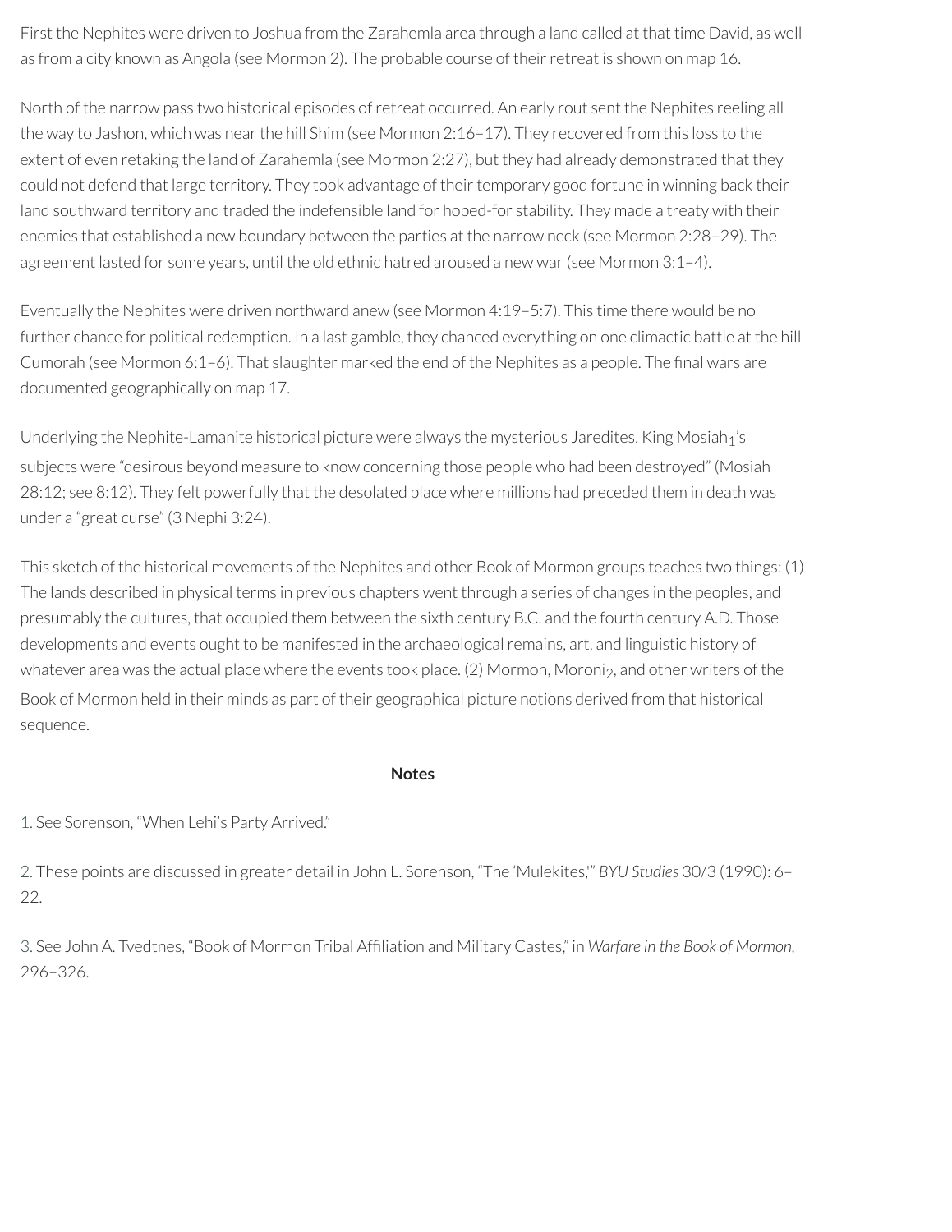First the Nephites were driven to Joshua from the Zarahemla area through a land called at that time David, as well as from a city known as Angola (see Mormon 2). The probable course of their retreat is shown on map 16.

North of the narrow pass two historical episodes of retreat occurred. An early rout sent the Nephites reeling all the way to Jashon, which was near the hill Shim (see Mormon 2:16-17). They recovered from this loss to the extent of even retaking the land of Zarahemla (see Mormon 2:27), but they had already demonstrated that they could not defend that large territory. They took advantage of their temporary good fortune in winning back their land southward territory and traded the indefensible land for hoped-for stability. They made a treaty with their enemies that established a new boundary between the parties at the narrow neck (see Mormon 2:28–29). The agreement lasted for some years, until the old ethnic hatred aroused a new war (see Mormon 3:1-4).

Eventually the Nephites were driven northward anew (see Mormon 4:19–5:7). This time there would be no further chance for political redemption. In a last gamble, they chanced everything on one climactic battle at the hill Cumorah (see Mormon 6:1-6). That slaughter marked the end of the Nephites as a people. The final wars are documented geographically on map 17.

Underlying the Nephite-Lamanite historical picture were always the mysterious Jaredites. King Mosiah<sub>1</sub>'s subjects were "desirous beyond measure to know concerning those people who had been destroyed" (Mosiah 28:12; see 8:12). They felt powerfully that the desolated place where millions had preceded them in death was under a "great curse" (3 Nephi 3:24).

This sketch of the historical movements of the Nephites and other Book of Mormon groups teaches two things: (1) The lands described in physical terms in previous chapters went through a series of changes in the peoples, and presumably the cultures, that occupied them between the sixth century B.C. and the fourth century A.D. Those developments and events ought to be manifested in the archaeological remains, art, and linguistic history of whatever area was the actual place where the events took place. (2) Mormon, Moroni<sub>2</sub>, and other writers of the Book of Mormon held in their minds as part of their geographical picture notions derived from that historical sequence.

#### **Notes**

<span id="page-51-0"></span>[1.](#page-47-0) See Sorenson, "When Lehi's Party Arrived."

<span id="page-51-1"></span>[2.](#page-48-0) These points are discussed in greater detail in John L. Sorenson, "The 'Mulekites,'" *BYU Studies* 30/3 (1990): 6– 22.

<span id="page-51-2"></span>[3.](#page-49-0) See John A. Tvedtnes, "Book of Mormon Tribal Afliation and Military Castes," in *Warfare in the Book of Mormon,* 296–326.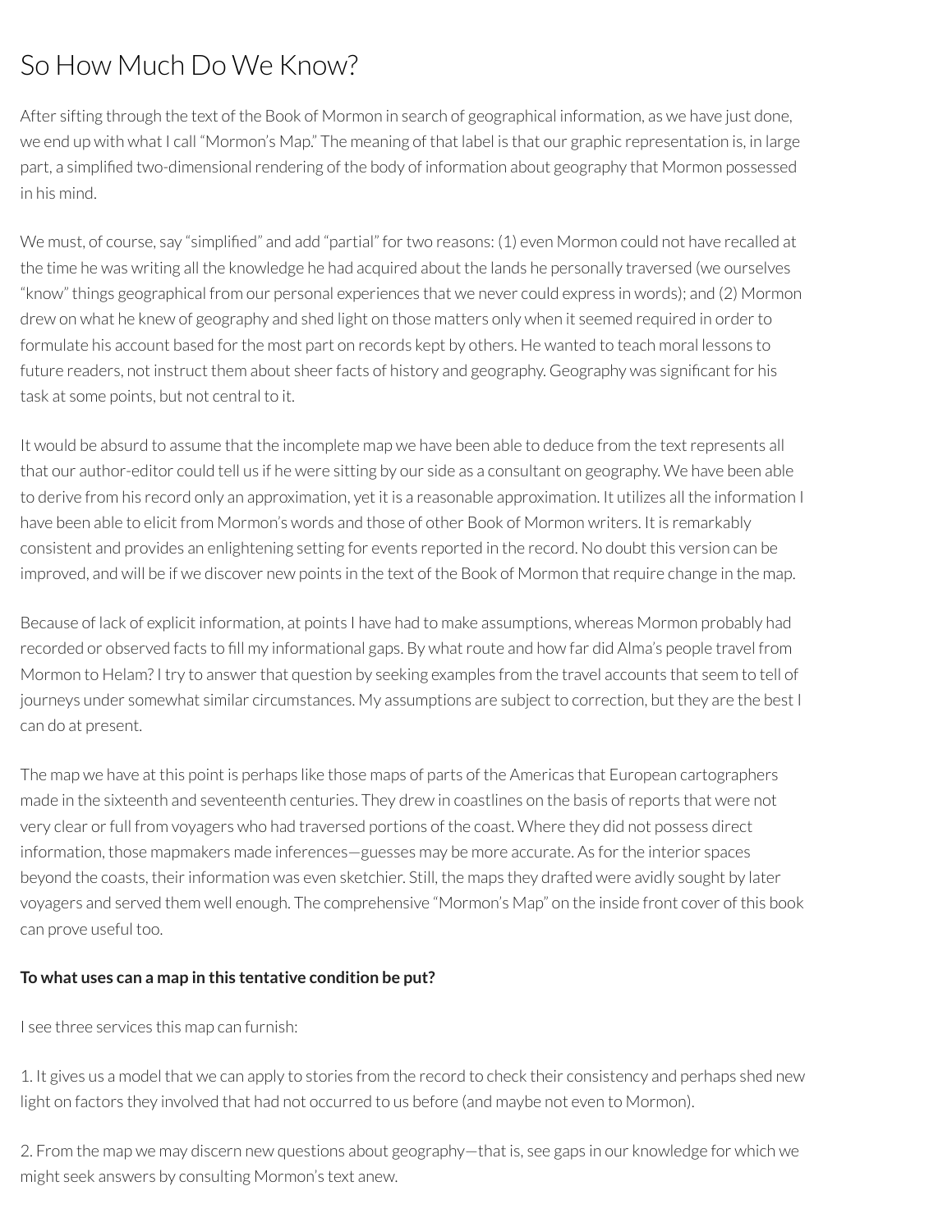# So How Much Do We Know?

After sifting through the text of the Book of Mormon in search of geographical information, as we have just done, we end up with what I call "Mormon's Map." The meaning of that label is that our graphic representation is, in large part, a simplified two-dimensional rendering of the body of information about geography that Mormon possessed in his mind.

We must, of course, say "simplified" and add "partial" for two reasons: (1) even Mormon could not have recalled at the time he was writing all the knowledge he had acquired about the lands he personally traversed (we ourselves "know" things geographical from our personal experiences that we never could express in words); and (2) Mormon drew on what he knew of geography and shed light on those matters only when it seemed required in orderto formulate his account based for the most part on records kept by others. He wanted to teach moral lessons to future readers, not instruct them about sheer facts of history and geography. Geography was significant for his task at some points, but not central to it.

It would be absurd to assume that the incomplete map we have been able to deduce from the textrepresents all that our author-editor could tell us if he were sitting by our side as a consultant on geography. We have been able to derive from his record only an approximation, yet it is a reasonable approximation. It utilizes all the information I have been able to elicit from Mormon's words and those of other Book of Mormon writers. It is remarkably consistent and provides an enlightening setting for events reported in the record. No doubt this version can be improved, and will be if we discover new points in the text of the Book of Mormon that require change in the map.

Because of lack of explicit information, at points I have had to make assumptions, whereas Mormon probably had recorded or observed facts to fill my informational gaps. By what route and how far did Alma's people travel from Mormon to Helam? I try to answer that question by seeking examples from the travel accounts that seem to tell of journeys under somewhat similar circumstances. My assumptions are subject to correction, but they are the best I can do at present.

The map we have at this point is perhaps like those maps of parts of the Americas that European cartographers made in the sixteenth and seventeenth centuries. They drew in coastlines on the basis ofreports that were not very clear orfull from voyagers who had traversed portions of the coast. Where they did not possess direct information, those mapmakers made inferences—guesses may be more accurate. As forthe interior spaces beyond the coasts, their information was even sketchier. Still, the maps they drafted were avidly sought by later voyagers and served them well enough. The comprehensive "Mormon's Map" on the inside front cover of this book can prove useful too.

### **To what uses can a map in this tentative condition be put?**

I see three services this map can furnish:

1. It gives us a model that we can apply to stories from the record to check their consistency and perhaps shed new light on factors they involved that had not occurred to us before (and maybe not even to Mormon).

2. From the map we may discern new questions about geography—that is, see gaps in our knowledge for which we might seek answers by consulting Mormon's text anew.